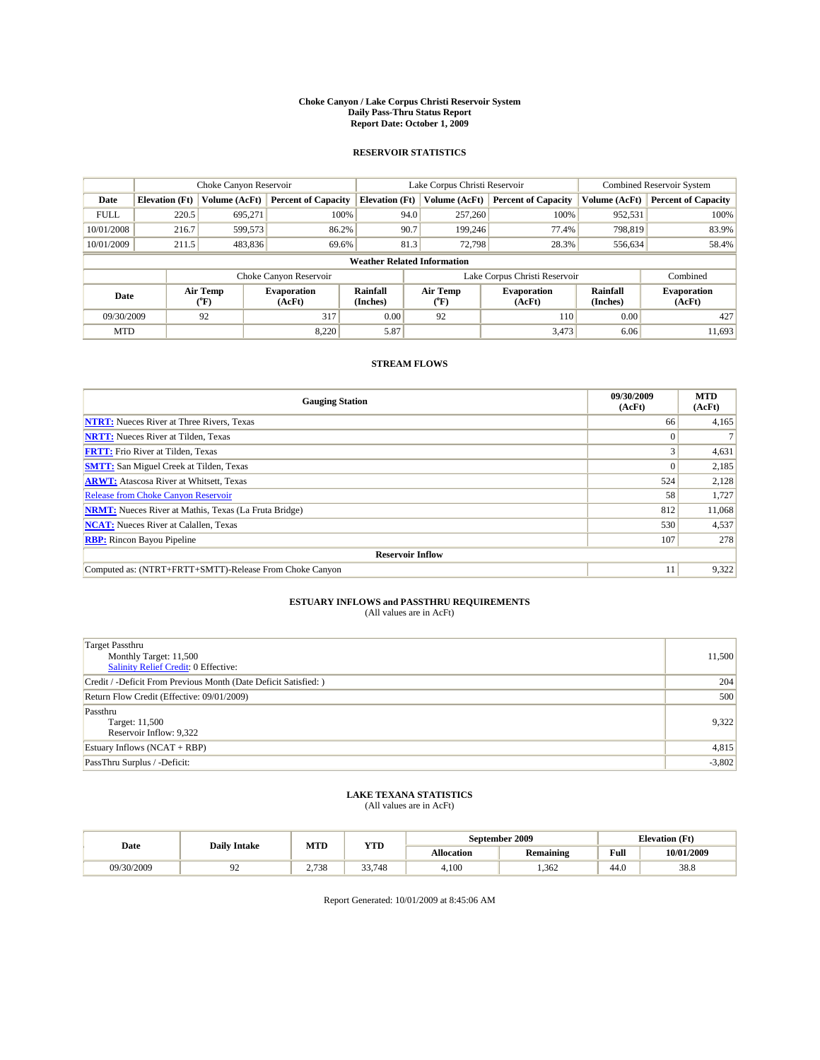#### **Choke Canyon / Lake Corpus Christi Reservoir System Daily Pass-Thru Status Report Report Date: October 1, 2009**

### **RESERVOIR STATISTICS**

|             | Choke Canyon Reservoir             |                  | Lake Corpus Christi Reservoir |                       |                  |         | Combined Reservoir System     |                      |                              |
|-------------|------------------------------------|------------------|-------------------------------|-----------------------|------------------|---------|-------------------------------|----------------------|------------------------------|
| Date        | <b>Elevation</b> (Ft)              | Volume (AcFt)    | <b>Percent of Capacity</b>    | <b>Elevation</b> (Ft) | Volume (AcFt)    |         | <b>Percent of Capacity</b>    | Volume (AcFt)        | <b>Percent of Capacity</b>   |
| <b>FULL</b> | 220.5                              | 695,271          | 100%                          |                       | 94.0             | 257,260 | 100%                          | 952,531              | 100%                         |
| 10/01/2008  | 216.7                              | 599,573          | 86.2%                         | 90.7                  |                  | 199.246 | 77.4%                         | 798,819              | 83.9%                        |
| 10/01/2009  | 211.5                              | 483,836          | 69.6%                         |                       | 81.3             | 72.798  | 28.3%                         | 556,634              | 58.4%                        |
|             | <b>Weather Related Information</b> |                  |                               |                       |                  |         |                               |                      |                              |
|             |                                    |                  | Choke Canyon Reservoir        |                       |                  |         | Lake Corpus Christi Reservoir |                      | Combined                     |
| Date        |                                    | Air Temp<br>(°F) | <b>Evaporation</b><br>(AcFt)  | Rainfall<br>(Inches)  | Air Temp<br>("F) |         | <b>Evaporation</b><br>(AcFt)  | Rainfall<br>(Inches) | <b>Evaporation</b><br>(AcFt) |
| 09/30/2009  |                                    | 92               | 317                           | 0.00                  | 92               |         | 110                           | 0.00                 | 427                          |
| <b>MTD</b>  |                                    |                  | 8.220                         | 5.87                  |                  |         | 3,473                         | 6.06                 | 11.693                       |

### **STREAM FLOWS**

| <b>Gauging Station</b>                                       | 09/30/2009<br>(AcFt) | <b>MTD</b><br>(AcFt) |  |  |  |  |
|--------------------------------------------------------------|----------------------|----------------------|--|--|--|--|
| <b>NTRT:</b> Nueces River at Three Rivers, Texas             | 66                   | 4,165                |  |  |  |  |
| <b>NRTT:</b> Nueces River at Tilden, Texas                   |                      |                      |  |  |  |  |
| <b>FRTT:</b> Frio River at Tilden, Texas                     |                      | 4,631                |  |  |  |  |
| <b>SMTT:</b> San Miguel Creek at Tilden, Texas               |                      | 2,185                |  |  |  |  |
| <b>ARWT:</b> Atascosa River at Whitsett, Texas               | 524                  | 2,128                |  |  |  |  |
| <b>Release from Choke Canyon Reservoir</b>                   | 58                   | 1,727                |  |  |  |  |
| <b>NRMT:</b> Nueces River at Mathis, Texas (La Fruta Bridge) | 812                  | 11,068               |  |  |  |  |
| <b>NCAT:</b> Nueces River at Calallen, Texas                 | 530                  | 4,537                |  |  |  |  |
| <b>RBP:</b> Rincon Bayou Pipeline                            |                      |                      |  |  |  |  |
| <b>Reservoir Inflow</b>                                      |                      |                      |  |  |  |  |
| Computed as: (NTRT+FRTT+SMTT)-Release From Choke Canyon      | 11                   | 9,322                |  |  |  |  |

# **ESTUARY INFLOWS and PASSTHRU REQUIREMENTS**<br>(All values are in AcFt)

| <b>Target Passthru</b><br>Monthly Target: 11,500<br>Salinity Relief Credit: 0 Effective: | 11,500   |
|------------------------------------------------------------------------------------------|----------|
| Credit / -Deficit From Previous Month (Date Deficit Satisfied: )                         | 204      |
| Return Flow Credit (Effective: 09/01/2009)                                               | 500      |
| Passthru<br>Target: 11,500<br>Reservoir Inflow: 9,322                                    | 9,322    |
| Estuary Inflows $(NCAT + RBP)$                                                           | 4,815    |
| PassThru Surplus / -Deficit:                                                             | $-3,802$ |

## **LAKE TEXANA STATISTICS** (All values are in AcFt)

| Date       | <b>Daily Intake</b> | MTD   | YTD               |                   | September 2009   | <b>Elevation</b> (Ft) |            |
|------------|---------------------|-------|-------------------|-------------------|------------------|-----------------------|------------|
|            |                     |       |                   | <b>Allocation</b> | <b>Remaining</b> | Full                  | 10/01/2009 |
| 09/30/2009 | ╯                   | 2,738 | 33<br>.748<br>JJ. | 4.100             | .362             | 44.0                  | 38.8       |

Report Generated: 10/01/2009 at 8:45:06 AM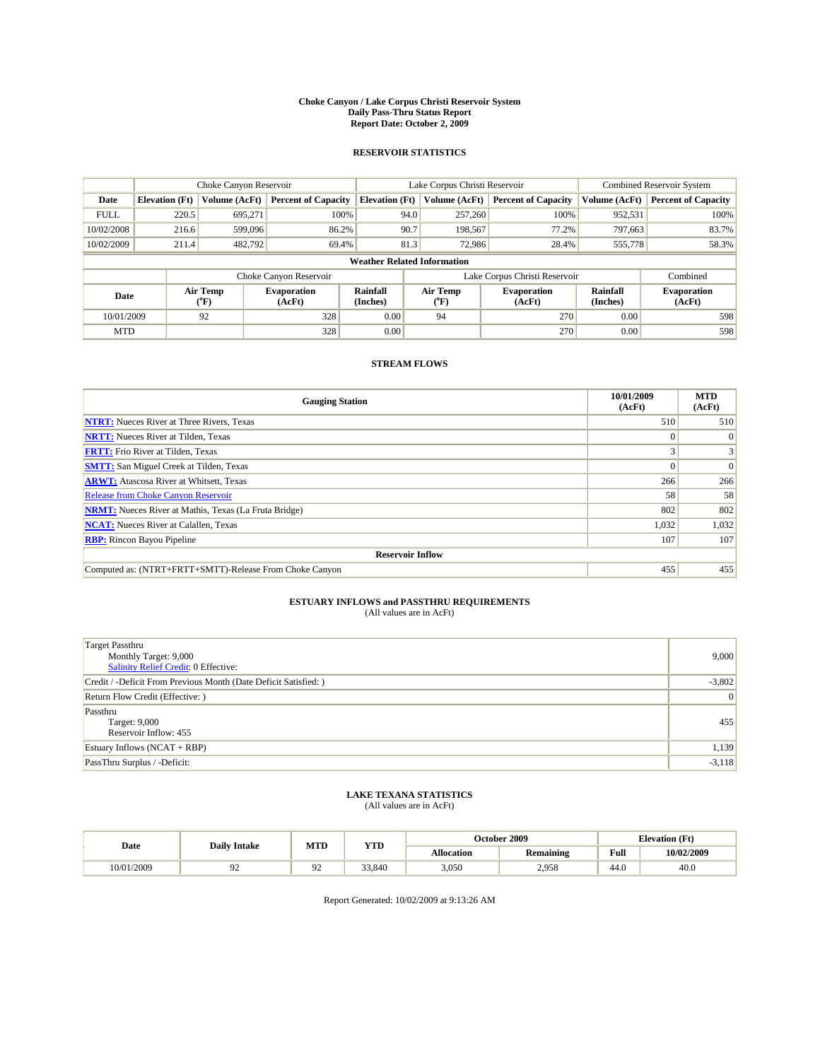#### **Choke Canyon / Lake Corpus Christi Reservoir System Daily Pass-Thru Status Report Report Date: October 2, 2009**

### **RESERVOIR STATISTICS**

|             |                                    | Choke Canyon Reservoir |                            |                       | Lake Corpus Christi Reservoir | Combined Reservoir System     |                      |                              |  |
|-------------|------------------------------------|------------------------|----------------------------|-----------------------|-------------------------------|-------------------------------|----------------------|------------------------------|--|
| Date        | <b>Elevation</b> (Ft)              | Volume (AcFt)          | <b>Percent of Capacity</b> | <b>Elevation</b> (Ft) | Volume (AcFt)                 | <b>Percent of Capacity</b>    | Volume (AcFt)        | <b>Percent of Capacity</b>   |  |
| <b>FULL</b> | 220.5                              | 695,271                | 100%                       | 94.0                  | 257,260                       | 100%                          | 952,531              | 100%                         |  |
| 10/02/2008  | 216.6                              | 599,096                | 86.2%                      | 90.7                  | 198,567                       | 77.2%                         | 797,663              | 83.7%                        |  |
| 10/02/2009  | 211.4                              | 482.792                | 69.4%                      | 81.3                  | 72.986                        | 28.4%                         | 555,778              | 58.3%                        |  |
|             | <b>Weather Related Information</b> |                        |                            |                       |                               |                               |                      |                              |  |
|             |                                    |                        | Choke Canyon Reservoir     |                       |                               | Lake Corpus Christi Reservoir |                      | Combined                     |  |
| Date        |                                    | Air Temp<br>(°F)       | Evaporation<br>(AcFt)      | Rainfall<br>(Inches)  | Air Temp<br>("F)              | <b>Evaporation</b><br>(AcFt)  | Rainfall<br>(Inches) | <b>Evaporation</b><br>(AcFt) |  |
| 10/01/2009  |                                    | 92                     | 328                        | 0.00                  | 94                            | 270                           | 0.00                 | 598                          |  |
| <b>MTD</b>  |                                    |                        | 328                        | 0.00                  |                               | 270                           | 0.00                 | 598                          |  |

### **STREAM FLOWS**

| <b>Gauging Station</b>                                       | 10/01/2009<br>(AcFt) | <b>MTD</b><br>(AcFt) |  |  |  |  |
|--------------------------------------------------------------|----------------------|----------------------|--|--|--|--|
| <b>NTRT:</b> Nueces River at Three Rivers, Texas             | 510                  | 510                  |  |  |  |  |
| <b>NRTT:</b> Nueces River at Tilden, Texas                   |                      | $\Omega$             |  |  |  |  |
| <b>FRTT:</b> Frio River at Tilden, Texas                     |                      |                      |  |  |  |  |
| <b>SMTT:</b> San Miguel Creek at Tilden, Texas               |                      | $\vert 0 \vert$      |  |  |  |  |
| <b>ARWT:</b> Atascosa River at Whitsett, Texas               | 266                  | 266                  |  |  |  |  |
| Release from Choke Canyon Reservoir                          | 58                   | 58                   |  |  |  |  |
| <b>NRMT:</b> Nueces River at Mathis, Texas (La Fruta Bridge) | 802                  | 802                  |  |  |  |  |
| <b>NCAT:</b> Nueces River at Calallen, Texas                 | 1,032                | 1,032                |  |  |  |  |
| <b>RBP:</b> Rincon Bayou Pipeline                            | 107                  | 107                  |  |  |  |  |
| <b>Reservoir Inflow</b>                                      |                      |                      |  |  |  |  |
| Computed as: (NTRT+FRTT+SMTT)-Release From Choke Canyon      | 455                  | 455                  |  |  |  |  |

# **ESTUARY INFLOWS and PASSTHRU REQUIREMENTS**<br>(All values are in AcFt)

| <b>Target Passthru</b><br>Monthly Target: 9,000<br>Salinity Relief Credit: 0 Effective: | 9,000    |
|-----------------------------------------------------------------------------------------|----------|
| Credit / -Deficit From Previous Month (Date Deficit Satisfied: )                        | $-3,802$ |
| Return Flow Credit (Effective: )                                                        | 0        |
| Passthru<br>Target: 9,000<br>Reservoir Inflow: 455                                      | 455      |
| Estuary Inflows $(NCAT + RBP)$                                                          | 1,139    |
| PassThru Surplus / -Deficit:                                                            | $-3,118$ |

## **LAKE TEXANA STATISTICS** (All values are in AcFt)

|            | <b>Daily Intake</b> | MTD | <b>YTD</b> |                   | October 2009     | <b>Elevation</b> (Ft)                       |            |
|------------|---------------------|-----|------------|-------------------|------------------|---------------------------------------------|------------|
| Date       |                     |     |            | <b>Allocation</b> | <b>Remaining</b> | Full<br>the contract of the contract of the | 10/02/2009 |
| 10/01/2009 |                     |     | 33,840     | 3,050             | 2,958            | 44.0                                        | 40.0       |

Report Generated: 10/02/2009 at 9:13:26 AM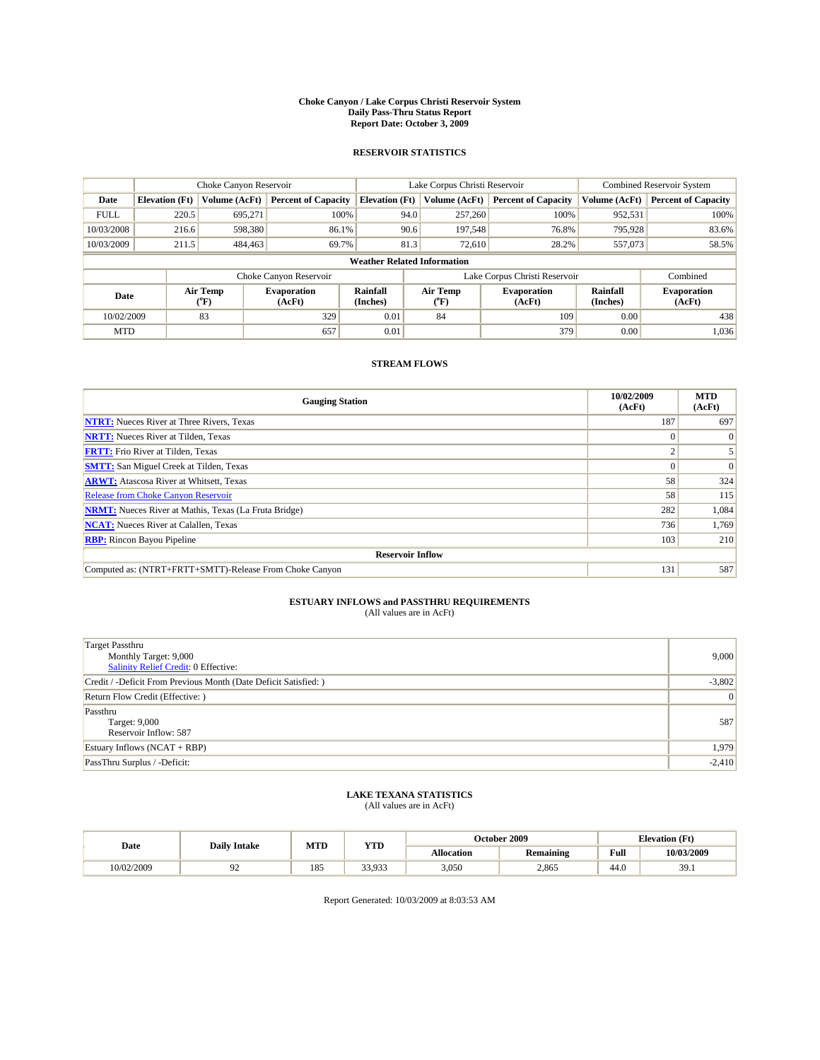#### **Choke Canyon / Lake Corpus Christi Reservoir System Daily Pass-Thru Status Report Report Date: October 3, 2009**

### **RESERVOIR STATISTICS**

|             |                                    | Choke Canyon Reservoir |                              |                             | Lake Corpus Christi Reservoir | <b>Combined Reservoir System</b> |                      |                              |  |  |
|-------------|------------------------------------|------------------------|------------------------------|-----------------------------|-------------------------------|----------------------------------|----------------------|------------------------------|--|--|
| Date        | <b>Elevation</b> (Ft)              | Volume (AcFt)          | <b>Percent of Capacity</b>   | <b>Elevation</b> (Ft)       | Volume (AcFt)                 | <b>Percent of Capacity</b>       | Volume (AcFt)        | <b>Percent of Capacity</b>   |  |  |
| <b>FULL</b> | 220.5                              | 695,271                | 100%                         | 94.0                        | 257,260                       | 100%                             | 952,531              | 100%                         |  |  |
| 10/03/2008  | 216.6                              | 598,380                | 86.1%                        | 90.6                        | 197.548                       | 76.8%                            | 795,928              | 83.6%                        |  |  |
| 10/03/2009  | 211.5                              | 484,463                | 69.7%                        | 81.3                        | 72,610                        | 28.2%                            | 557,073              | 58.5%                        |  |  |
|             | <b>Weather Related Information</b> |                        |                              |                             |                               |                                  |                      |                              |  |  |
|             |                                    |                        | Choke Canyon Reservoir       |                             |                               | Lake Corpus Christi Reservoir    |                      | Combined                     |  |  |
| Date        |                                    | Air Temp<br>(°F)       | <b>Evaporation</b><br>(AcFt) | <b>Rainfall</b><br>(Inches) | Air Temp<br>(°F)              | <b>Evaporation</b><br>(AcFt)     | Rainfall<br>(Inches) | <b>Evaporation</b><br>(AcFt) |  |  |
| 10/02/2009  |                                    | 83                     | 329                          | 0.01                        | 84                            | 109                              | 0.00                 | 438                          |  |  |
| <b>MTD</b>  |                                    |                        | 657                          | 0.01                        |                               | 379                              | 0.00                 | 1,036                        |  |  |

### **STREAM FLOWS**

| <b>Gauging Station</b>                                       | 10/02/2009<br>(AcFt) | <b>MTD</b><br>(AcFt) |
|--------------------------------------------------------------|----------------------|----------------------|
| <b>NTRT:</b> Nueces River at Three Rivers, Texas             | 187                  | 697                  |
| <b>NRTT:</b> Nueces River at Tilden, Texas                   | $\Omega$             |                      |
| <b>FRTT:</b> Frio River at Tilden, Texas                     | $\sim$               |                      |
| <b>SMTT:</b> San Miguel Creek at Tilden, Texas               |                      | $\Omega$             |
| <b>ARWT:</b> Atascosa River at Whitsett, Texas               | 58                   | 324                  |
| <b>Release from Choke Canyon Reservoir</b>                   | 58                   | 115                  |
| <b>NRMT:</b> Nueces River at Mathis, Texas (La Fruta Bridge) | 282                  | 1,084                |
| <b>NCAT:</b> Nueces River at Calallen, Texas                 | 736                  | 1,769                |
| <b>RBP:</b> Rincon Bayou Pipeline                            | 103                  | 210                  |
| <b>Reservoir Inflow</b>                                      |                      |                      |
| Computed as: (NTRT+FRTT+SMTT)-Release From Choke Canyon      | 131                  | 587                  |

# **ESTUARY INFLOWS and PASSTHRU REQUIREMENTS**<br>(All values are in AcFt)

| <b>Target Passthru</b><br>Monthly Target: 9,000<br>Salinity Relief Credit: 0 Effective: | 9,000    |
|-----------------------------------------------------------------------------------------|----------|
| Credit / -Deficit From Previous Month (Date Deficit Satisfied: )                        | $-3,802$ |
| Return Flow Credit (Effective:)                                                         | 0        |
| Passthru<br>Target: 9,000<br>Reservoir Inflow: 587                                      | 587      |
| Estuary Inflows $(NCAT + RBP)$                                                          | 1,979    |
| PassThru Surplus / -Deficit:                                                            | $-2,410$ |

## **LAKE TEXANA STATISTICS** (All values are in AcFt)

|            | <b>Daily Intake</b> | MTD | <b>YTD</b> |                   | October 2009     | <b>Elevation</b> (Ft)                       |            |
|------------|---------------------|-----|------------|-------------------|------------------|---------------------------------------------|------------|
| Date       |                     |     |            | <b>Allocation</b> | <b>Remaining</b> | Full<br>the contract of the contract of the | 10/03/2009 |
| 10/02/2009 | , <u>,</u>          | 185 | 33.933     | 3,050             | 2.865            | 44.0                                        | 39.1       |

Report Generated: 10/03/2009 at 8:03:53 AM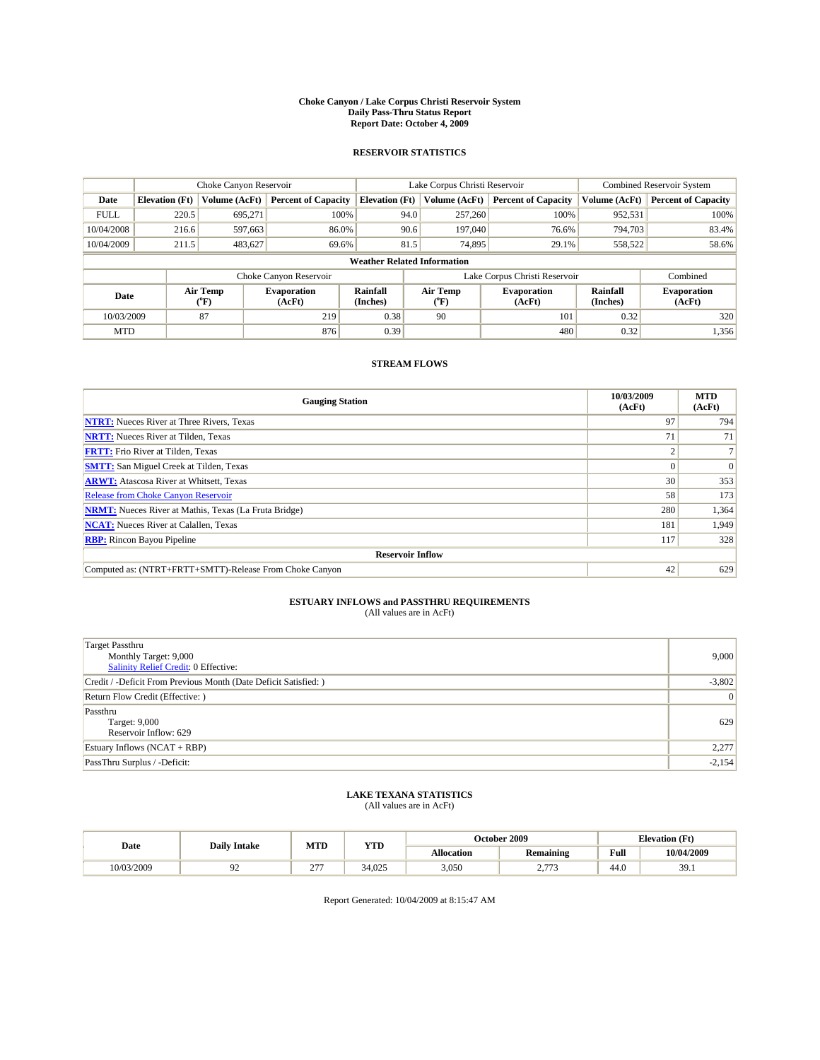#### **Choke Canyon / Lake Corpus Christi Reservoir System Daily Pass-Thru Status Report Report Date: October 4, 2009**

### **RESERVOIR STATISTICS**

|             | Choke Canyon Reservoir             |                  |                              |                             | Lake Corpus Christi Reservoir | <b>Combined Reservoir System</b> |                      |                              |  |
|-------------|------------------------------------|------------------|------------------------------|-----------------------------|-------------------------------|----------------------------------|----------------------|------------------------------|--|
| Date        | <b>Elevation</b> (Ft)              | Volume (AcFt)    | <b>Percent of Capacity</b>   | <b>Elevation</b> (Ft)       | Volume (AcFt)                 | <b>Percent of Capacity</b>       | Volume (AcFt)        | <b>Percent of Capacity</b>   |  |
| <b>FULL</b> | 220.5                              | 695,271          | 100%                         | 94.0                        | 257,260                       | 100%                             | 952,531              | 100%                         |  |
| 10/04/2008  | 216.6                              | 597,663          | 86.0%                        | 90.6                        | 197,040                       | 76.6%                            | 794.703              | 83.4%                        |  |
| 10/04/2009  | 211.5                              | 483,627          | 69.6%                        | 81.5                        | 74,895                        | 29.1%                            | 558,522              | 58.6%                        |  |
|             | <b>Weather Related Information</b> |                  |                              |                             |                               |                                  |                      |                              |  |
|             |                                    |                  | Choke Canyon Reservoir       |                             |                               | Lake Corpus Christi Reservoir    |                      | Combined                     |  |
| Date        |                                    | Air Temp<br>(°F) | <b>Evaporation</b><br>(AcFt) | <b>Rainfall</b><br>(Inches) | Air Temp<br>(°F)              | <b>Evaporation</b><br>(AcFt)     | Rainfall<br>(Inches) | <b>Evaporation</b><br>(AcFt) |  |
| 10/03/2009  |                                    | 87               | 219                          | 0.38                        | 90                            | 101                              | 0.32                 | 320                          |  |
| <b>MTD</b>  |                                    |                  | 876                          | 0.39                        |                               | 480                              | 0.32                 | 1,356                        |  |

### **STREAM FLOWS**

| <b>Gauging Station</b>                                       | 10/03/2009<br>(AcFt) | <b>MTD</b><br>(AcFt) |  |  |  |  |  |
|--------------------------------------------------------------|----------------------|----------------------|--|--|--|--|--|
| <b>NTRT:</b> Nueces River at Three Rivers, Texas             | 97                   | 794                  |  |  |  |  |  |
| <b>NRTT:</b> Nueces River at Tilden, Texas                   | 71                   | 71                   |  |  |  |  |  |
| <b>FRTT:</b> Frio River at Tilden, Texas                     | $\sqrt{2}$           |                      |  |  |  |  |  |
| <b>SMTT:</b> San Miguel Creek at Tilden, Texas               |                      | $\Omega$             |  |  |  |  |  |
| <b>ARWT:</b> Atascosa River at Whitsett, Texas               | 30                   | 353                  |  |  |  |  |  |
| <b>Release from Choke Canyon Reservoir</b>                   | 58                   | 173                  |  |  |  |  |  |
| <b>NRMT:</b> Nueces River at Mathis, Texas (La Fruta Bridge) | 280                  | 1,364                |  |  |  |  |  |
| <b>NCAT:</b> Nueces River at Calallen, Texas                 | 181                  | 1,949                |  |  |  |  |  |
| <b>RBP:</b> Rincon Bayou Pipeline                            | 117                  | 328                  |  |  |  |  |  |
| <b>Reservoir Inflow</b>                                      |                      |                      |  |  |  |  |  |
| Computed as: (NTRT+FRTT+SMTT)-Release From Choke Canyon      | 42                   | 629                  |  |  |  |  |  |

# **ESTUARY INFLOWS and PASSTHRU REQUIREMENTS**<br>(All values are in AcFt)

| <b>Target Passthru</b><br>Monthly Target: 9,000<br>Salinity Relief Credit: 0 Effective: | 9,000    |
|-----------------------------------------------------------------------------------------|----------|
| Credit / -Deficit From Previous Month (Date Deficit Satisfied: )                        | $-3,802$ |
| Return Flow Credit (Effective: )                                                        | 0        |
| Passthru<br>Target: 9,000<br>Reservoir Inflow: 629                                      | 629      |
| Estuary Inflows $(NCAT + RBP)$                                                          | 2,277    |
| PassThru Surplus / -Deficit:                                                            | $-2,154$ |

## **LAKE TEXANA STATISTICS** (All values are in AcFt)

| Date       | <b>Daily Intake</b> | MTD           | <b>YTD</b> |                   | October 2009        | <b>Elevation</b> (Ft) |               |
|------------|---------------------|---------------|------------|-------------------|---------------------|-----------------------|---------------|
|            |                     |               |            | <b>Allocation</b> | <b>Remaining</b>    | Full                  | 10/04/2009    |
| 10/03/2009 | ╯                   | $\sim$<br>. . | 34.025     | 3.050             | $- - -$<br><u>.</u> | 44.0                  | 30<br><i></i> |

Report Generated: 10/04/2009 at 8:15:47 AM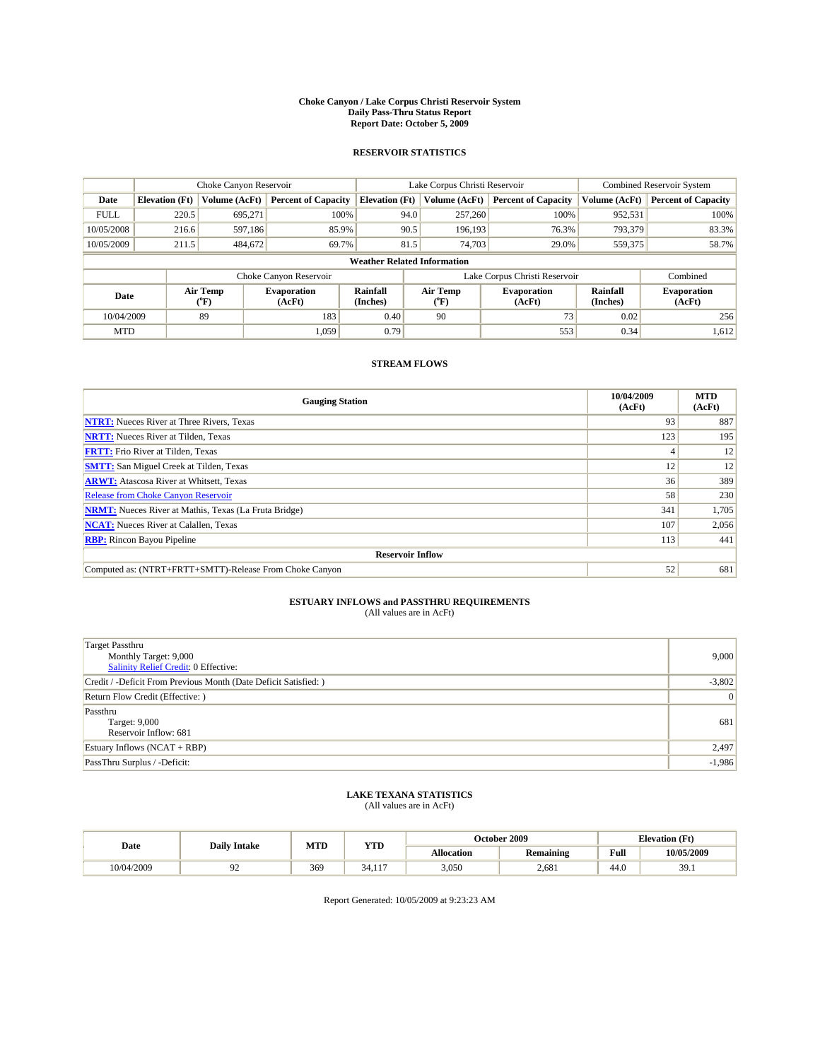#### **Choke Canyon / Lake Corpus Christi Reservoir System Daily Pass-Thru Status Report Report Date: October 5, 2009**

### **RESERVOIR STATISTICS**

|             | Choke Canyon Reservoir             |                  |                              |                             | Lake Corpus Christi Reservoir | <b>Combined Reservoir System</b> |                      |                              |  |
|-------------|------------------------------------|------------------|------------------------------|-----------------------------|-------------------------------|----------------------------------|----------------------|------------------------------|--|
| Date        | <b>Elevation</b> (Ft)              | Volume (AcFt)    | <b>Percent of Capacity</b>   | <b>Elevation</b> (Ft)       | Volume (AcFt)                 | <b>Percent of Capacity</b>       | Volume (AcFt)        | <b>Percent of Capacity</b>   |  |
| <b>FULL</b> | 220.5                              | 695,271          | 100%                         | 94.0                        | 257,260                       | 100%                             | 952,531              | 100%                         |  |
| 10/05/2008  | 216.6                              | 597,186          | 85.9%                        | 90.5                        | 196.193                       | 76.3%                            | 793,379              | 83.3%                        |  |
| 10/05/2009  | 211.5                              | 484,672          | 69.7%                        | 81.5                        | 74,703                        | 29.0%                            | 559,375              | 58.7%                        |  |
|             | <b>Weather Related Information</b> |                  |                              |                             |                               |                                  |                      |                              |  |
|             |                                    |                  | Choke Canyon Reservoir       |                             |                               | Lake Corpus Christi Reservoir    |                      | Combined                     |  |
| Date        |                                    | Air Temp<br>(°F) | <b>Evaporation</b><br>(AcFt) | <b>Rainfall</b><br>(Inches) | Air Temp<br>(°F)              | <b>Evaporation</b><br>(AcFt)     | Rainfall<br>(Inches) | <b>Evaporation</b><br>(AcFt) |  |
| 10/04/2009  |                                    | 89               | 183                          | 0.40                        | 90                            | 73                               | 0.02                 | 256                          |  |
| <b>MTD</b>  |                                    |                  | 1.059                        | 0.79                        |                               | 553                              | 0.34                 | 1,612                        |  |

### **STREAM FLOWS**

| <b>Gauging Station</b>                                       | 10/04/2009<br>(AcFt) | <b>MTD</b><br>(AcFt) |  |  |  |  |
|--------------------------------------------------------------|----------------------|----------------------|--|--|--|--|
| <b>NTRT:</b> Nueces River at Three Rivers, Texas             | 93                   | 887                  |  |  |  |  |
| <b>NRTT:</b> Nueces River at Tilden, Texas                   | 123                  | 195                  |  |  |  |  |
| <b>FRTT:</b> Frio River at Tilden, Texas                     |                      | 12                   |  |  |  |  |
| <b>SMTT:</b> San Miguel Creek at Tilden, Texas               | 12                   | 12                   |  |  |  |  |
| <b>ARWT:</b> Atascosa River at Whitsett, Texas               | 36                   | 389                  |  |  |  |  |
| <b>Release from Choke Canyon Reservoir</b>                   | 58                   | 230                  |  |  |  |  |
| <b>NRMT:</b> Nueces River at Mathis, Texas (La Fruta Bridge) | 341                  | 1,705                |  |  |  |  |
| <b>NCAT:</b> Nueces River at Calallen, Texas                 | 107                  | 2,056                |  |  |  |  |
| <b>RBP:</b> Rincon Bayou Pipeline                            | 113                  | 441                  |  |  |  |  |
| <b>Reservoir Inflow</b>                                      |                      |                      |  |  |  |  |
| Computed as: (NTRT+FRTT+SMTT)-Release From Choke Canyon      | 52                   | 681                  |  |  |  |  |

# **ESTUARY INFLOWS and PASSTHRU REQUIREMENTS**<br>(All values are in AcFt)

| <b>Target Passthru</b><br>Monthly Target: 9,000<br>Salinity Relief Credit: 0 Effective: | 9,000    |
|-----------------------------------------------------------------------------------------|----------|
| Credit / -Deficit From Previous Month (Date Deficit Satisfied: )                        | $-3,802$ |
| Return Flow Credit (Effective: )                                                        | 0        |
| Passthru<br>Target: 9,000<br>Reservoir Inflow: 681                                      | 681      |
| Estuary Inflows $(NCAT + RBP)$                                                          | 2,497    |
| PassThru Surplus / -Deficit:                                                            | $-1,986$ |

## **LAKE TEXANA STATISTICS** (All values are in AcFt)

| Date       | <b>Daily Intake</b> | MTD | <b>YTD</b>                          |                   | October 2009     | <b>Elevation</b> (Ft) |               |
|------------|---------------------|-----|-------------------------------------|-------------------|------------------|-----------------------|---------------|
|            |                     |     |                                     | <b>Allocation</b> | <b>Remaining</b> | Full                  | 10/05/2009    |
| 10/04/2009 | ╯                   | 369 | $\sim$ $\lambda$<br>$\sim$<br>34.11 | 3.050             | 2,681            | 44.0                  | 30<br><i></i> |

Report Generated: 10/05/2009 at 9:23:23 AM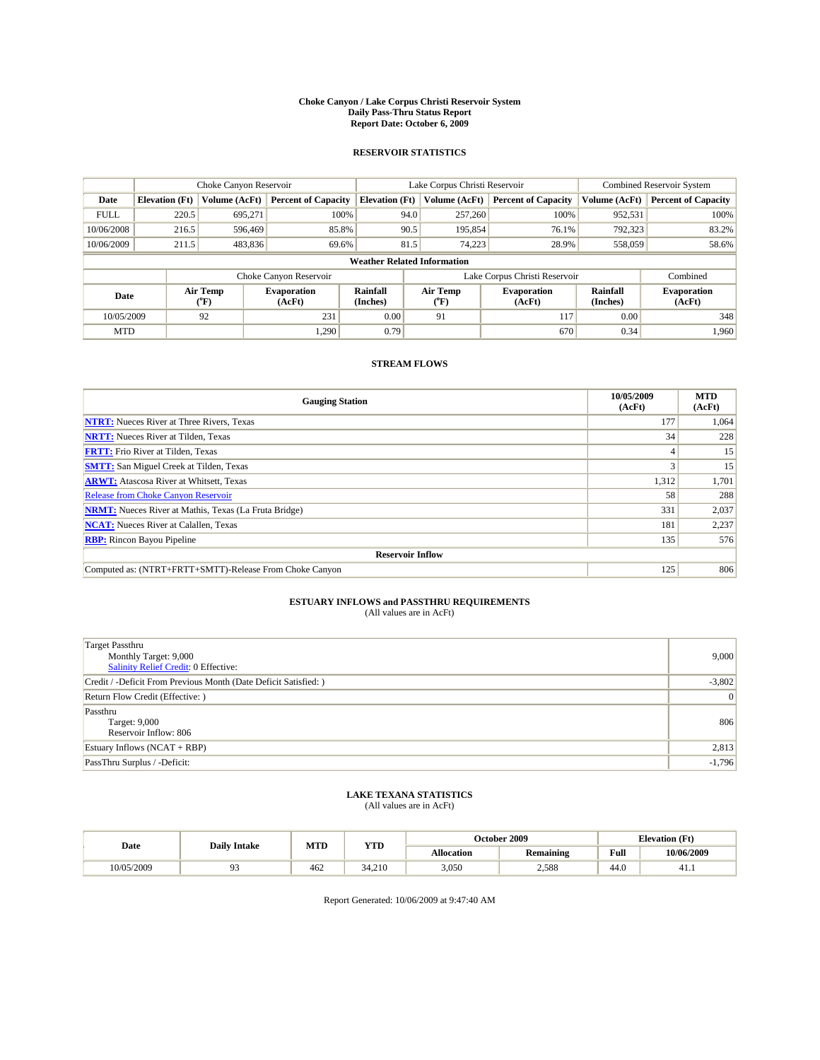#### **Choke Canyon / Lake Corpus Christi Reservoir System Daily Pass-Thru Status Report Report Date: October 6, 2009**

### **RESERVOIR STATISTICS**

|                                    | Choke Canyon Reservoir |                  |                              |                             | Lake Corpus Christi Reservoir | <b>Combined Reservoir System</b> |                      |                              |
|------------------------------------|------------------------|------------------|------------------------------|-----------------------------|-------------------------------|----------------------------------|----------------------|------------------------------|
| Date                               | <b>Elevation</b> (Ft)  | Volume (AcFt)    | <b>Percent of Capacity</b>   | <b>Elevation</b> (Ft)       | Volume (AcFt)                 | <b>Percent of Capacity</b>       | Volume (AcFt)        | <b>Percent of Capacity</b>   |
| <b>FULL</b>                        | 220.5                  | 695,271          | 100%                         | 94.0                        | 257,260                       | 100%                             | 952,531              | 100%                         |
| 10/06/2008                         | 216.5                  | 596,469          | 85.8%                        | 90.5                        | 195,854                       | 76.1%                            | 792,323              | 83.2%                        |
| 10/06/2009                         | 211.5                  | 483,836          | 69.6%                        | 81.5                        | 74,223                        | 28.9%                            | 558,059              | 58.6%                        |
| <b>Weather Related Information</b> |                        |                  |                              |                             |                               |                                  |                      |                              |
|                                    |                        |                  | Choke Canyon Reservoir       |                             |                               | Lake Corpus Christi Reservoir    |                      | Combined                     |
| Date                               |                        | Air Temp<br>(°F) | <b>Evaporation</b><br>(AcFt) | <b>Rainfall</b><br>(Inches) | Air Temp<br>(°F)              | <b>Evaporation</b><br>(AcFt)     | Rainfall<br>(Inches) | <b>Evaporation</b><br>(AcFt) |
| 10/05/2009                         |                        | 92               | 231                          | 0.00                        | 91                            | 117                              | 0.00                 | 348                          |
| <b>MTD</b>                         |                        |                  | 1.290                        | 0.79                        |                               | 670                              | 0.34                 | 1.960                        |

### **STREAM FLOWS**

| <b>Gauging Station</b>                                       | 10/05/2009<br>(AcFt) | <b>MTD</b><br>(AcFt) |
|--------------------------------------------------------------|----------------------|----------------------|
| <b>NTRT:</b> Nueces River at Three Rivers, Texas             | 177                  | 1,064                |
| <b>NRTT:</b> Nueces River at Tilden, Texas                   | 34                   | 228                  |
| <b>FRTT:</b> Frio River at Tilden, Texas                     |                      | 15                   |
| <b>SMTT:</b> San Miguel Creek at Tilden, Texas               |                      | 15                   |
| <b>ARWT:</b> Atascosa River at Whitsett, Texas               | 1,312                | 1,701                |
| <b>Release from Choke Canyon Reservoir</b>                   | 58                   | 288                  |
| <b>NRMT:</b> Nueces River at Mathis, Texas (La Fruta Bridge) | 331                  | 2,037                |
| <b>NCAT:</b> Nueces River at Calallen, Texas                 | 181                  | 2,237                |
| <b>RBP:</b> Rincon Bayou Pipeline                            | 135                  | 576                  |
| <b>Reservoir Inflow</b>                                      |                      |                      |
| Computed as: (NTRT+FRTT+SMTT)-Release From Choke Canyon      | 125                  | 806                  |

# **ESTUARY INFLOWS and PASSTHRU REQUIREMENTS**<br>(All values are in AcFt)

| <b>Target Passthru</b><br>Monthly Target: 9,000<br>Salinity Relief Credit: 0 Effective: | 9,000    |
|-----------------------------------------------------------------------------------------|----------|
| Credit / -Deficit From Previous Month (Date Deficit Satisfied: )                        | $-3,802$ |
| Return Flow Credit (Effective: )                                                        | 0        |
| Passthru<br>Target: 9,000<br>Reservoir Inflow: 806                                      | 806      |
| Estuary Inflows $(NCAT + RBP)$                                                          | 2,813    |
| PassThru Surplus / -Deficit:                                                            | $-1,796$ |

## **LAKE TEXANA STATISTICS** (All values are in AcFt)

|            | <b>Daily Intake</b> | MTD | <b>YTD</b> |                   | October 2009     | <b>Elevation</b> (Ft)                       |            |
|------------|---------------------|-----|------------|-------------------|------------------|---------------------------------------------|------------|
| Date       |                     |     |            | <b>Allocation</b> | <b>Remaining</b> | Full<br>the contract of the contract of the | 10/06/2009 |
| 10/05/2009 |                     | 462 | 34.210     | 3,050             | 2,588            | 44.0                                        | 41.1       |

Report Generated: 10/06/2009 at 9:47:40 AM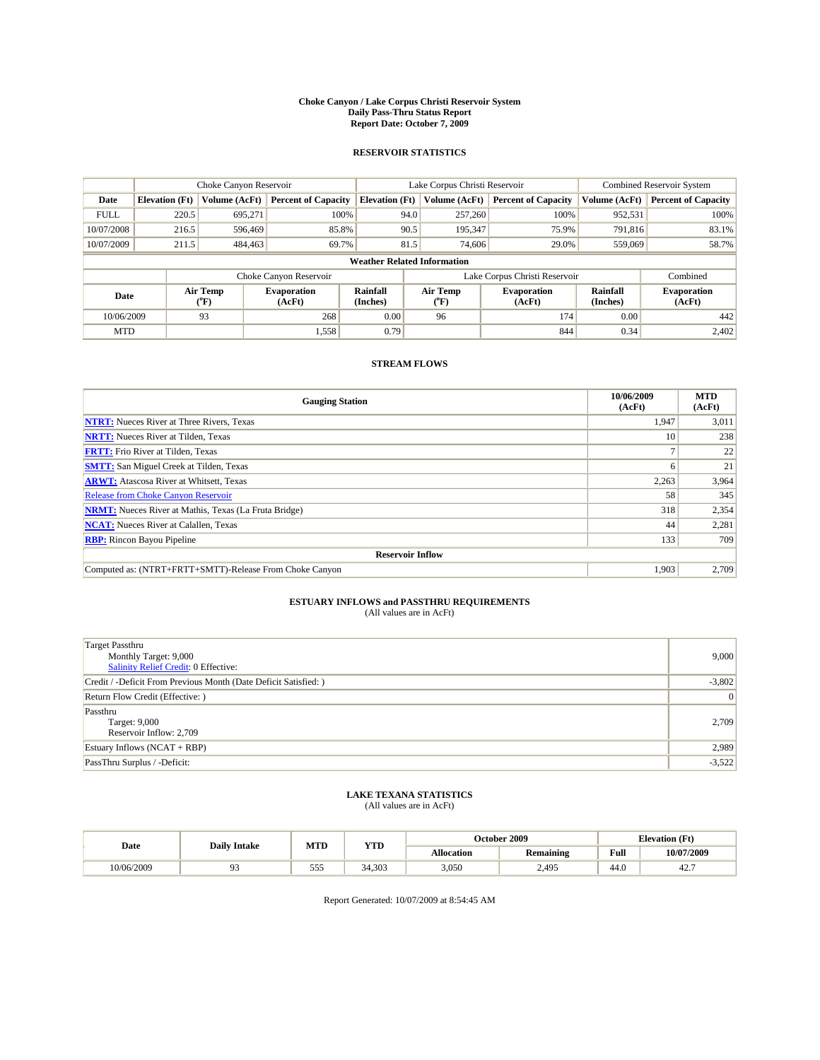#### **Choke Canyon / Lake Corpus Christi Reservoir System Daily Pass-Thru Status Report Report Date: October 7, 2009**

### **RESERVOIR STATISTICS**

|             |                                    | Choke Canyon Reservoir                    |                              |                             | Lake Corpus Christi Reservoir | <b>Combined Reservoir System</b> |                      |                              |  |
|-------------|------------------------------------|-------------------------------------------|------------------------------|-----------------------------|-------------------------------|----------------------------------|----------------------|------------------------------|--|
| Date        | <b>Elevation</b> (Ft)              | Volume (AcFt)                             | <b>Percent of Capacity</b>   | <b>Elevation</b> (Ft)       | Volume (AcFt)                 | <b>Percent of Capacity</b>       | Volume (AcFt)        | <b>Percent of Capacity</b>   |  |
| <b>FULL</b> | 220.5                              | 695,271                                   | 100%                         | 94.0                        | 257,260                       | 100%                             | 952,531              | 100%                         |  |
| 10/07/2008  | 216.5                              | 596,469                                   | 85.8%                        | 90.5                        | 195,347                       | 75.9%                            | 791.816              | 83.1%                        |  |
| 10/07/2009  | 211.5                              | 484,463                                   | 69.7%                        | 81.5                        | 74,606                        | 29.0%                            | 559,069              | 58.7%                        |  |
|             | <b>Weather Related Information</b> |                                           |                              |                             |                               |                                  |                      |                              |  |
|             |                                    |                                           | Choke Canyon Reservoir       |                             |                               | Lake Corpus Christi Reservoir    |                      | Combined                     |  |
| Date        |                                    | Air Temp<br>$({}^{\mathrm{o}}\mathrm{F})$ | <b>Evaporation</b><br>(AcFt) | <b>Rainfall</b><br>(Inches) | Air Temp<br>(°F)              | <b>Evaporation</b><br>(AcFt)     | Rainfall<br>(Inches) | <b>Evaporation</b><br>(AcFt) |  |
| 10/06/2009  |                                    | 93                                        | 268                          | 0.00                        | 96                            | 174                              | 0.00                 | 442                          |  |
| <b>MTD</b>  |                                    |                                           | 1,558                        | 0.79                        |                               | 844                              | 0.34                 | 2.402                        |  |

### **STREAM FLOWS**

| <b>Gauging Station</b>                                       | 10/06/2009<br>(AcFt) | <b>MTD</b><br>(AcFt) |  |  |  |  |
|--------------------------------------------------------------|----------------------|----------------------|--|--|--|--|
| <b>NTRT:</b> Nueces River at Three Rivers, Texas             | 1,947                | 3,011                |  |  |  |  |
| <b>NRTT:</b> Nueces River at Tilden, Texas                   | 10                   | 238                  |  |  |  |  |
| <b>FRTT:</b> Frio River at Tilden, Texas                     |                      | 22                   |  |  |  |  |
| <b>SMTT:</b> San Miguel Creek at Tilden, Texas               | h                    | 21                   |  |  |  |  |
| <b>ARWT:</b> Atascosa River at Whitsett, Texas               | 2,263                | 3,964                |  |  |  |  |
| <b>Release from Choke Canyon Reservoir</b>                   | 58                   | 345                  |  |  |  |  |
| <b>NRMT:</b> Nueces River at Mathis, Texas (La Fruta Bridge) | 318                  | 2,354                |  |  |  |  |
| <b>NCAT:</b> Nueces River at Calallen, Texas                 | 44                   | 2,281                |  |  |  |  |
| <b>RBP:</b> Rincon Bayou Pipeline                            | 133                  | 709                  |  |  |  |  |
| <b>Reservoir Inflow</b>                                      |                      |                      |  |  |  |  |
| Computed as: (NTRT+FRTT+SMTT)-Release From Choke Canyon      | 1,903                | 2,709                |  |  |  |  |

# **ESTUARY INFLOWS and PASSTHRU REQUIREMENTS**<br>(All values are in AcFt)

| <b>Target Passthru</b><br>Monthly Target: 9,000<br>Salinity Relief Credit: 0 Effective: | 9,000    |
|-----------------------------------------------------------------------------------------|----------|
| Credit / -Deficit From Previous Month (Date Deficit Satisfied: )                        | $-3,802$ |
| Return Flow Credit (Effective: )                                                        | 0        |
| Passthru<br>Target: 9,000<br>Reservoir Inflow: 2,709                                    | 2,709    |
| Estuary Inflows $(NCAT + RBP)$                                                          | 2,989    |
| PassThru Surplus / -Deficit:                                                            | $-3,522$ |

## **LAKE TEXANA STATISTICS** (All values are in AcFt)

| Date       | <b>Daily Intake</b> | MTD            | <b>YTD</b> |                   | October 2009     | <b>Elevation</b> (Ft) |            |
|------------|---------------------|----------------|------------|-------------------|------------------|-----------------------|------------|
|            |                     |                |            | <b>Allocation</b> | <b>Remaining</b> | Full                  | 10/07/2009 |
| 10/06/2009 |                     | $- - -$<br>555 | 34.303     | 3,050             | 2,495            | 44.0                  | 42.        |

Report Generated: 10/07/2009 at 8:54:45 AM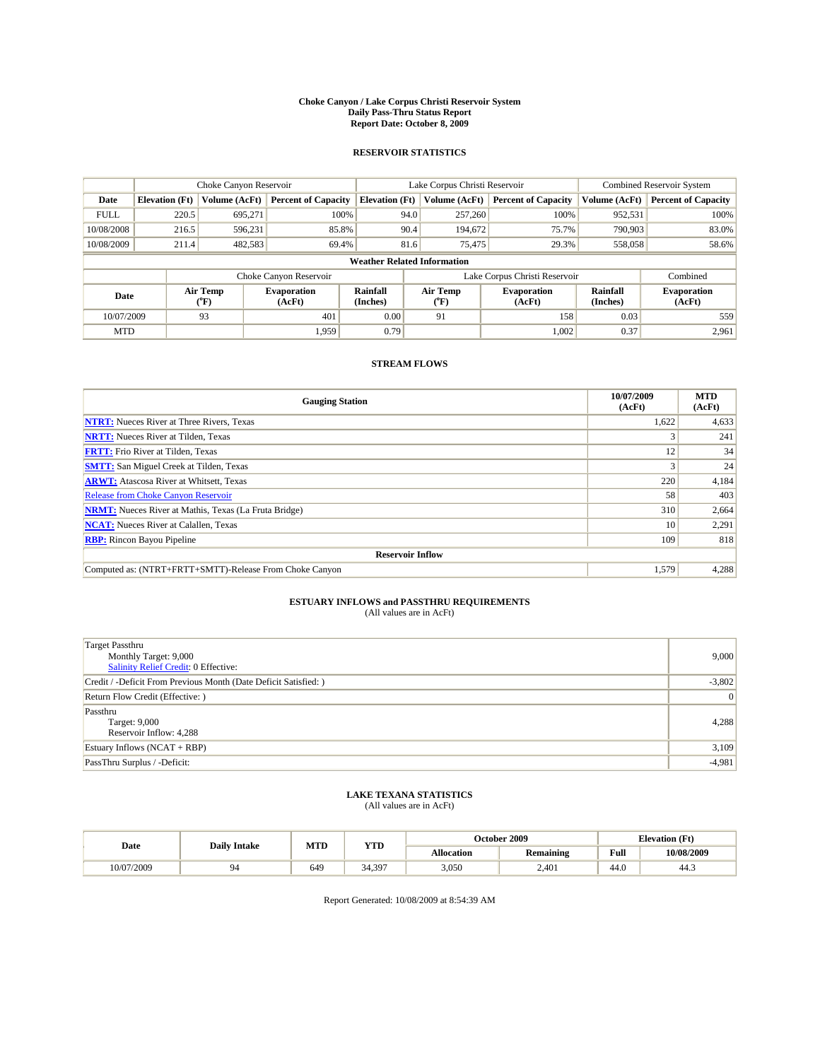#### **Choke Canyon / Lake Corpus Christi Reservoir System Daily Pass-Thru Status Report Report Date: October 8, 2009**

### **RESERVOIR STATISTICS**

|             |                                    | Choke Canyon Reservoir |                              |                             | Lake Corpus Christi Reservoir | <b>Combined Reservoir System</b> |                      |                              |  |
|-------------|------------------------------------|------------------------|------------------------------|-----------------------------|-------------------------------|----------------------------------|----------------------|------------------------------|--|
| Date        | <b>Elevation</b> (Ft)              | Volume (AcFt)          | <b>Percent of Capacity</b>   | <b>Elevation</b> (Ft)       | Volume (AcFt)                 | <b>Percent of Capacity</b>       | Volume (AcFt)        | <b>Percent of Capacity</b>   |  |
| <b>FULL</b> | 220.5                              | 695,271                | 100%                         |                             | 257,260<br>94.0               | 100%                             | 952,531              | 100%                         |  |
| 10/08/2008  | 216.5                              | 596,231                | 85.8%                        |                             | 90.4<br>194,672               | 75.7%                            | 790.903              | 83.0%                        |  |
| 10/08/2009  | 211.4                              | 482,583                | 69.4%                        |                             | 81.6<br>75,475                | 29.3%                            | 558,058              | 58.6%                        |  |
|             | <b>Weather Related Information</b> |                        |                              |                             |                               |                                  |                      |                              |  |
|             |                                    |                        | Choke Canyon Reservoir       |                             |                               | Lake Corpus Christi Reservoir    |                      | Combined                     |  |
| Date        |                                    | Air Temp<br>(°F)       | <b>Evaporation</b><br>(AcFt) | <b>Rainfall</b><br>(Inches) | Air Temp<br>(°F)              | <b>Evaporation</b><br>(AcFt)     | Rainfall<br>(Inches) | <b>Evaporation</b><br>(AcFt) |  |
| 10/07/2009  |                                    | 93                     | 401                          | 0.00                        | 91                            | 158                              | 0.03                 | 559                          |  |
| <b>MTD</b>  |                                    |                        | 1.959                        | 0.79                        |                               | 1,002                            | 0.37                 | 2,961                        |  |

### **STREAM FLOWS**

| <b>Gauging Station</b>                                       | 10/07/2009<br>(AcFt) | <b>MTD</b><br>(AcFt) |  |  |  |  |
|--------------------------------------------------------------|----------------------|----------------------|--|--|--|--|
| <b>NTRT:</b> Nueces River at Three Rivers, Texas             | 1,622                | 4,633                |  |  |  |  |
| <b>NRTT:</b> Nueces River at Tilden, Texas                   |                      | 241                  |  |  |  |  |
| <b>FRTT:</b> Frio River at Tilden, Texas                     | 12                   | 34                   |  |  |  |  |
| <b>SMTT:</b> San Miguel Creek at Tilden, Texas               |                      | 24                   |  |  |  |  |
| <b>ARWT:</b> Atascosa River at Whitsett, Texas               | 220                  | 4,184                |  |  |  |  |
| <b>Release from Choke Canyon Reservoir</b>                   | 58                   | 403                  |  |  |  |  |
| <b>NRMT:</b> Nueces River at Mathis, Texas (La Fruta Bridge) | 310                  | 2,664                |  |  |  |  |
| <b>NCAT:</b> Nueces River at Calallen, Texas                 | 10                   | 2,291                |  |  |  |  |
| <b>RBP:</b> Rincon Bayou Pipeline                            | 109                  | 818                  |  |  |  |  |
| <b>Reservoir Inflow</b>                                      |                      |                      |  |  |  |  |
| Computed as: (NTRT+FRTT+SMTT)-Release From Choke Canyon      | 1,579                | 4,288                |  |  |  |  |

# **ESTUARY INFLOWS and PASSTHRU REQUIREMENTS**<br>(All values are in AcFt)

| <b>Target Passthru</b><br>Monthly Target: 9,000<br>Salinity Relief Credit: 0 Effective: | 9,000    |
|-----------------------------------------------------------------------------------------|----------|
| Credit / -Deficit From Previous Month (Date Deficit Satisfied: )                        | $-3,802$ |
| Return Flow Credit (Effective: )                                                        | 0        |
| Passthru<br>Target: 9,000<br>Reservoir Inflow: 4,288                                    | 4,288    |
| Estuary Inflows $(NCAT + RBP)$                                                          | 3,109    |
| PassThru Surplus / -Deficit:                                                            | $-4,981$ |

## **LAKE TEXANA STATISTICS** (All values are in AcFt)

| Date       | <b>Daily Intake</b> | MTD | <b>YTD</b>   |                   | October 2009 | <b>Elevation</b> (Ft) |            |
|------------|---------------------|-----|--------------|-------------------|--------------|-----------------------|------------|
|            |                     |     |              | <b>Allocation</b> | Remaining    | Full                  | 10/08/2009 |
| 10/07/2009 |                     | 649 | 397<br>34.39 | 3.050             | 2.401        | 44.0                  | 44.3       |

Report Generated: 10/08/2009 at 8:54:39 AM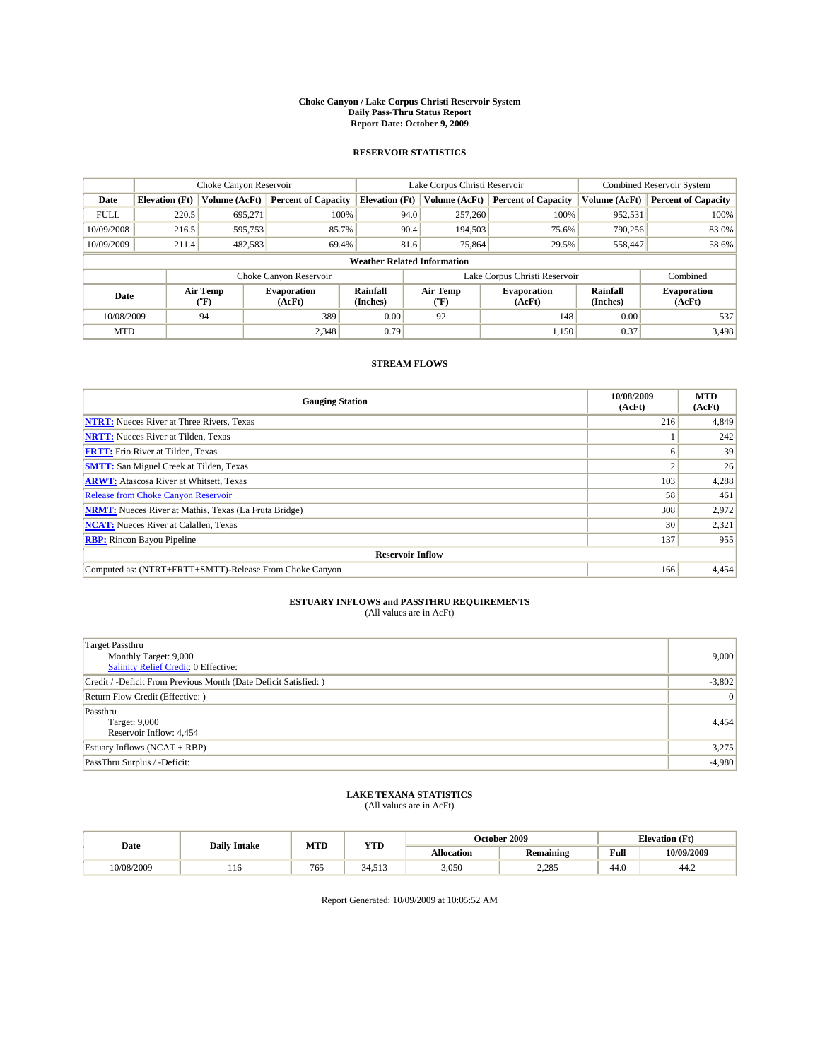#### **Choke Canyon / Lake Corpus Christi Reservoir System Daily Pass-Thru Status Report Report Date: October 9, 2009**

### **RESERVOIR STATISTICS**

|                                    |                       | Choke Canyon Reservoir |                              |                             | Lake Corpus Christi Reservoir | <b>Combined Reservoir System</b> |                      |                              |
|------------------------------------|-----------------------|------------------------|------------------------------|-----------------------------|-------------------------------|----------------------------------|----------------------|------------------------------|
| Date                               | <b>Elevation</b> (Ft) | Volume (AcFt)          | <b>Percent of Capacity</b>   | <b>Elevation</b> (Ft)       | Volume (AcFt)                 | <b>Percent of Capacity</b>       | Volume (AcFt)        | <b>Percent of Capacity</b>   |
| <b>FULL</b>                        | 220.5                 | 695,271                | 100%                         | 94.0                        | 257,260                       | 100%                             | 952,531              | 100%                         |
| 10/09/2008                         | 216.5                 | 595,753                | 85.7%                        | 90.4                        | 194,503                       | 75.6%                            | 790,256              | 83.0%                        |
| 10/09/2009                         | 211.4                 | 482,583                | 69.4%                        | 81.6                        | 75,864                        | 29.5%                            | 558,447              | 58.6%                        |
| <b>Weather Related Information</b> |                       |                        |                              |                             |                               |                                  |                      |                              |
|                                    |                       |                        | Choke Canyon Reservoir       |                             |                               | Lake Corpus Christi Reservoir    |                      | Combined                     |
| Date                               |                       | Air Temp<br>(°F)       | <b>Evaporation</b><br>(AcFt) | <b>Rainfall</b><br>(Inches) | Air Temp<br>(°F)              | <b>Evaporation</b><br>(AcFt)     | Rainfall<br>(Inches) | <b>Evaporation</b><br>(AcFt) |
| 10/08/2009                         |                       | 94                     | 389                          | 0.00                        | 92                            | 148                              | 0.00                 | 537                          |
| <b>MTD</b>                         |                       |                        | 2,348                        | 0.79                        |                               | 1,150                            | 0.37                 | 3.498                        |

### **STREAM FLOWS**

| <b>Gauging Station</b>                                       | 10/08/2009<br>(AcFt) | <b>MTD</b><br>(AcFt) |  |  |  |  |
|--------------------------------------------------------------|----------------------|----------------------|--|--|--|--|
| <b>NTRT:</b> Nueces River at Three Rivers, Texas             | 216                  | 4,849                |  |  |  |  |
| <b>NRTT:</b> Nueces River at Tilden, Texas                   |                      | 242                  |  |  |  |  |
| <b>FRTT:</b> Frio River at Tilden, Texas                     | 6                    | 39                   |  |  |  |  |
| <b>SMTT:</b> San Miguel Creek at Tilden, Texas               |                      | 26                   |  |  |  |  |
| <b>ARWT:</b> Atascosa River at Whitsett, Texas               | 103                  | 4,288                |  |  |  |  |
| <b>Release from Choke Canyon Reservoir</b>                   | 58                   | 461                  |  |  |  |  |
| <b>NRMT:</b> Nueces River at Mathis, Texas (La Fruta Bridge) | 308                  | 2,972                |  |  |  |  |
| <b>NCAT:</b> Nueces River at Calallen, Texas                 | 30                   | 2,321                |  |  |  |  |
| 137<br><b>RBP:</b> Rincon Bayou Pipeline                     |                      |                      |  |  |  |  |
| <b>Reservoir Inflow</b>                                      |                      |                      |  |  |  |  |
| Computed as: (NTRT+FRTT+SMTT)-Release From Choke Canyon      | 166                  | 4,454                |  |  |  |  |

# **ESTUARY INFLOWS and PASSTHRU REQUIREMENTS**<br>(All values are in AcFt)

| <b>Target Passthru</b><br>Monthly Target: 9,000<br>Salinity Relief Credit: 0 Effective: | 9,000    |
|-----------------------------------------------------------------------------------------|----------|
| Credit / -Deficit From Previous Month (Date Deficit Satisfied: )                        | $-3,802$ |
| Return Flow Credit (Effective:)                                                         | 0        |
| Passthru<br>Target: 9,000<br>Reservoir Inflow: 4,454                                    | 4,454    |
| Estuary Inflows $(NCAT + RBP)$                                                          | 3,275    |
| PassThru Surplus / -Deficit:                                                            | $-4,980$ |

## **LAKE TEXANA STATISTICS** (All values are in AcFt)

|            | <b>Daily Intake</b> | MTD | <b>YTD</b> |            | October 2009     | <b>Elevation</b> (Ft)                       |            |
|------------|---------------------|-----|------------|------------|------------------|---------------------------------------------|------------|
| Date       |                     |     |            | Allocation | <b>Remaining</b> | Full<br>the contract of the contract of the | 10/09/2009 |
| 10/08/2009 | 110                 | 765 | 34.513     | 3,050      | 2.285            | 44.0                                        | 44.2       |

Report Generated: 10/09/2009 at 10:05:52 AM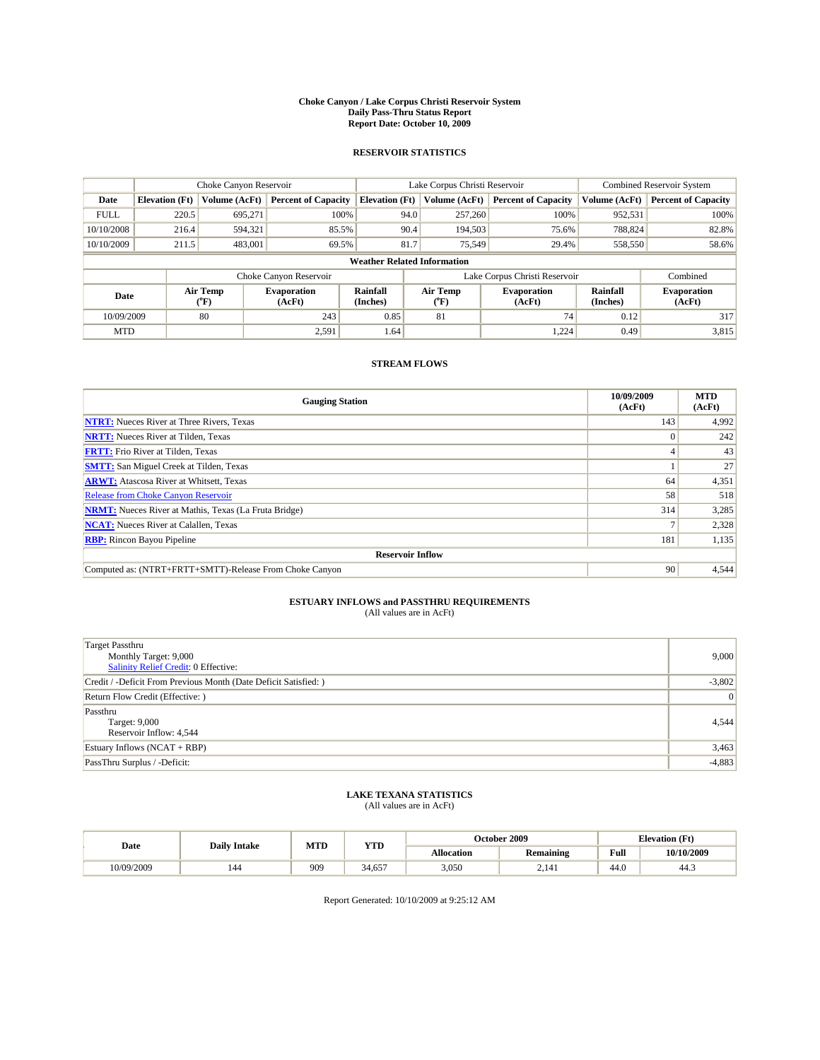#### **Choke Canyon / Lake Corpus Christi Reservoir System Daily Pass-Thru Status Report Report Date: October 10, 2009**

### **RESERVOIR STATISTICS**

|             | Choke Canyon Reservoir             |                  |                              |                             | Lake Corpus Christi Reservoir | <b>Combined Reservoir System</b> |                      |                              |  |
|-------------|------------------------------------|------------------|------------------------------|-----------------------------|-------------------------------|----------------------------------|----------------------|------------------------------|--|
| Date        | <b>Elevation</b> (Ft)              | Volume (AcFt)    | <b>Percent of Capacity</b>   | <b>Elevation</b> (Ft)       | Volume (AcFt)                 | <b>Percent of Capacity</b>       | Volume (AcFt)        | <b>Percent of Capacity</b>   |  |
| <b>FULL</b> | 220.5                              | 695,271          | 100%                         | 94.0                        | 257,260                       | 100%                             | 952,531              | 100%                         |  |
| 10/10/2008  | 216.4                              | 594,321          | 85.5%                        | 90.4                        | 194,503                       | 75.6%                            | 788,824              | 82.8%                        |  |
| 10/10/2009  | 211.5                              | 483,001          | 69.5%                        | 81.7                        | 75,549                        | 29.4%                            | 558,550              | 58.6%                        |  |
|             | <b>Weather Related Information</b> |                  |                              |                             |                               |                                  |                      |                              |  |
|             |                                    |                  | Choke Canyon Reservoir       |                             |                               | Lake Corpus Christi Reservoir    |                      | Combined                     |  |
| Date        |                                    | Air Temp<br>(°F) | <b>Evaporation</b><br>(AcFt) | <b>Rainfall</b><br>(Inches) | Air Temp<br>(°F)              | <b>Evaporation</b><br>(AcFt)     | Rainfall<br>(Inches) | <b>Evaporation</b><br>(AcFt) |  |
| 10/09/2009  |                                    | 80               | 243                          | 0.85                        | 81                            | 74                               | 0.12                 | 317                          |  |
| <b>MTD</b>  |                                    |                  | 2,591                        | 1.64                        |                               | 1.224                            | 0.49                 | 3,815                        |  |

### **STREAM FLOWS**

| <b>Gauging Station</b>                                       | 10/09/2009<br>(AcFt) | <b>MTD</b><br>(AcFt) |  |  |  |  |
|--------------------------------------------------------------|----------------------|----------------------|--|--|--|--|
| <b>NTRT:</b> Nueces River at Three Rivers, Texas             | 143                  | 4,992                |  |  |  |  |
| <b>NRTT:</b> Nueces River at Tilden, Texas                   | $\Omega$             | 242                  |  |  |  |  |
| <b>FRTT:</b> Frio River at Tilden, Texas                     |                      | 43                   |  |  |  |  |
| <b>SMTT:</b> San Miguel Creek at Tilden, Texas               |                      | 27                   |  |  |  |  |
| <b>ARWT:</b> Atascosa River at Whitsett, Texas               | 64                   | 4,351                |  |  |  |  |
| <b>Release from Choke Canyon Reservoir</b>                   | 58                   | 518                  |  |  |  |  |
| <b>NRMT:</b> Nueces River at Mathis, Texas (La Fruta Bridge) | 314                  | 3,285                |  |  |  |  |
| <b>NCAT:</b> Nueces River at Calallen, Texas                 |                      | 2,328                |  |  |  |  |
| <b>RBP:</b> Rincon Bayou Pipeline                            | 181                  | 1,135                |  |  |  |  |
| <b>Reservoir Inflow</b>                                      |                      |                      |  |  |  |  |
| Computed as: (NTRT+FRTT+SMTT)-Release From Choke Canyon      | 90                   | 4,544                |  |  |  |  |

# **ESTUARY INFLOWS and PASSTHRU REQUIREMENTS**<br>(All values are in AcFt)

| Target Passthru<br>Monthly Target: 9,000<br>Salinity Relief Credit: 0 Effective: | 9,000    |
|----------------------------------------------------------------------------------|----------|
| Credit / -Deficit From Previous Month (Date Deficit Satisfied: )                 | $-3,802$ |
| Return Flow Credit (Effective: )                                                 | 0        |
| Passthru<br>Target: 9,000<br>Reservoir Inflow: 4,544                             | 4,544    |
| Estuary Inflows $(NCAT + RBP)$                                                   | 3,463    |
| PassThru Surplus / -Deficit:                                                     | $-4,883$ |

## **LAKE TEXANA STATISTICS** (All values are in AcFt)

| Date       | <b>Daily Intake</b> | MTD | <b>YTD</b> |                   | October 2009     | <b>Elevation</b> (Ft) |            |
|------------|---------------------|-----|------------|-------------------|------------------|-----------------------|------------|
|            |                     |     |            | <b>Allocation</b> | <b>Remaining</b> | Full                  | 10/10/2009 |
| 10/09/2009 | 144                 | 909 | 34.657     | 3.050             | 2.141            | 44.0                  | 44.3       |

Report Generated: 10/10/2009 at 9:25:12 AM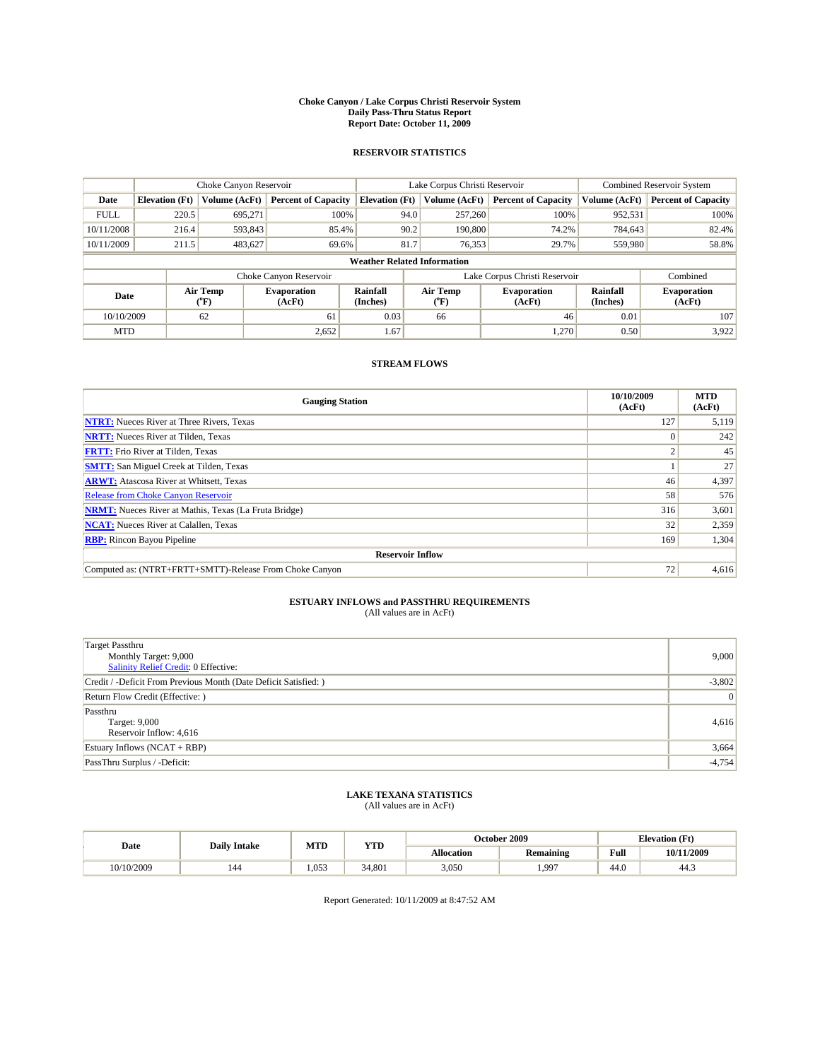#### **Choke Canyon / Lake Corpus Christi Reservoir System Daily Pass-Thru Status Report Report Date: October 11, 2009**

### **RESERVOIR STATISTICS**

|             |                                    | Choke Canyon Reservoir |                              |                             | Lake Corpus Christi Reservoir | Combined Reservoir System     |                      |                              |  |
|-------------|------------------------------------|------------------------|------------------------------|-----------------------------|-------------------------------|-------------------------------|----------------------|------------------------------|--|
| Date        | <b>Elevation</b> (Ft)              | Volume (AcFt)          | <b>Percent of Capacity</b>   | <b>Elevation</b> (Ft)       | Volume (AcFt)                 | <b>Percent of Capacity</b>    | Volume (AcFt)        | <b>Percent of Capacity</b>   |  |
| <b>FULL</b> | 220.5                              | 695,271                | 100%                         | 94.0                        | 257,260                       | 100%                          | 952,531              | 100%                         |  |
| 10/11/2008  | 216.4                              | 593,843                | 85.4%                        | 90.2                        | 190,800                       | 74.2%                         | 784,643              | 82.4%                        |  |
| 10/11/2009  | 211.5                              | 483,627                | 69.6%                        | 81.7                        | 76,353                        | 29.7%                         | 559,980              | 58.8%                        |  |
|             | <b>Weather Related Information</b> |                        |                              |                             |                               |                               |                      |                              |  |
|             |                                    |                        | Choke Canyon Reservoir       |                             |                               | Lake Corpus Christi Reservoir |                      | Combined                     |  |
| Date        |                                    | Air Temp<br>(°F)       | <b>Evaporation</b><br>(AcFt) | <b>Rainfall</b><br>(Inches) | Air Temp<br>(°F)              | <b>Evaporation</b><br>(AcFt)  | Rainfall<br>(Inches) | <b>Evaporation</b><br>(AcFt) |  |
| 10/10/2009  |                                    | 62                     | 61                           | 0.03                        | 66                            | $46 \,$                       | 0.01                 | 107                          |  |
| <b>MTD</b>  |                                    |                        | 2,652                        | 1.67                        |                               | 1.270                         | 0.50                 | 3.922                        |  |

### **STREAM FLOWS**

| <b>Gauging Station</b>                                       | 10/10/2009<br>(AcFt) | <b>MTD</b><br>(AcFt) |  |  |  |  |  |
|--------------------------------------------------------------|----------------------|----------------------|--|--|--|--|--|
| <b>NTRT:</b> Nueces River at Three Rivers, Texas             | 127                  | 5,119                |  |  |  |  |  |
| <b>NRTT:</b> Nueces River at Tilden, Texas                   |                      | 242                  |  |  |  |  |  |
| <b>FRTT:</b> Frio River at Tilden, Texas                     |                      | 45                   |  |  |  |  |  |
| <b>SMTT:</b> San Miguel Creek at Tilden, Texas               |                      | 27                   |  |  |  |  |  |
| <b>ARWT:</b> Atascosa River at Whitsett, Texas               | 46                   | 4,397                |  |  |  |  |  |
| <b>Release from Choke Canyon Reservoir</b>                   | 58                   | 576                  |  |  |  |  |  |
| <b>NRMT:</b> Nueces River at Mathis, Texas (La Fruta Bridge) | 316                  | 3,601                |  |  |  |  |  |
| <b>NCAT:</b> Nueces River at Calallen, Texas                 | 32                   | 2,359                |  |  |  |  |  |
| <b>RBP:</b> Rincon Bayou Pipeline                            | 169                  | 1,304                |  |  |  |  |  |
| <b>Reservoir Inflow</b>                                      |                      |                      |  |  |  |  |  |
| Computed as: (NTRT+FRTT+SMTT)-Release From Choke Canyon      | 72                   | 4,616                |  |  |  |  |  |

# **ESTUARY INFLOWS and PASSTHRU REQUIREMENTS**<br>(All values are in AcFt)

| <b>Target Passthru</b><br>Monthly Target: 9,000<br>Salinity Relief Credit: 0 Effective: | 9,000    |
|-----------------------------------------------------------------------------------------|----------|
| Credit / -Deficit From Previous Month (Date Deficit Satisfied: )                        | $-3,802$ |
| Return Flow Credit (Effective: )                                                        | 0        |
| Passthru<br>Target: 9,000<br>Reservoir Inflow: 4,616                                    | 4,616    |
| Estuary Inflows $(NCAT + RBP)$                                                          | 3,664    |
| PassThru Surplus / -Deficit:                                                            | $-4,754$ |

## **LAKE TEXANA STATISTICS** (All values are in AcFt)

|            | <b>Daily Intake</b> | MTD   | <b>YTD</b> |            | October 2009     | <b>Elevation</b> (Ft)                       |            |
|------------|---------------------|-------|------------|------------|------------------|---------------------------------------------|------------|
| Date       |                     |       |            | Allocation | <b>Remaining</b> | Full<br>the contract of the contract of the | 10/11/2009 |
| 10/10/2009 | 144                 | 1.053 | 34.801     | 3,050      | 1.997            | 44.0                                        | 44.3       |

Report Generated: 10/11/2009 at 8:47:52 AM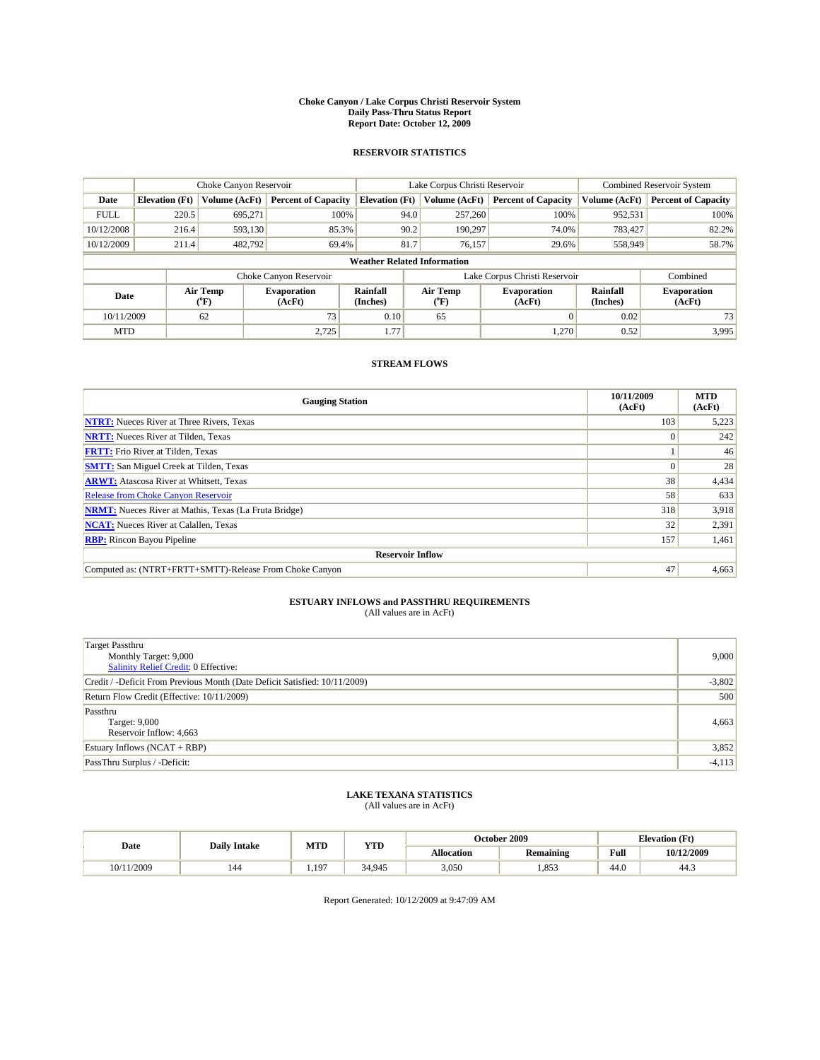#### **Choke Canyon / Lake Corpus Christi Reservoir System Daily Pass-Thru Status Report Report Date: October 12, 2009**

### **RESERVOIR STATISTICS**

|             | Choke Canyon Reservoir             |                                    |                              |                             | Lake Corpus Christi Reservoir | <b>Combined Reservoir System</b> |                      |                              |  |
|-------------|------------------------------------|------------------------------------|------------------------------|-----------------------------|-------------------------------|----------------------------------|----------------------|------------------------------|--|
| Date        | <b>Elevation</b> (Ft)              | Volume (AcFt)                      | <b>Percent of Capacity</b>   | <b>Elevation</b> (Ft)       | Volume (AcFt)                 | <b>Percent of Capacity</b>       | Volume (AcFt)        | <b>Percent of Capacity</b>   |  |
| <b>FULL</b> | 220.5                              | 695,271                            | 100%                         | 94.0                        | 257,260                       | 100%                             | 952,531              | 100%                         |  |
| 10/12/2008  | 216.4                              | 593,130                            | 85.3%                        | 90.2                        | 190.297                       | 74.0%                            | 783,427              | 82.2%                        |  |
| 10/12/2009  | 211.4                              | 482.792                            | 69.4%                        | 81.7                        | 76.157                        | 29.6%                            | 558,949              | 58.7%                        |  |
|             | <b>Weather Related Information</b> |                                    |                              |                             |                               |                                  |                      |                              |  |
|             |                                    |                                    | Choke Canyon Reservoir       |                             |                               | Lake Corpus Christi Reservoir    |                      | Combined                     |  |
| Date        |                                    | Air Temp<br>${}^{\prime\prime}$ F) | <b>Evaporation</b><br>(AcFt) | <b>Rainfall</b><br>(Inches) | Air Temp<br>(°F)              | <b>Evaporation</b><br>(AcFt)     | Rainfall<br>(Inches) | <b>Evaporation</b><br>(AcFt) |  |
| 10/11/2009  |                                    | 62                                 | 73                           | 0.10                        | 65                            | $\Omega$                         | 0.02                 | 73                           |  |
| <b>MTD</b>  |                                    |                                    | 2,725                        | 1.77                        |                               | 1,270                            | 0.52                 | 3,995                        |  |

### **STREAM FLOWS**

| <b>Gauging Station</b>                                       | 10/11/2009<br>(AcFt) | <b>MTD</b><br>(AcFt) |  |  |  |  |  |
|--------------------------------------------------------------|----------------------|----------------------|--|--|--|--|--|
| <b>NTRT:</b> Nueces River at Three Rivers, Texas             | 103                  | 5,223                |  |  |  |  |  |
| <b>NRTT:</b> Nueces River at Tilden, Texas                   | $\Omega$             | 242                  |  |  |  |  |  |
| <b>FRTT:</b> Frio River at Tilden, Texas                     |                      | 46                   |  |  |  |  |  |
| <b>SMTT:</b> San Miguel Creek at Tilden, Texas               | $\Omega$             | 28                   |  |  |  |  |  |
| <b>ARWT:</b> Atascosa River at Whitsett, Texas               | 38                   | 4,434                |  |  |  |  |  |
| <b>Release from Choke Canyon Reservoir</b>                   | 58                   | 633                  |  |  |  |  |  |
| <b>NRMT:</b> Nueces River at Mathis, Texas (La Fruta Bridge) | 318                  | 3,918                |  |  |  |  |  |
| <b>NCAT:</b> Nueces River at Calallen, Texas                 | 32                   | 2,391                |  |  |  |  |  |
| <b>RBP:</b> Rincon Bayou Pipeline                            | 157                  | 1,461                |  |  |  |  |  |
| <b>Reservoir Inflow</b>                                      |                      |                      |  |  |  |  |  |
| Computed as: (NTRT+FRTT+SMTT)-Release From Choke Canyon      | 47                   | 4,663                |  |  |  |  |  |

# **ESTUARY INFLOWS and PASSTHRU REQUIREMENTS**<br>(All values are in AcFt)

| Target Passthru<br>Monthly Target: 9,000<br>Salinity Relief Credit: 0 Effective: | 9,000    |
|----------------------------------------------------------------------------------|----------|
| Credit / -Deficit From Previous Month (Date Deficit Satisfied: 10/11/2009)       | $-3,802$ |
| Return Flow Credit (Effective: 10/11/2009)                                       | 500      |
| Passthru<br>Target: 9,000<br>Reservoir Inflow: 4,663                             | 4,663    |
| Estuary Inflows (NCAT + RBP)                                                     | 3,852    |
| PassThru Surplus / -Deficit:                                                     | $-4,113$ |

## **LAKE TEXANA STATISTICS** (All values are in AcFt)

| Date  | <b>Daily Intake</b> | MTD       | <b>YTD</b> |                   | <b>October 2009</b> | <b>Elevation</b> (Ft) |            |
|-------|---------------------|-----------|------------|-------------------|---------------------|-----------------------|------------|
|       |                     |           |            | <b>Allocation</b> | <b>Remaining</b>    | Full                  | 10/12/2009 |
| /2009 | 144                 | $.19^{-}$ | 34.945     | 3,050             | .853                | 44.0                  | 44.3       |

Report Generated: 10/12/2009 at 9:47:09 AM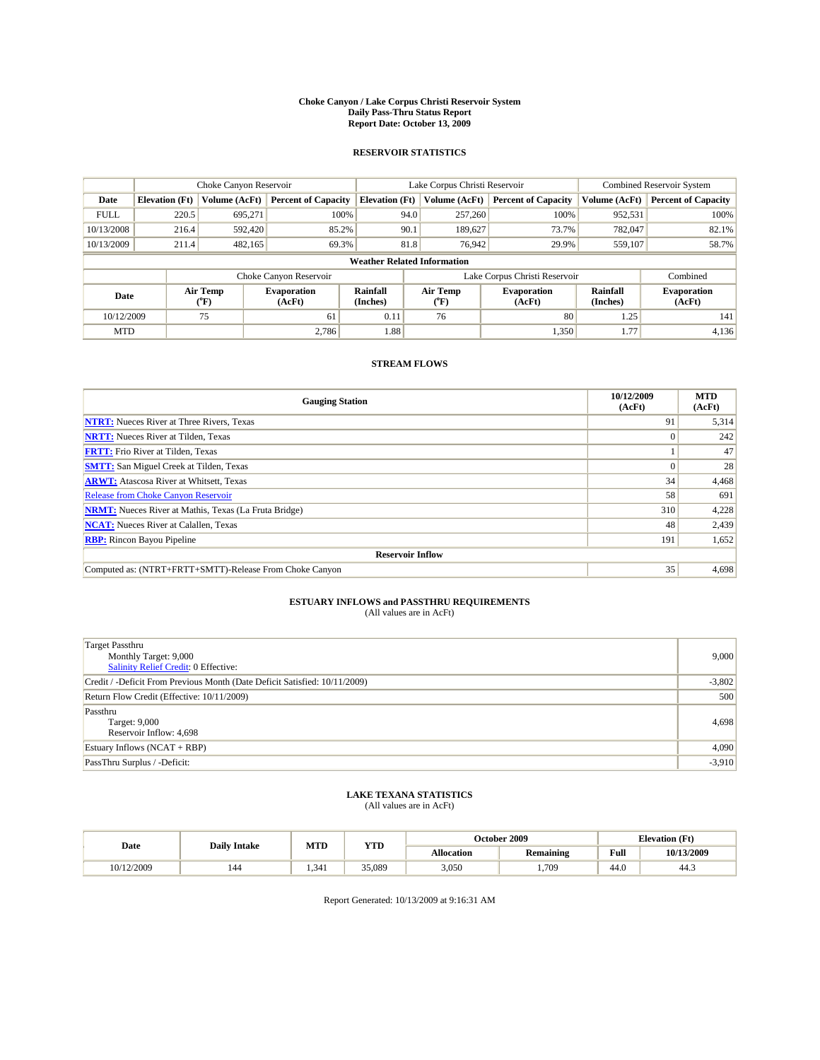#### **Choke Canyon / Lake Corpus Christi Reservoir System Daily Pass-Thru Status Report Report Date: October 13, 2009**

### **RESERVOIR STATISTICS**

|             |                                    | Choke Canyon Reservoir |                              |                             | Lake Corpus Christi Reservoir | <b>Combined Reservoir System</b> |                      |                              |  |
|-------------|------------------------------------|------------------------|------------------------------|-----------------------------|-------------------------------|----------------------------------|----------------------|------------------------------|--|
| Date        | <b>Elevation</b> (Ft)              | Volume (AcFt)          | <b>Percent of Capacity</b>   | <b>Elevation</b> (Ft)       | Volume (AcFt)                 | <b>Percent of Capacity</b>       | Volume (AcFt)        | <b>Percent of Capacity</b>   |  |
| <b>FULL</b> | 220.5                              | 695,271                | 100%                         | 94.0                        | 257,260                       | 100%                             | 952,531              | 100%                         |  |
| 10/13/2008  | 216.4                              | 592,420                | 85.2%                        | 90.1                        | 189,627                       | 73.7%                            | 782,047              | 82.1%                        |  |
| 10/13/2009  | 211.4                              | 482,165                | 69.3%                        | 81.8                        | 76,942                        | 29.9%                            | 559,107              | 58.7%                        |  |
|             | <b>Weather Related Information</b> |                        |                              |                             |                               |                                  |                      |                              |  |
|             |                                    |                        | Choke Canyon Reservoir       |                             |                               | Lake Corpus Christi Reservoir    |                      | Combined                     |  |
| Date        |                                    | Air Temp<br>(°F)       | <b>Evaporation</b><br>(AcFt) | <b>Rainfall</b><br>(Inches) | Air Temp<br>(°F)              | <b>Evaporation</b><br>(AcFt)     | Rainfall<br>(Inches) | <b>Evaporation</b><br>(AcFt) |  |
| 10/12/2009  |                                    | 75                     | 61                           | 0.11                        | 76                            | 80                               | 1.25                 | 141                          |  |
| <b>MTD</b>  |                                    |                        | 2.786                        | 1.88                        |                               | 1,350                            | 1.77                 | 4,136                        |  |

### **STREAM FLOWS**

| <b>Gauging Station</b>                                       | 10/12/2009<br>(AcFt) | <b>MTD</b><br>(AcFt) |  |  |  |  |  |
|--------------------------------------------------------------|----------------------|----------------------|--|--|--|--|--|
| <b>NTRT:</b> Nueces River at Three Rivers, Texas             | 91                   | 5,314                |  |  |  |  |  |
| <b>NRTT:</b> Nueces River at Tilden, Texas                   | $\Omega$             | 242                  |  |  |  |  |  |
| <b>FRTT:</b> Frio River at Tilden, Texas                     |                      | 47                   |  |  |  |  |  |
| <b>SMTT:</b> San Miguel Creek at Tilden, Texas               | $\theta$             | 28                   |  |  |  |  |  |
| <b>ARWT:</b> Atascosa River at Whitsett, Texas               | 34                   | 4,468                |  |  |  |  |  |
| <b>Release from Choke Canyon Reservoir</b>                   | 58                   | 691                  |  |  |  |  |  |
| <b>NRMT:</b> Nueces River at Mathis, Texas (La Fruta Bridge) | 310                  | 4,228                |  |  |  |  |  |
| <b>NCAT:</b> Nueces River at Calallen, Texas                 | 48                   | 2,439                |  |  |  |  |  |
| <b>RBP:</b> Rincon Bayou Pipeline                            | 191                  | 1,652                |  |  |  |  |  |
| <b>Reservoir Inflow</b>                                      |                      |                      |  |  |  |  |  |
| Computed as: (NTRT+FRTT+SMTT)-Release From Choke Canyon      | 35                   | 4,698                |  |  |  |  |  |

# **ESTUARY INFLOWS and PASSTHRU REQUIREMENTS**<br>(All values are in AcFt)

| Target Passthru<br>Monthly Target: 9,000<br>Salinity Relief Credit: 0 Effective: | 9,000    |
|----------------------------------------------------------------------------------|----------|
| Credit / -Deficit From Previous Month (Date Deficit Satisfied: 10/11/2009)       | $-3,802$ |
| Return Flow Credit (Effective: 10/11/2009)                                       | 500      |
| Passthru<br>Target: 9,000<br>Reservoir Inflow: 4,698                             | 4,698    |
| Estuary Inflows $(NCAT + RBP)$                                                   | 4,090    |
| PassThru Surplus / -Deficit:                                                     | $-3,910$ |

## **LAKE TEXANA STATISTICS** (All values are in AcFt)

| Date       | <b>Daily Intake</b> | MTD  | <b>YTD</b> |                   | October 2009     | <b>Elevation</b> (Ft) |            |
|------------|---------------------|------|------------|-------------------|------------------|-----------------------|------------|
|            |                     |      |            | <b>Allocation</b> | <b>Remaining</b> | Full                  | 10/13/2009 |
| 10/12/2009 | 144                 | .341 | 35,089     | 3,050             | ,709             | 44.0                  | 44.3       |

Report Generated: 10/13/2009 at 9:16:31 AM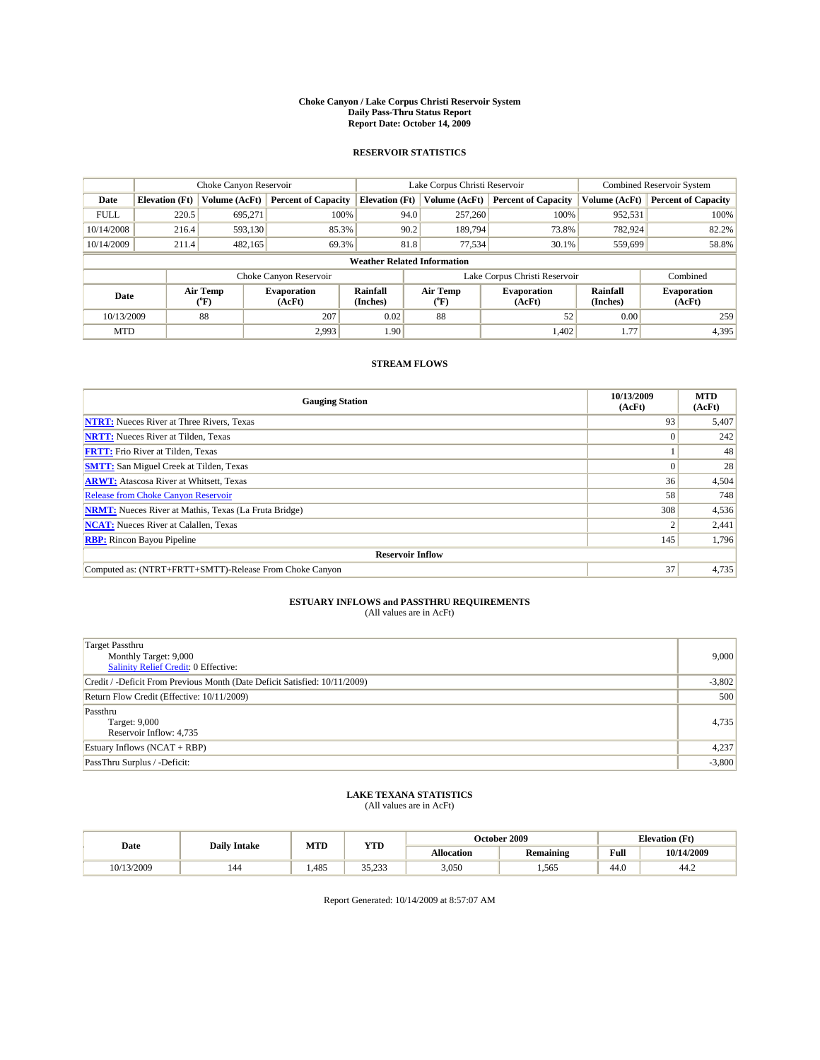#### **Choke Canyon / Lake Corpus Christi Reservoir System Daily Pass-Thru Status Report Report Date: October 14, 2009**

### **RESERVOIR STATISTICS**

|             |                                    | Choke Canyon Reservoir |                              |                             | Lake Corpus Christi Reservoir | <b>Combined Reservoir System</b> |                      |                              |  |
|-------------|------------------------------------|------------------------|------------------------------|-----------------------------|-------------------------------|----------------------------------|----------------------|------------------------------|--|
| Date        | <b>Elevation</b> (Ft)              | Volume (AcFt)          | <b>Percent of Capacity</b>   | <b>Elevation</b> (Ft)       | Volume (AcFt)                 | <b>Percent of Capacity</b>       | Volume (AcFt)        | <b>Percent of Capacity</b>   |  |
| <b>FULL</b> | 220.5                              | 695,271                | 100%                         | 94.0                        | 257,260                       | 100%                             | 952,531              | 100%                         |  |
| 10/14/2008  | 216.4                              | 593,130                | 85.3%                        | 90.2                        | 189,794                       | 73.8%                            | 782,924              | 82.2%                        |  |
| 10/14/2009  | 211.4                              | 482,165                | 69.3%                        | 81.8                        | 77,534                        | 30.1%                            | 559,699              | 58.8%                        |  |
|             | <b>Weather Related Information</b> |                        |                              |                             |                               |                                  |                      |                              |  |
|             |                                    |                        | Choke Canyon Reservoir       |                             |                               | Lake Corpus Christi Reservoir    |                      | Combined                     |  |
| Date        |                                    | Air Temp<br>(°F)       | <b>Evaporation</b><br>(AcFt) | <b>Rainfall</b><br>(Inches) | Air Temp<br>(°F)              | <b>Evaporation</b><br>(AcFt)     | Rainfall<br>(Inches) | <b>Evaporation</b><br>(AcFt) |  |
| 10/13/2009  |                                    | 88                     | 207                          | 0.02                        | 88                            | 52                               | 0.00                 | 259                          |  |
| <b>MTD</b>  |                                    |                        | 2,993                        | 1.90                        |                               | 1,402                            | 1.77                 | 4,395                        |  |

### **STREAM FLOWS**

| <b>Gauging Station</b>                                       | 10/13/2009<br>(AcFt) | <b>MTD</b><br>(AcFt) |  |  |  |  |  |
|--------------------------------------------------------------|----------------------|----------------------|--|--|--|--|--|
| <b>NTRT:</b> Nueces River at Three Rivers, Texas             | 93                   | 5,407                |  |  |  |  |  |
| <b>NRTT:</b> Nueces River at Tilden, Texas                   | $\Omega$             | 242                  |  |  |  |  |  |
| <b>FRTT:</b> Frio River at Tilden, Texas                     |                      | 48                   |  |  |  |  |  |
| <b>SMTT:</b> San Miguel Creek at Tilden, Texas               |                      | 28                   |  |  |  |  |  |
| <b>ARWT:</b> Atascosa River at Whitsett, Texas               | 36                   | 4,504                |  |  |  |  |  |
| <b>Release from Choke Canyon Reservoir</b>                   | 58                   | 748                  |  |  |  |  |  |
| <b>NRMT:</b> Nueces River at Mathis, Texas (La Fruta Bridge) | 308                  | 4,536                |  |  |  |  |  |
| <b>NCAT:</b> Nueces River at Calallen, Texas                 |                      | 2,441                |  |  |  |  |  |
| <b>RBP:</b> Rincon Bayou Pipeline                            | 145                  | 1,796                |  |  |  |  |  |
| <b>Reservoir Inflow</b>                                      |                      |                      |  |  |  |  |  |
| Computed as: (NTRT+FRTT+SMTT)-Release From Choke Canyon      | 37                   | 4,735                |  |  |  |  |  |

# **ESTUARY INFLOWS and PASSTHRU REQUIREMENTS**<br>(All values are in AcFt)

| <b>Target Passthru</b><br>Monthly Target: 9,000<br>Salinity Relief Credit: 0 Effective: | 9,000    |
|-----------------------------------------------------------------------------------------|----------|
| Credit / -Deficit From Previous Month (Date Deficit Satisfied: 10/11/2009)              | $-3,802$ |
| Return Flow Credit (Effective: 10/11/2009)                                              | 500      |
| Passthru<br>Target: 9,000<br>Reservoir Inflow: 4,735                                    | 4,735    |
| Estuary Inflows $(NCAT + RBP)$                                                          | 4,237    |
| PassThru Surplus / -Deficit:                                                            | $-3,800$ |

## **LAKE TEXANA STATISTICS** (All values are in AcFt)

|            | <b>Daily Intake</b> | MTD  | <b>YTD</b>        |                   | October 2009     | <b>Elevation</b> (Ft) |            |
|------------|---------------------|------|-------------------|-------------------|------------------|-----------------------|------------|
| Date       |                     |      |                   | <b>Allocation</b> | <b>Remaining</b> | Full                  | 10/14/2009 |
| 10/13/2009 | 144                 | .485 | 25, 222<br>JJ.4JJ | 3,050             | .565             | 44.0                  | 44.2       |

Report Generated: 10/14/2009 at 8:57:07 AM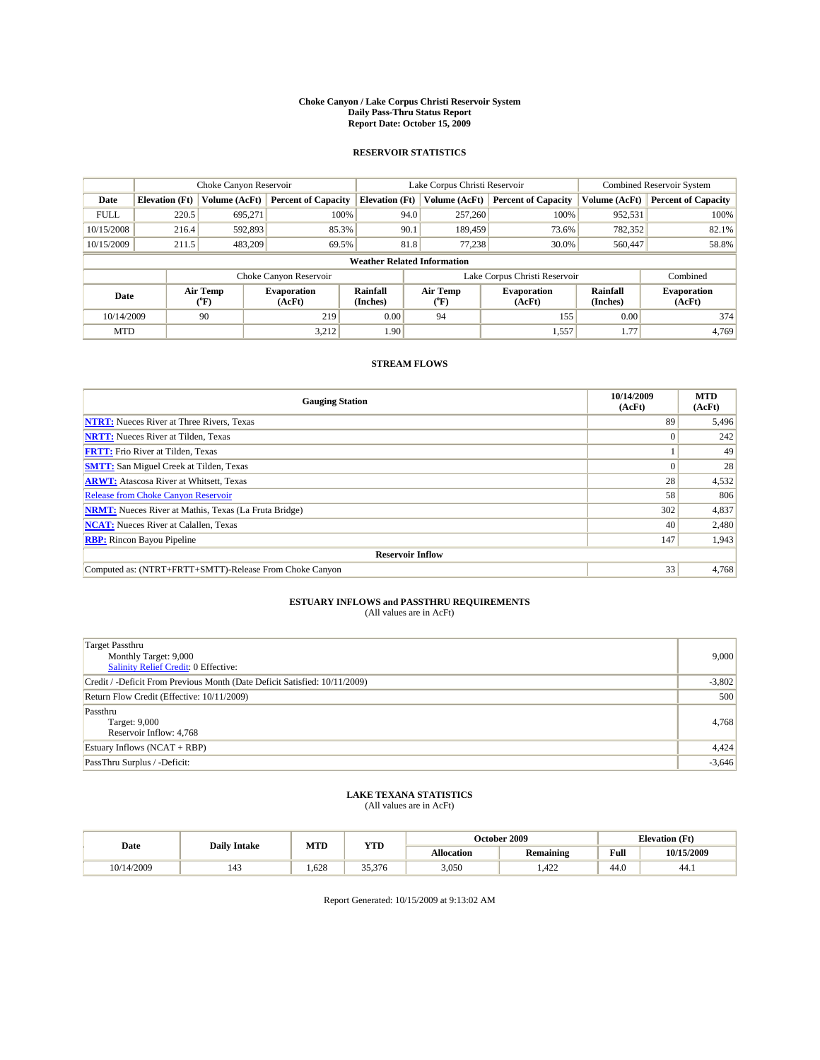#### **Choke Canyon / Lake Corpus Christi Reservoir System Daily Pass-Thru Status Report Report Date: October 15, 2009**

### **RESERVOIR STATISTICS**

|             | Choke Canyon Reservoir             |                             | Lake Corpus Christi Reservoir |                             |                  |               | <b>Combined Reservoir System</b> |                      |                              |
|-------------|------------------------------------|-----------------------------|-------------------------------|-----------------------------|------------------|---------------|----------------------------------|----------------------|------------------------------|
| Date        | <b>Elevation</b> (Ft)              | Volume (AcFt)               | <b>Percent of Capacity</b>    | <b>Elevation</b> (Ft)       |                  | Volume (AcFt) | <b>Percent of Capacity</b>       | Volume (AcFt)        | <b>Percent of Capacity</b>   |
| <b>FULL</b> | 220.5                              | 695,271                     | 100%                          |                             | 94.0             | 257,260       | 100%                             | 952,531              | 100%                         |
| 10/15/2008  | 216.4                              | 592,893                     | 85.3%                         |                             | 90.1             | 189,459       | 73.6%                            | 782,352              | 82.1%                        |
| 10/15/2009  | 211.5                              | 483.209                     | 69.5%                         |                             | 81.8             | 77.238        | 30.0%                            | 560,447              | 58.8%                        |
|             | <b>Weather Related Information</b> |                             |                               |                             |                  |               |                                  |                      |                              |
|             |                                    |                             | Choke Canyon Reservoir        |                             |                  |               | Lake Corpus Christi Reservoir    |                      | Combined                     |
| Date        |                                    | Air Temp<br>${}^{\circ}$ F) | <b>Evaporation</b><br>(AcFt)  | <b>Rainfall</b><br>(Inches) | Air Temp<br>(°F) |               | <b>Evaporation</b><br>(AcFt)     | Rainfall<br>(Inches) | <b>Evaporation</b><br>(AcFt) |
| 10/14/2009  |                                    | 90                          | 219                           | 0.00                        | 94               |               | 155                              | 0.00                 | 374                          |
| <b>MTD</b>  |                                    |                             | 3,212                         | 1.90                        |                  |               | 1,557                            | 1.77                 | 4,769                        |

### **STREAM FLOWS**

| <b>Gauging Station</b>                                       | 10/14/2009<br>(AcFt) | <b>MTD</b><br>(AcFt) |  |  |  |  |
|--------------------------------------------------------------|----------------------|----------------------|--|--|--|--|
| <b>NTRT:</b> Nueces River at Three Rivers, Texas             | 89                   | 5,496                |  |  |  |  |
| <b>NRTT:</b> Nueces River at Tilden, Texas                   | $\Omega$             | 242                  |  |  |  |  |
| <b>FRTT:</b> Frio River at Tilden, Texas                     |                      | 49                   |  |  |  |  |
| <b>SMTT:</b> San Miguel Creek at Tilden, Texas               |                      | 28                   |  |  |  |  |
| <b>ARWT:</b> Atascosa River at Whitsett, Texas               | 28                   | 4,532                |  |  |  |  |
| <b>Release from Choke Canyon Reservoir</b>                   | 58                   | 806                  |  |  |  |  |
| <b>NRMT:</b> Nueces River at Mathis, Texas (La Fruta Bridge) | 302                  | 4,837                |  |  |  |  |
| <b>NCAT:</b> Nueces River at Calallen, Texas                 | 40                   | 2,480                |  |  |  |  |
| <b>RBP:</b> Rincon Bayou Pipeline                            | 147                  | 1,943                |  |  |  |  |
| <b>Reservoir Inflow</b>                                      |                      |                      |  |  |  |  |
| Computed as: (NTRT+FRTT+SMTT)-Release From Choke Canyon      | 33                   | 4,768                |  |  |  |  |

# **ESTUARY INFLOWS and PASSTHRU REQUIREMENTS**<br>(All values are in AcFt)

| <b>Target Passthru</b><br>Monthly Target: 9,000<br>Salinity Relief Credit: 0 Effective: | 9,000    |
|-----------------------------------------------------------------------------------------|----------|
| Credit / -Deficit From Previous Month (Date Deficit Satisfied: 10/11/2009)              | $-3,802$ |
| Return Flow Credit (Effective: 10/11/2009)                                              | 500      |
| Passthru<br><b>Target: 9,000</b><br>Reservoir Inflow: 4,768                             | 4,768    |
| Estuary Inflows $(NCAT + RBP)$                                                          | 4,424    |
| PassThru Surplus / -Deficit:                                                            | $-3,646$ |

## **LAKE TEXANA STATISTICS** (All values are in AcFt)

| Date       | <b>Daily Intake</b> | MTD  | <b>YTD</b> |                   | October 2009     | <b>Elevation</b> (Ft) |            |
|------------|---------------------|------|------------|-------------------|------------------|-----------------------|------------|
|            |                     |      |            | <b>Allocation</b> | <b>Remaining</b> | Full                  | 10/15/2009 |
| 10/14/2009 | 143                 | .628 | 35,376     | 3,050             | .422             | 44.0                  | 44.1       |

Report Generated: 10/15/2009 at 9:13:02 AM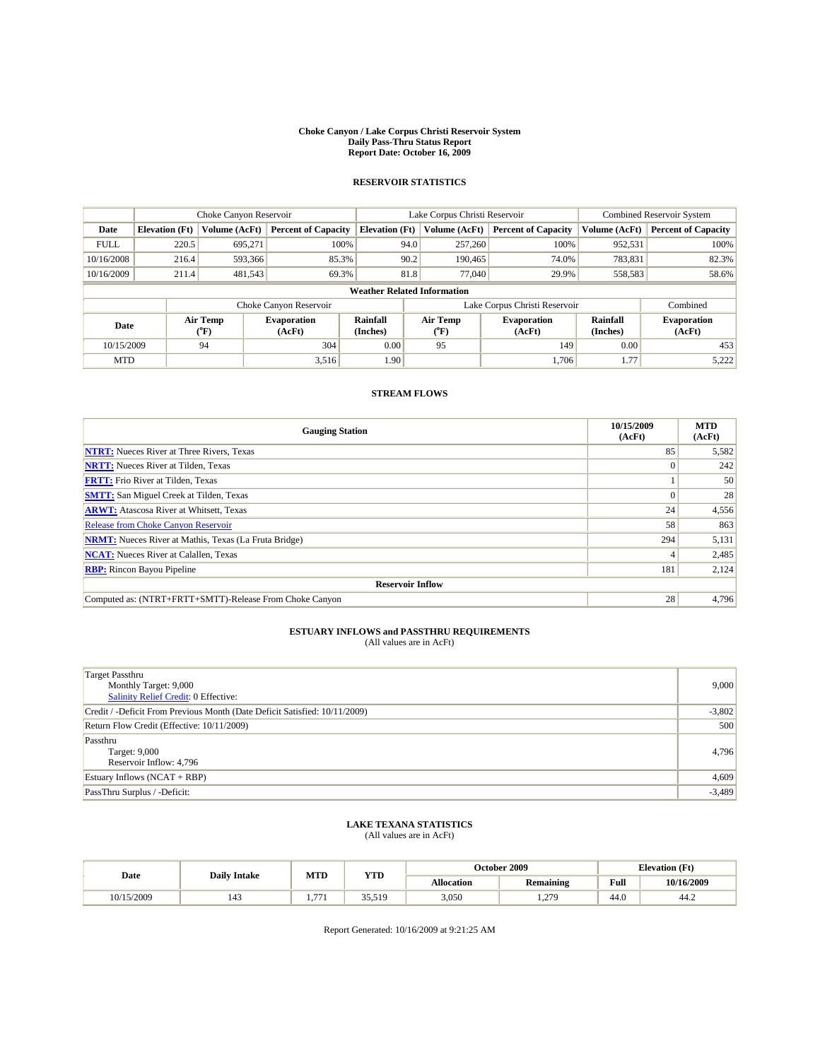#### **Choke Canyon / Lake Corpus Christi Reservoir System Daily Pass-Thru Status Report Report Date: October 16, 2009**

### **RESERVOIR STATISTICS**

|                                    | Choke Canyon Reservoir |                  | Lake Corpus Christi Reservoir |                       |      |                  | Combined Reservoir System     |                      |                              |
|------------------------------------|------------------------|------------------|-------------------------------|-----------------------|------|------------------|-------------------------------|----------------------|------------------------------|
| Date                               | <b>Elevation</b> (Ft)  | Volume (AcFt)    | <b>Percent of Capacity</b>    | <b>Elevation</b> (Ft) |      | Volume (AcFt)    | <b>Percent of Capacity</b>    | Volume (AcFt)        | <b>Percent of Capacity</b>   |
| <b>FULL</b>                        | 220.5                  | 695.271          | 100%                          |                       | 94.0 | 257,260          | 100%                          | 952,531              | 100%                         |
| 10/16/2008                         | 216.4                  | 593,366          | 85.3%                         |                       | 90.2 | 190.465          | 74.0%                         | 783,831              | 82.3%                        |
| 10/16/2009                         | 211.4                  | 481,543          | 69.3%                         |                       | 81.8 | 77,040           | 29.9%                         | 558,583              | 58.6%                        |
| <b>Weather Related Information</b> |                        |                  |                               |                       |      |                  |                               |                      |                              |
|                                    |                        |                  | Choke Canyon Reservoir        |                       |      |                  | Lake Corpus Christi Reservoir |                      | Combined                     |
| Date                               |                        | Air Temp<br>(°F) | <b>Evaporation</b><br>(AcFt)  | Rainfall<br>(Inches)  |      | Air Temp<br>("F) | <b>Evaporation</b><br>(AcFt)  | Rainfall<br>(Inches) | <b>Evaporation</b><br>(AcFt) |
| 10/15/2009                         |                        | 94               | 304                           | 0.00                  |      | 95               | 149                           | 0.00                 | 453                          |
| <b>MTD</b>                         |                        |                  | 3,516                         | 1.90                  |      |                  | 1,706                         | 1.77                 | 5,222                        |

### **STREAM FLOWS**

| <b>Gauging Station</b>                                       | 10/15/2009<br>(AcFt) | <b>MTD</b><br>(AcFt) |  |  |  |  |
|--------------------------------------------------------------|----------------------|----------------------|--|--|--|--|
| <b>NTRT:</b> Nueces River at Three Rivers, Texas             | 85                   | 5,582                |  |  |  |  |
| <b>NRTT:</b> Nueces River at Tilden, Texas                   |                      | 242                  |  |  |  |  |
| <b>FRTT:</b> Frio River at Tilden, Texas                     |                      | 50                   |  |  |  |  |
| <b>SMTT:</b> San Miguel Creek at Tilden, Texas               |                      | 28                   |  |  |  |  |
| <b>ARWT:</b> Atascosa River at Whitsett, Texas               | 24                   | 4,556                |  |  |  |  |
| <b>Release from Choke Canyon Reservoir</b>                   | 58                   | 863                  |  |  |  |  |
| <b>NRMT:</b> Nueces River at Mathis, Texas (La Fruta Bridge) | 294                  | 5,131                |  |  |  |  |
| <b>NCAT:</b> Nueces River at Calallen, Texas                 |                      | 2,485                |  |  |  |  |
| <b>RBP:</b> Rincon Bayou Pipeline                            | 181                  | 2,124                |  |  |  |  |
| <b>Reservoir Inflow</b>                                      |                      |                      |  |  |  |  |
| Computed as: (NTRT+FRTT+SMTT)-Release From Choke Canyon      | 28                   | 4,796                |  |  |  |  |

## **ESTUARY INFLOWS and PASSTHRU REQUIREMENTS**<br>(All values are in AcFt)

| Target Passthru<br>Monthly Target: 9,000<br>Salinity Relief Credit: 0 Effective: | 9,000    |
|----------------------------------------------------------------------------------|----------|
| Credit / -Deficit From Previous Month (Date Deficit Satisfied: 10/11/2009)       | $-3,802$ |
| Return Flow Credit (Effective: 10/11/2009)                                       | 500      |
| Passthru<br>Target: 9,000<br>Reservoir Inflow: 4,796                             | 4,796    |
| Estuary Inflows (NCAT + RBP)                                                     | 4,609    |
| PassThru Surplus / -Deficit:                                                     | $-3,489$ |

## **LAKE TEXANA STATISTICS** (All values are in AcFt)

| Date       | <b>Daily Intake</b> | MTD          | ww     |                   | October 2009 | <b>Elevation</b> (Ft) |            |
|------------|---------------------|--------------|--------|-------------------|--------------|-----------------------|------------|
|            |                     |              | 1 I.D  | <b>Allocation</b> | Remaining    | Full                  | 10/16/2009 |
| 10/15/2009 | 143                 | $- -$<br>. . | 35.519 | 3,050             | 1,279        | 44.0                  | 44.∠       |

Report Generated: 10/16/2009 at 9:21:25 AM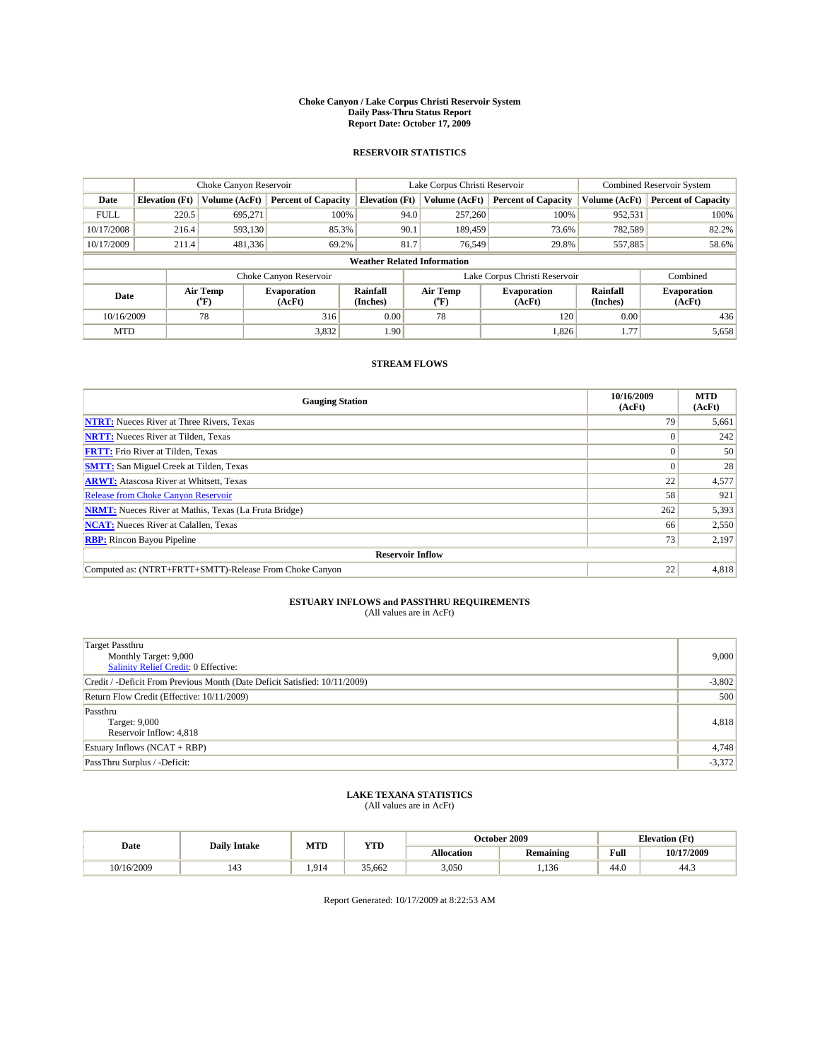#### **Choke Canyon / Lake Corpus Christi Reservoir System Daily Pass-Thru Status Report Report Date: October 17, 2009**

### **RESERVOIR STATISTICS**

|                                    |                       | Choke Canyon Reservoir      |                              |                             | Lake Corpus Christi Reservoir | Combined Reservoir System     |                      |                              |  |
|------------------------------------|-----------------------|-----------------------------|------------------------------|-----------------------------|-------------------------------|-------------------------------|----------------------|------------------------------|--|
| Date                               | <b>Elevation</b> (Ft) | Volume (AcFt)               | <b>Percent of Capacity</b>   | <b>Elevation</b> (Ft)       | Volume (AcFt)                 | <b>Percent of Capacity</b>    | Volume (AcFt)        | <b>Percent of Capacity</b>   |  |
| <b>FULL</b>                        | 220.5                 | 695,271                     | 100%                         |                             | 257,260<br>94.0               | 100%                          | 952,531              | 100%                         |  |
| 10/17/2008                         | 216.4                 | 593,130                     | 85.3%                        |                             | 90.1<br>189,459               | 73.6%                         | 782,589              | 82.2%                        |  |
| 10/17/2009                         | 211.4                 | 481,336                     | 69.2%                        |                             | 81.7<br>76.549                | 29.8%                         | 557,885              | 58.6%                        |  |
| <b>Weather Related Information</b> |                       |                             |                              |                             |                               |                               |                      |                              |  |
|                                    |                       |                             | Choke Canyon Reservoir       |                             |                               | Lake Corpus Christi Reservoir |                      | Combined                     |  |
| Date                               |                       | Air Temp<br>${}^{\circ}$ F) | <b>Evaporation</b><br>(AcFt) | <b>Rainfall</b><br>(Inches) | Air Temp<br>(°F)              | <b>Evaporation</b><br>(AcFt)  | Rainfall<br>(Inches) | <b>Evaporation</b><br>(AcFt) |  |
| 10/16/2009                         |                       | 78                          | 316                          | 0.00                        | 78                            | 120                           | 0.00                 | 436                          |  |
| <b>MTD</b>                         |                       |                             | 3,832                        | 1.90                        |                               | 1,826                         | 1.77                 | 5,658                        |  |

### **STREAM FLOWS**

| <b>Gauging Station</b>                                       | 10/16/2009<br>(AcFt) | <b>MTD</b><br>(AcFt) |  |  |  |  |
|--------------------------------------------------------------|----------------------|----------------------|--|--|--|--|
| <b>NTRT:</b> Nueces River at Three Rivers, Texas             | 79                   | 5,661                |  |  |  |  |
| <b>NRTT:</b> Nueces River at Tilden, Texas                   | 0                    | 242                  |  |  |  |  |
| <b>FRTT:</b> Frio River at Tilden, Texas                     | $\Omega$             | 50                   |  |  |  |  |
| <b>SMTT:</b> San Miguel Creek at Tilden, Texas               | $\Omega$             | 28                   |  |  |  |  |
| <b>ARWT:</b> Atascosa River at Whitsett, Texas               | 22                   | 4,577                |  |  |  |  |
| <b>Release from Choke Canyon Reservoir</b>                   | 58                   | 921                  |  |  |  |  |
| <b>NRMT:</b> Nueces River at Mathis, Texas (La Fruta Bridge) | 262                  | 5,393                |  |  |  |  |
| <b>NCAT:</b> Nueces River at Calallen, Texas                 | 66                   | 2,550                |  |  |  |  |
| <b>RBP:</b> Rincon Bayou Pipeline                            | 73                   | 2,197                |  |  |  |  |
| <b>Reservoir Inflow</b>                                      |                      |                      |  |  |  |  |
| Computed as: (NTRT+FRTT+SMTT)-Release From Choke Canyon      | 22                   | 4,818                |  |  |  |  |

# **ESTUARY INFLOWS and PASSTHRU REQUIREMENTS**<br>(All values are in AcFt)

| Target Passthru<br>Monthly Target: 9,000<br>Salinity Relief Credit: 0 Effective: | 9,000    |
|----------------------------------------------------------------------------------|----------|
| Credit / -Deficit From Previous Month (Date Deficit Satisfied: 10/11/2009)       | $-3,802$ |
| Return Flow Credit (Effective: 10/11/2009)                                       | 500      |
| Passthru<br>Target: 9,000<br>Reservoir Inflow: 4,818                             | 4,818    |
| Estuary Inflows $(NCAT + RBP)$                                                   | 4,748    |
| PassThru Surplus / -Deficit:                                                     | $-3,372$ |

## **LAKE TEXANA STATISTICS** (All values are in AcFt)

| Date       | <b>Daily Intake</b> | MTD  | <b>YTD</b> |                   | October 2009     | <b>Elevation</b> (Ft) |            |
|------------|---------------------|------|------------|-------------------|------------------|-----------------------|------------|
|            |                     |      |            | <b>Allocation</b> | <b>Remaining</b> | Full                  | 10/17/2009 |
| 10/16/2009 | 143                 | .914 | 35.662     | 3,050             | .136             | 44.0                  | 44.3       |

Report Generated: 10/17/2009 at 8:22:53 AM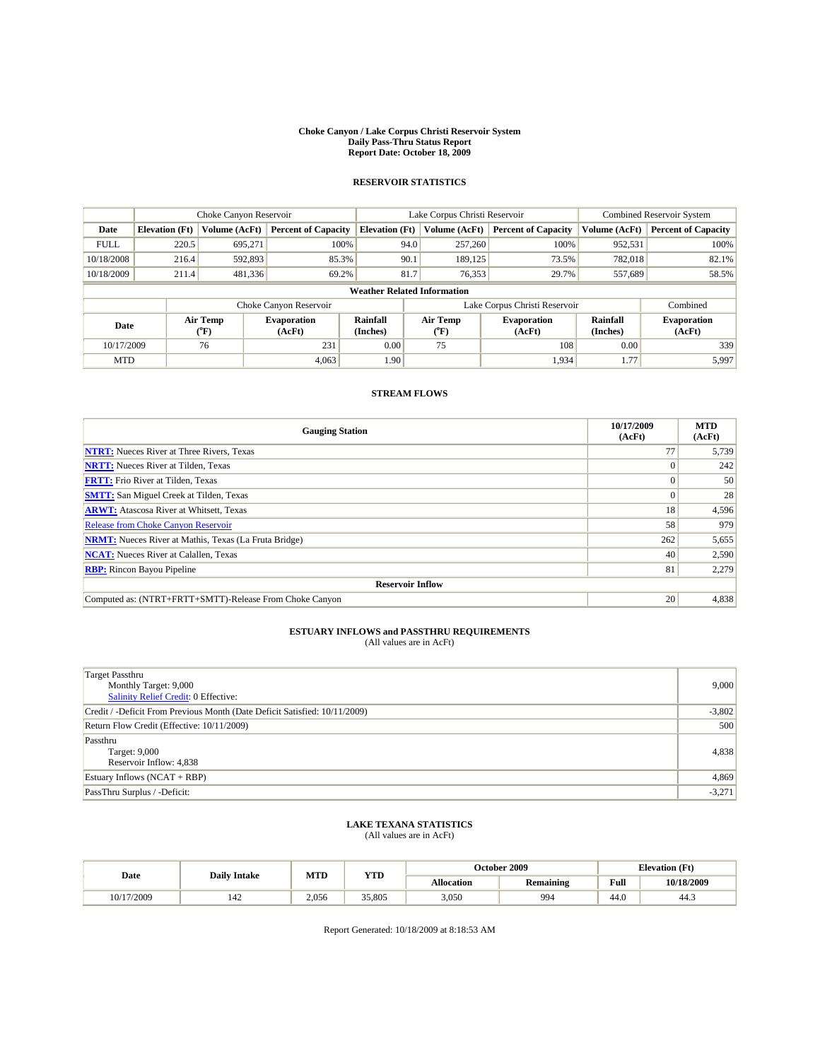#### **Choke Canyon / Lake Corpus Christi Reservoir System Daily Pass-Thru Status Report Report Date: October 18, 2009**

### **RESERVOIR STATISTICS**

|                                    | Choke Canyon Reservoir |                  |                              |                       | Lake Corpus Christi Reservoir |         |                               |                      | Combined Reservoir System    |  |
|------------------------------------|------------------------|------------------|------------------------------|-----------------------|-------------------------------|---------|-------------------------------|----------------------|------------------------------|--|
| Date                               | <b>Elevation</b> (Ft)  | Volume (AcFt)    | <b>Percent of Capacity</b>   | <b>Elevation</b> (Ft) | Volume (AcFt)                 |         | <b>Percent of Capacity</b>    | Volume (AcFt)        | <b>Percent of Capacity</b>   |  |
| <b>FULL</b>                        | 220.5                  | 695.271          | 100%                         |                       | 94.0                          | 257,260 | 100%                          | 952,531              | 100%                         |  |
| 10/18/2008                         | 216.4                  | 592,893          | 85.3%                        | 90.1                  |                               | 189.125 | 73.5%                         | 782.018              | 82.1%                        |  |
| 10/18/2009                         | 211.4                  | 481,336          | 69.2%                        | 81.7                  |                               | 76,353  | 29.7%                         | 557,689              | 58.5%                        |  |
| <b>Weather Related Information</b> |                        |                  |                              |                       |                               |         |                               |                      |                              |  |
|                                    |                        |                  | Choke Canyon Reservoir       |                       |                               |         | Lake Corpus Christi Reservoir |                      | Combined                     |  |
| Date                               |                        | Air Temp<br>(°F) | <b>Evaporation</b><br>(AcFt) | Rainfall<br>(Inches)  | Air Temp<br>("F)              |         | <b>Evaporation</b><br>(AcFt)  | Rainfall<br>(Inches) | <b>Evaporation</b><br>(AcFt) |  |
| 10/17/2009                         |                        | 76               | 231                          | 0.00                  | 75                            |         | 108                           | 0.00                 | 339                          |  |
| <b>MTD</b>                         |                        |                  | 4,063                        | 1.90                  |                               |         | 1,934                         | 1.77                 | 5,997                        |  |

### **STREAM FLOWS**

| <b>Gauging Station</b>                                       | 10/17/2009<br>(AcFt) | <b>MTD</b><br>(AcFt) |  |  |  |  |
|--------------------------------------------------------------|----------------------|----------------------|--|--|--|--|
| <b>NTRT:</b> Nueces River at Three Rivers, Texas             | 77                   | 5,739                |  |  |  |  |
| <b>NRTT:</b> Nueces River at Tilden, Texas                   |                      | 242                  |  |  |  |  |
| <b>FRTT:</b> Frio River at Tilden, Texas                     |                      | 50                   |  |  |  |  |
| <b>SMTT:</b> San Miguel Creek at Tilden, Texas               |                      | 28                   |  |  |  |  |
| <b>ARWT:</b> Atascosa River at Whitsett, Texas               | 18                   | 4,596                |  |  |  |  |
| <b>Release from Choke Canyon Reservoir</b>                   | 58                   | 979                  |  |  |  |  |
| <b>NRMT:</b> Nueces River at Mathis, Texas (La Fruta Bridge) | 262                  | 5,655                |  |  |  |  |
| <b>NCAT:</b> Nueces River at Calallen, Texas                 | 40                   | 2,590                |  |  |  |  |
| <b>RBP:</b> Rincon Bayou Pipeline                            | 81                   | 2,279                |  |  |  |  |
| <b>Reservoir Inflow</b>                                      |                      |                      |  |  |  |  |
| Computed as: (NTRT+FRTT+SMTT)-Release From Choke Canyon      | 20                   | 4,838                |  |  |  |  |

## **ESTUARY INFLOWS and PASSTHRU REQUIREMENTS**<br>(All values are in AcFt)

| <b>Target Passthru</b><br>Monthly Target: 9,000<br>Salinity Relief Credit: 0 Effective: | 9,000    |
|-----------------------------------------------------------------------------------------|----------|
| Credit / -Deficit From Previous Month (Date Deficit Satisfied: 10/11/2009)              | $-3,802$ |
| Return Flow Credit (Effective: 10/11/2009)                                              | 500      |
| Passthru<br>Target: 9,000<br>Reservoir Inflow: 4,838                                    | 4,838    |
| Estuary Inflows $(NCAT + RBP)$                                                          | 4,869    |
| PassThru Surplus / -Deficit:                                                            | $-3,271$ |

## **LAKE TEXANA STATISTICS** (All values are in AcFt)

| Date       | <b>Daily Intake</b> | MTD   | ww     |                   | October 2009 | <b>Elevation</b> (Ft) |            |
|------------|---------------------|-------|--------|-------------------|--------------|-----------------------|------------|
|            |                     |       | 1 I.D  | <b>Allocation</b> | Remaining    | Full                  | 10/18/2009 |
| 10/17/2009 | 142                 | 2,056 | 35,805 | 3,050             | 994          | 44.0                  | د.44       |

Report Generated: 10/18/2009 at 8:18:53 AM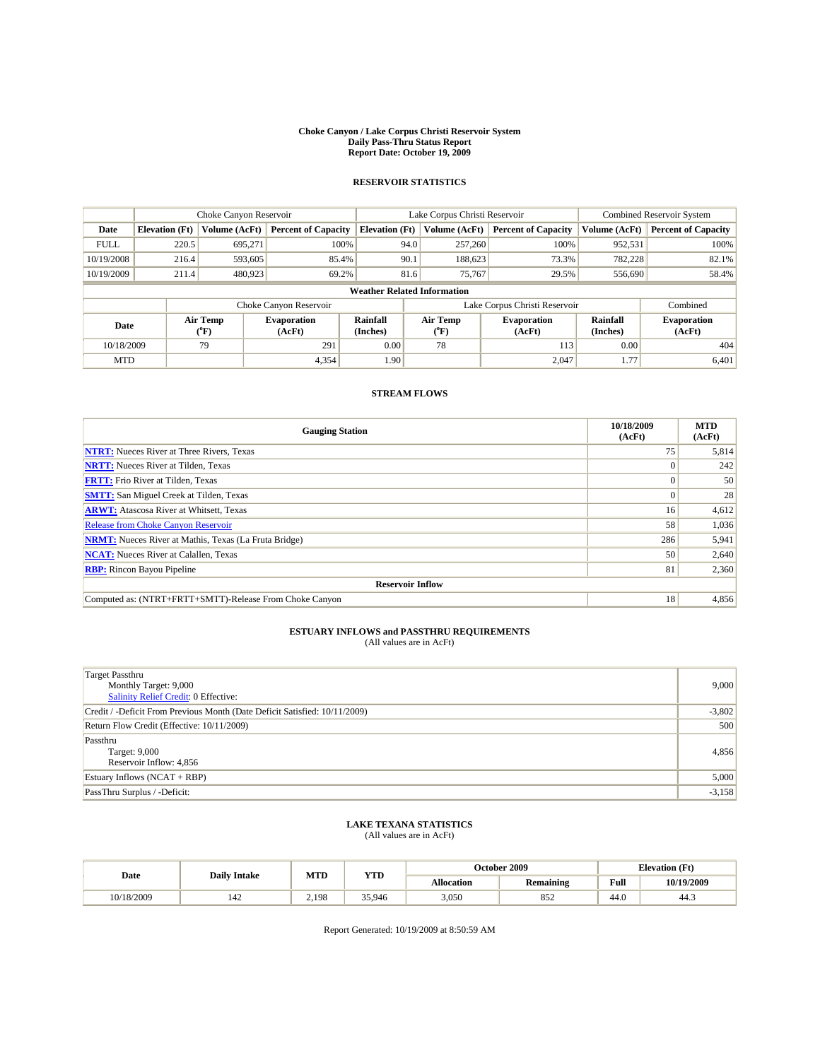#### **Choke Canyon / Lake Corpus Christi Reservoir System Daily Pass-Thru Status Report Report Date: October 19, 2009**

### **RESERVOIR STATISTICS**

|                                    | Choke Canyon Reservoir                                              |                  |                              |                       | Lake Corpus Christi Reservoir |                                  |                              |                      | <b>Combined Reservoir System</b> |  |
|------------------------------------|---------------------------------------------------------------------|------------------|------------------------------|-----------------------|-------------------------------|----------------------------------|------------------------------|----------------------|----------------------------------|--|
| Date                               | <b>Elevation</b> (Ft)                                               | Volume (AcFt)    | <b>Percent of Capacity</b>   | <b>Elevation</b> (Ft) |                               | Volume (AcFt)                    | <b>Percent of Capacity</b>   | Volume (AcFt)        | <b>Percent of Capacity</b>       |  |
| <b>FULL</b>                        | 220.5                                                               | 695.271          | 100%                         |                       | 94.0                          | 257,260                          | 100%                         | 952,531              | 100%                             |  |
| 10/19/2008                         | 216.4                                                               | 593,605          | 85.4%                        |                       | 90.1                          | 188,623                          | 73.3%                        | 782,228              | 82.1%                            |  |
| 10/19/2009                         | 211.4                                                               | 480,923          | 69.2%                        |                       | 81.6                          | 75,767                           | 29.5%                        | 556,690              | 58.4%                            |  |
| <b>Weather Related Information</b> |                                                                     |                  |                              |                       |                               |                                  |                              |                      |                                  |  |
|                                    | Lake Corpus Christi Reservoir<br>Choke Canyon Reservoir<br>Combined |                  |                              |                       |                               |                                  |                              |                      |                                  |  |
| Date                               |                                                                     | Air Temp<br>(°F) | <b>Evaporation</b><br>(AcFt) | Rainfall<br>(Inches)  |                               | <b>Air Temp</b><br>$(^{\circ}F)$ | <b>Evaporation</b><br>(AcFt) | Rainfall<br>(Inches) | <b>Evaporation</b><br>(AcFt)     |  |
| 10/18/2009                         |                                                                     | 79               | 291                          | 0.00                  |                               | 78                               | 113                          | 0.00                 | 404                              |  |
| <b>MTD</b>                         |                                                                     |                  | 4,354                        | 1.90                  |                               |                                  | 2,047                        | 1.77                 | 6,401                            |  |

### **STREAM FLOWS**

| <b>Gauging Station</b>                                       | 10/18/2009<br>(AcFt) | <b>MTD</b><br>(AcFt) |  |  |  |  |
|--------------------------------------------------------------|----------------------|----------------------|--|--|--|--|
| <b>NTRT:</b> Nueces River at Three Rivers, Texas             | 75                   | 5,814                |  |  |  |  |
| <b>NRTT:</b> Nueces River at Tilden, Texas                   |                      | 242                  |  |  |  |  |
| <b>FRTT:</b> Frio River at Tilden, Texas                     |                      | 50                   |  |  |  |  |
| <b>SMTT:</b> San Miguel Creek at Tilden, Texas               |                      | 28                   |  |  |  |  |
| <b>ARWT:</b> Atascosa River at Whitsett, Texas               | 16                   | 4,612                |  |  |  |  |
| <b>Release from Choke Canyon Reservoir</b>                   | 58                   | 1,036                |  |  |  |  |
| <b>NRMT:</b> Nueces River at Mathis, Texas (La Fruta Bridge) | 286                  | 5,941                |  |  |  |  |
| <b>NCAT:</b> Nueces River at Calallen, Texas                 | 50                   | 2,640                |  |  |  |  |
| <b>RBP:</b> Rincon Bayou Pipeline                            | 81                   | 2,360                |  |  |  |  |
| <b>Reservoir Inflow</b>                                      |                      |                      |  |  |  |  |
| Computed as: (NTRT+FRTT+SMTT)-Release From Choke Canyon      | 18                   | 4,856                |  |  |  |  |

## **ESTUARY INFLOWS and PASSTHRU REQUIREMENTS**<br>(All values are in AcFt)

| <b>Target Passthru</b><br>Monthly Target: 9,000<br>Salinity Relief Credit: 0 Effective: | 9,000    |
|-----------------------------------------------------------------------------------------|----------|
| Credit / -Deficit From Previous Month (Date Deficit Satisfied: 10/11/2009)              | $-3,802$ |
| Return Flow Credit (Effective: 10/11/2009)                                              | 500      |
| Passthru<br>Target: 9,000<br>Reservoir Inflow: 4,856                                    | 4,856    |
| Estuary Inflows $(NCAT + RBP)$                                                          | 5,000    |
| PassThru Surplus / -Deficit:                                                            | $-3,158$ |

## **LAKE TEXANA STATISTICS** (All values are in AcFt)

| Date       | <b>Daily Intake</b> | MTD   | VTT    | October 2009 |              | <b>Elevation</b> (Ft) |            |
|------------|---------------------|-------|--------|--------------|--------------|-----------------------|------------|
|            |                     |       | 1.LD   | Allocation   | Remaining    | Full                  | 10/19/2009 |
| 10/18/2009 | 142                 | 2.198 | 35,946 | 3,050        | o e c<br>8JZ | 44.0                  | -44.       |

Report Generated: 10/19/2009 at 8:50:59 AM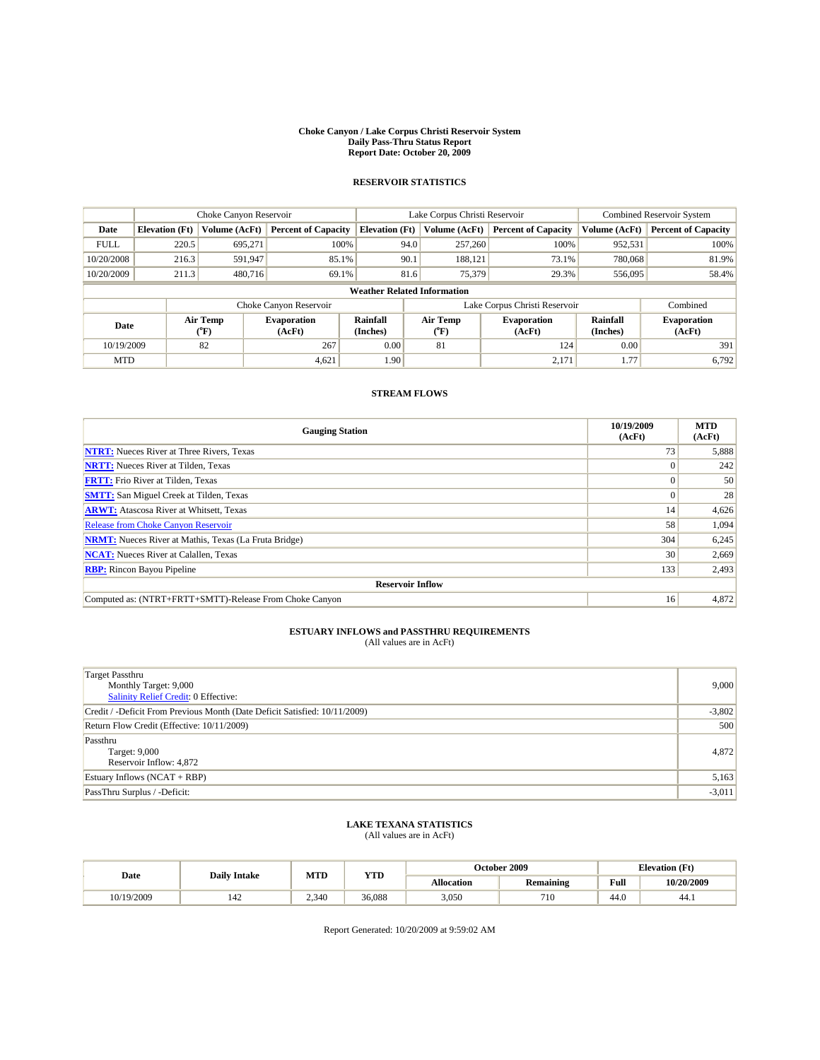#### **Choke Canyon / Lake Corpus Christi Reservoir System Daily Pass-Thru Status Report Report Date: October 20, 2009**

### **RESERVOIR STATISTICS**

|                                    | Choke Canyon Reservoir |                  |                              |                       | Lake Corpus Christi Reservoir |                  |                               |                      | Combined Reservoir System    |  |
|------------------------------------|------------------------|------------------|------------------------------|-----------------------|-------------------------------|------------------|-------------------------------|----------------------|------------------------------|--|
| Date                               | <b>Elevation</b> (Ft)  | Volume (AcFt)    | <b>Percent of Capacity</b>   | <b>Elevation</b> (Ft) |                               | Volume (AcFt)    | <b>Percent of Capacity</b>    | Volume (AcFt)        | <b>Percent of Capacity</b>   |  |
| <b>FULL</b>                        | 220.5                  | 695.271          | 100%                         |                       | 94.0                          | 257,260          | 100%                          | 952,531              | 100%                         |  |
| 10/20/2008                         | 216.3                  | 591,947          | 85.1%                        |                       | 90.1                          | 188.121          | 73.1%                         | 780,068              | 81.9%                        |  |
| 10/20/2009                         | 211.3                  | 480,716          | 69.1%                        |                       | 81.6                          | 75,379           | 29.3%                         | 556,095              | 58.4%                        |  |
| <b>Weather Related Information</b> |                        |                  |                              |                       |                               |                  |                               |                      |                              |  |
|                                    |                        |                  | Choke Canyon Reservoir       |                       |                               |                  | Lake Corpus Christi Reservoir |                      | Combined                     |  |
| Date                               |                        | Air Temp<br>(°F) | <b>Evaporation</b><br>(AcFt) | Rainfall<br>(Inches)  |                               | Air Temp<br>("F) | <b>Evaporation</b><br>(AcFt)  | Rainfall<br>(Inches) | <b>Evaporation</b><br>(AcFt) |  |
| 10/19/2009                         |                        | 82               | 267                          | 0.00                  |                               | 81               | 124                           | 0.00                 | 391                          |  |
| <b>MTD</b>                         |                        |                  | 4,621                        | 1.90                  |                               |                  | 2,171                         | 1.77                 | 6,792                        |  |

### **STREAM FLOWS**

| <b>Gauging Station</b>                                       | 10/19/2009<br>(AcFt) | <b>MTD</b><br>(AcFt) |  |  |  |  |
|--------------------------------------------------------------|----------------------|----------------------|--|--|--|--|
| <b>NTRT:</b> Nueces River at Three Rivers, Texas             | 73                   | 5,888                |  |  |  |  |
| <b>NRTT:</b> Nueces River at Tilden, Texas                   |                      | 242                  |  |  |  |  |
| <b>FRTT:</b> Frio River at Tilden, Texas                     |                      | 50                   |  |  |  |  |
| <b>SMTT:</b> San Miguel Creek at Tilden, Texas               |                      | 28                   |  |  |  |  |
| <b>ARWT:</b> Atascosa River at Whitsett, Texas               | 14                   | 4,626                |  |  |  |  |
| <b>Release from Choke Canyon Reservoir</b>                   | 58                   | 1,094                |  |  |  |  |
| <b>NRMT:</b> Nueces River at Mathis, Texas (La Fruta Bridge) | 304                  | 6,245                |  |  |  |  |
| <b>NCAT:</b> Nueces River at Calallen, Texas                 | 30                   | 2,669                |  |  |  |  |
| <b>RBP:</b> Rincon Bayou Pipeline                            | 133                  | 2,493                |  |  |  |  |
| <b>Reservoir Inflow</b>                                      |                      |                      |  |  |  |  |
| Computed as: (NTRT+FRTT+SMTT)-Release From Choke Canyon      | 16                   | 4,872                |  |  |  |  |

## **ESTUARY INFLOWS and PASSTHRU REQUIREMENTS**<br>(All values are in AcFt)

| <b>Target Passthru</b><br>Monthly Target: 9,000<br>Salinity Relief Credit: 0 Effective: | 9,000    |
|-----------------------------------------------------------------------------------------|----------|
| Credit / -Deficit From Previous Month (Date Deficit Satisfied: 10/11/2009)              | $-3,802$ |
| Return Flow Credit (Effective: 10/11/2009)                                              | 500      |
| Passthru<br>Target: 9,000<br>Reservoir Inflow: 4,872                                    | 4,872    |
| Estuary Inflows $(NCAT + RBP)$                                                          | 5,163    |
| PassThru Surplus / -Deficit:                                                            | $-3,011$ |

## **LAKE TEXANA STATISTICS** (All values are in AcFt)

| Date       | <b>Daily Intake</b> | <b>MTD</b> | VTT<br>1.LD | October 2009      |           | <b>Elevation</b> (Ft) |            |
|------------|---------------------|------------|-------------|-------------------|-----------|-----------------------|------------|
|            |                     |            |             | <b>Allocation</b> | Remaining | Full                  | 10/20/2009 |
| 10/19/2009 | 142                 | 2.340      | 36.088      | 3,050             | 710       | 14 O<br>44.U          | 44.1       |

Report Generated: 10/20/2009 at 9:59:02 AM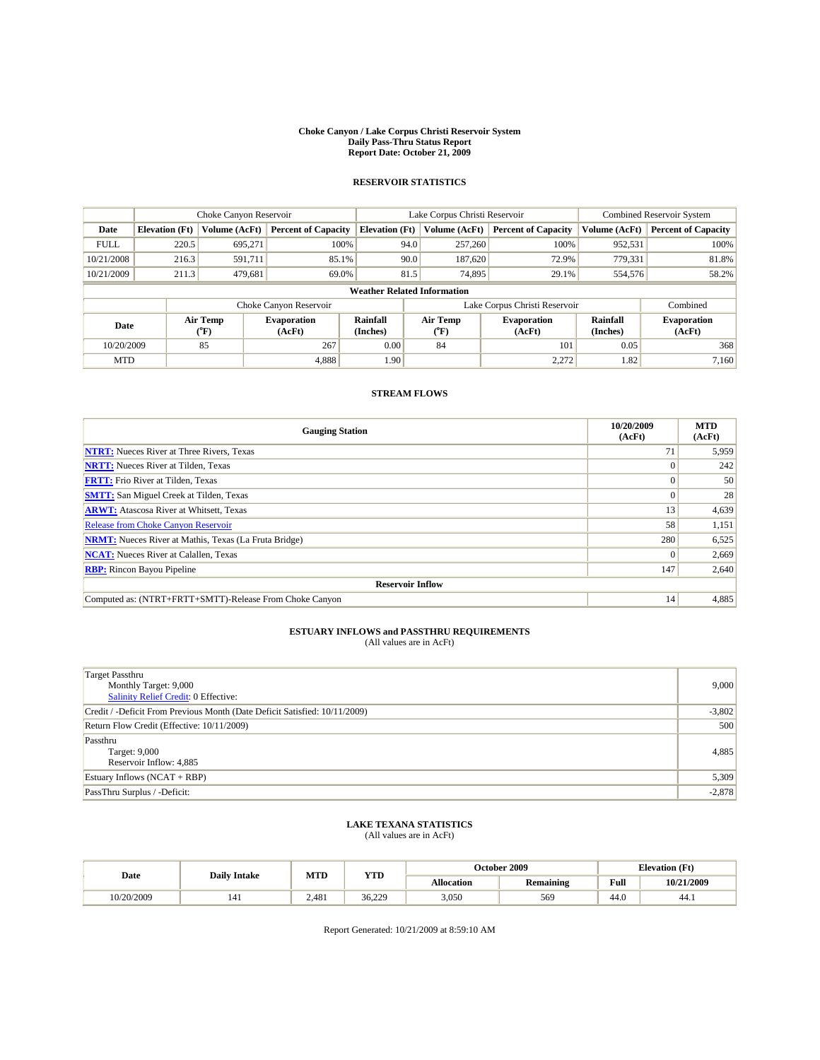#### **Choke Canyon / Lake Corpus Christi Reservoir System Daily Pass-Thru Status Report Report Date: October 21, 2009**

### **RESERVOIR STATISTICS**

|                                    |                                                                     | Choke Canyon Reservoir |                              |                       | Lake Corpus Christi Reservoir    | Combined Reservoir System    |                      |                              |  |
|------------------------------------|---------------------------------------------------------------------|------------------------|------------------------------|-----------------------|----------------------------------|------------------------------|----------------------|------------------------------|--|
| Date                               | <b>Elevation</b> (Ft)                                               | Volume (AcFt)          | <b>Percent of Capacity</b>   | <b>Elevation</b> (Ft) | Volume (AcFt)                    | <b>Percent of Capacity</b>   | Volume (AcFt)        | <b>Percent of Capacity</b>   |  |
| <b>FULL</b>                        | 220.5                                                               | 695.271                | 100%                         | 94.0                  | 257,260                          | 100%                         | 952,531              | 100%                         |  |
| 10/21/2008                         | 216.3                                                               | 591.711                | 85.1%                        | 90.0                  | 187,620                          | 72.9%                        | 779,331              | 81.8%                        |  |
| 10/21/2009                         | 211.3                                                               | 479,681                | 69.0%                        | 81.5                  | 74,895                           | 29.1%                        | 554,576              | 58.2%                        |  |
| <b>Weather Related Information</b> |                                                                     |                        |                              |                       |                                  |                              |                      |                              |  |
|                                    | Lake Corpus Christi Reservoir<br>Choke Canyon Reservoir<br>Combined |                        |                              |                       |                                  |                              |                      |                              |  |
| Date                               |                                                                     | Air Temp<br>(°F)       | <b>Evaporation</b><br>(AcFt) | Rainfall<br>(Inches)  | <b>Air Temp</b><br>$(^{\circ}F)$ | <b>Evaporation</b><br>(AcFt) | Rainfall<br>(Inches) | <b>Evaporation</b><br>(AcFt) |  |
| 10/20/2009                         |                                                                     | 85                     | 267                          | 0.00                  | 84                               | 101                          | 0.05                 | 368                          |  |
| <b>MTD</b>                         |                                                                     |                        | 4,888                        | 1.90                  |                                  | 2,272                        | 1.82                 | 7,160                        |  |

### **STREAM FLOWS**

| <b>Gauging Station</b>                                       | 10/20/2009<br>(AcFt) | <b>MTD</b><br>(AcFt) |  |  |  |  |
|--------------------------------------------------------------|----------------------|----------------------|--|--|--|--|
| <b>NTRT:</b> Nueces River at Three Rivers, Texas             | 71                   | 5,959                |  |  |  |  |
| <b>NRTT:</b> Nueces River at Tilden, Texas                   |                      | 242                  |  |  |  |  |
| <b>FRTT:</b> Frio River at Tilden, Texas                     |                      | 50                   |  |  |  |  |
| <b>SMTT:</b> San Miguel Creek at Tilden, Texas               |                      | 28                   |  |  |  |  |
| <b>ARWT:</b> Atascosa River at Whitsett, Texas               | 13                   | 4,639                |  |  |  |  |
| <b>Release from Choke Canyon Reservoir</b>                   | 58                   | 1,151                |  |  |  |  |
| <b>NRMT:</b> Nueces River at Mathis, Texas (La Fruta Bridge) | 280                  | 6,525                |  |  |  |  |
| <b>NCAT:</b> Nueces River at Calallen, Texas                 |                      | 2,669                |  |  |  |  |
| <b>RBP:</b> Rincon Bayou Pipeline                            | 147                  | 2,640                |  |  |  |  |
| <b>Reservoir Inflow</b>                                      |                      |                      |  |  |  |  |
| Computed as: (NTRT+FRTT+SMTT)-Release From Choke Canyon      | 14                   | 4,885                |  |  |  |  |

## **ESTUARY INFLOWS and PASSTHRU REQUIREMENTS**<br>(All values are in AcFt)

| Target Passthru<br>Monthly Target: 9,000<br>Salinity Relief Credit: 0 Effective: | 9,000    |
|----------------------------------------------------------------------------------|----------|
| Credit / -Deficit From Previous Month (Date Deficit Satisfied: 10/11/2009)       | $-3,802$ |
| Return Flow Credit (Effective: 10/11/2009)                                       | 500      |
| Passthru<br>Target: 9,000<br>Reservoir Inflow: 4,885                             | 4,885    |
| Estuary Inflows (NCAT + RBP)                                                     | 5,309    |
| PassThru Surplus / -Deficit:                                                     | $-2,878$ |

## **LAKE TEXANA STATISTICS** (All values are in AcFt)

| Date       | <b>Daily Intake</b> | MTD   | ww                  |                   | October 2009 | <b>Elevation</b> (Ft) |            |
|------------|---------------------|-------|---------------------|-------------------|--------------|-----------------------|------------|
|            |                     |       | 1 I.D               | <b>Allocation</b> | Remaining    | Full                  | 10/21/2009 |
| 10/20/2009 | 141                 | 2,481 | 36.220<br>د ے۔ یہ ب | 3,050             | 569          | 44.0                  | 44.1       |

Report Generated: 10/21/2009 at 8:59:10 AM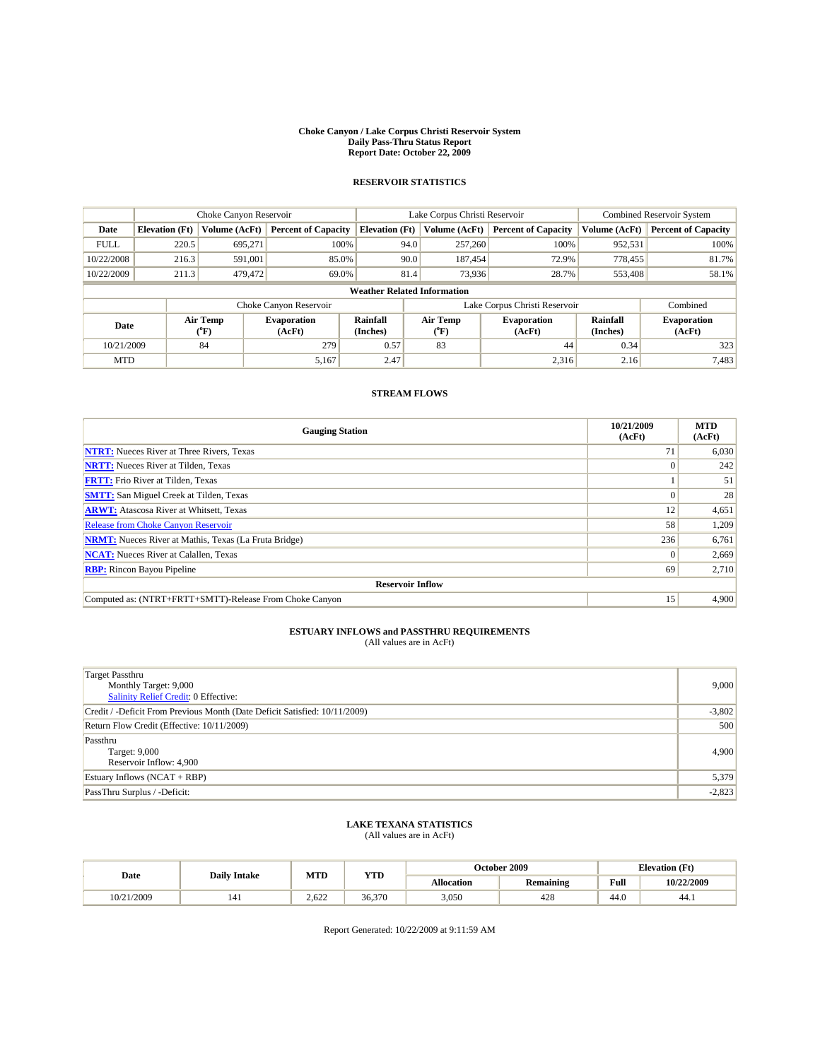#### **Choke Canyon / Lake Corpus Christi Reservoir System Daily Pass-Thru Status Report Report Date: October 22, 2009**

### **RESERVOIR STATISTICS**

|                                    | Choke Canyon Reservoir |                  |                              |                       | Lake Corpus Christi Reservoir |               |                               |                      | Combined Reservoir System    |  |
|------------------------------------|------------------------|------------------|------------------------------|-----------------------|-------------------------------|---------------|-------------------------------|----------------------|------------------------------|--|
| Date                               | <b>Elevation</b> (Ft)  | Volume (AcFt)    | <b>Percent of Capacity</b>   | <b>Elevation</b> (Ft) |                               | Volume (AcFt) | <b>Percent of Capacity</b>    | Volume (AcFt)        | <b>Percent of Capacity</b>   |  |
| <b>FULL</b>                        | 220.5                  | 695.271          | 100%                         |                       | 94.0                          | 257,260       | 100%                          | 952,531              | 100%                         |  |
| 10/22/2008                         | 216.3                  | 591,001          | 85.0%                        |                       | 90.0                          | 187.454       | 72.9%                         | 778,455              | 81.7%                        |  |
| 10/22/2009                         | 211.3                  | 479,472          | 69.0%                        |                       | 81.4                          | 73,936        | 28.7%                         | 553,408              | 58.1%                        |  |
| <b>Weather Related Information</b> |                        |                  |                              |                       |                               |               |                               |                      |                              |  |
|                                    |                        |                  | Choke Canyon Reservoir       |                       |                               |               | Lake Corpus Christi Reservoir |                      | Combined                     |  |
| Date                               |                        | Air Temp<br>(°F) | <b>Evaporation</b><br>(AcFt) | Rainfall<br>(Inches)  | Air Temp<br>("F)              |               | <b>Evaporation</b><br>(AcFt)  | Rainfall<br>(Inches) | <b>Evaporation</b><br>(AcFt) |  |
| 10/21/2009                         |                        | 84               | 279                          | 0.57                  | 83                            |               | 44                            | 0.34                 | 323                          |  |
| <b>MTD</b>                         |                        |                  | 5,167                        | 2.47                  |                               |               | 2,316                         | 2.16                 | 7,483                        |  |

### **STREAM FLOWS**

| <b>Gauging Station</b>                                       | 10/21/2009<br>(AcFt) | <b>MTD</b><br>(AcFt) |  |  |  |  |
|--------------------------------------------------------------|----------------------|----------------------|--|--|--|--|
| <b>NTRT:</b> Nueces River at Three Rivers, Texas             | 71                   | 6,030                |  |  |  |  |
| <b>NRTT:</b> Nueces River at Tilden, Texas                   |                      | 242                  |  |  |  |  |
| <b>FRTT:</b> Frio River at Tilden, Texas                     |                      | 51                   |  |  |  |  |
| <b>SMTT:</b> San Miguel Creek at Tilden, Texas               |                      | 28                   |  |  |  |  |
| <b>ARWT:</b> Atascosa River at Whitsett, Texas               | 12                   | 4,651                |  |  |  |  |
| <b>Release from Choke Canyon Reservoir</b>                   | 58                   | 1,209                |  |  |  |  |
| <b>NRMT:</b> Nueces River at Mathis, Texas (La Fruta Bridge) | 236                  | 6,761                |  |  |  |  |
| <b>NCAT:</b> Nueces River at Calallen, Texas                 |                      | 2,669                |  |  |  |  |
| <b>RBP:</b> Rincon Bayou Pipeline                            | 69                   | 2,710                |  |  |  |  |
| <b>Reservoir Inflow</b>                                      |                      |                      |  |  |  |  |
| Computed as: (NTRT+FRTT+SMTT)-Release From Choke Canyon      | 15                   | 4,900                |  |  |  |  |

## **ESTUARY INFLOWS and PASSTHRU REQUIREMENTS**<br>(All values are in AcFt)

| Target Passthru<br>Monthly Target: 9,000<br>Salinity Relief Credit: 0 Effective: | 9,000    |
|----------------------------------------------------------------------------------|----------|
| Credit / -Deficit From Previous Month (Date Deficit Satisfied: 10/11/2009)       | $-3,802$ |
| Return Flow Credit (Effective: 10/11/2009)                                       | 500      |
| Passthru<br>Target: 9,000<br>Reservoir Inflow: 4,900                             | 4,900    |
| Estuary Inflows (NCAT + RBP)                                                     | 5,379    |
| PassThru Surplus / -Deficit:                                                     | $-2,823$ |

## **LAKE TEXANA STATISTICS** (All values are in AcFt)

| Date       | <b>Daily Intake</b> | MTD   | ww     |                   | October 2009 | <b>Elevation</b> (Ft) |            |
|------------|---------------------|-------|--------|-------------------|--------------|-----------------------|------------|
|            |                     |       | 1 I.D  | <b>Allocation</b> | Remaining    | Full                  | 10/22/2009 |
| 10/21/2009 | 141                 | 2.622 | 36,370 | 3,050             | 428          | 44.0                  | 44.1       |

Report Generated: 10/22/2009 at 9:11:59 AM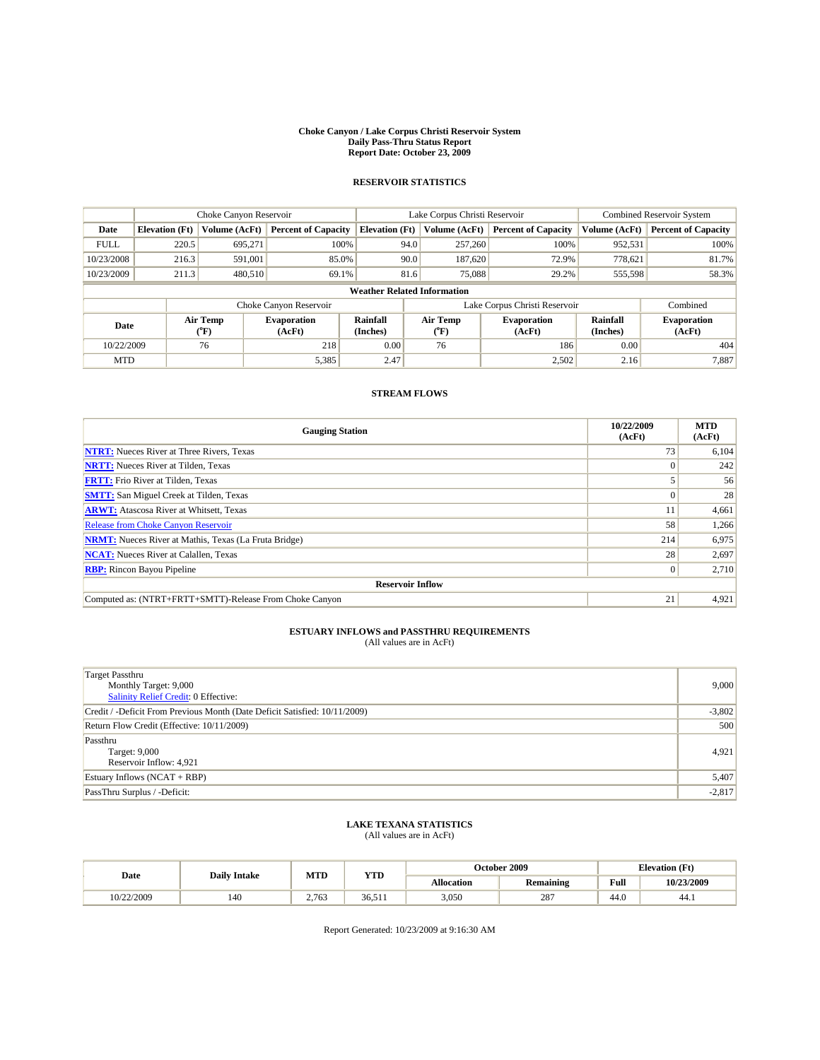#### **Choke Canyon / Lake Corpus Christi Reservoir System Daily Pass-Thru Status Report Report Date: October 23, 2009**

### **RESERVOIR STATISTICS**

|                                    | Choke Canyon Reservoir |                  | Lake Corpus Christi Reservoir |                       |                                   |               | <b>Combined Reservoir System</b> |                      |                              |
|------------------------------------|------------------------|------------------|-------------------------------|-----------------------|-----------------------------------|---------------|----------------------------------|----------------------|------------------------------|
| Date                               | <b>Elevation</b> (Ft)  | Volume (AcFt)    | <b>Percent of Capacity</b>    | <b>Elevation</b> (Ft) |                                   | Volume (AcFt) | <b>Percent of Capacity</b>       | Volume (AcFt)        | <b>Percent of Capacity</b>   |
| <b>FULL</b>                        | 220.5                  | 695.271          | 100%                          |                       | 94.0                              | 257,260       | 100%                             | 952,531              | 100%                         |
| 10/23/2008                         | 216.3                  | 591.001          | 85.0%                         |                       | 90.0                              | 187,620       | 72.9%                            | 778,621              | 81.7%                        |
| 10/23/2009                         | 211.3                  | 480,510          | 69.1%                         |                       | 81.6                              | 75,088        | 29.2%                            | 555,598              | 58.3%                        |
| <b>Weather Related Information</b> |                        |                  |                               |                       |                                   |               |                                  |                      |                              |
|                                    |                        |                  | Choke Canyon Reservoir        |                       |                                   |               | Lake Corpus Christi Reservoir    |                      | Combined                     |
| Date                               |                        | Air Temp<br>(°F) | <b>Evaporation</b><br>(AcFt)  | Rainfall<br>(Inches)  | Air Temp<br>$({}^{\circ}{\rm F})$ |               | <b>Evaporation</b><br>(AcFt)     | Rainfall<br>(Inches) | <b>Evaporation</b><br>(AcFt) |
| 10/22/2009                         |                        | 76               | 218                           | 0.00                  | 76                                |               | 186                              | 0.00                 | 404                          |
| <b>MTD</b>                         |                        |                  | 5,385                         | 2.47                  |                                   |               | 2,502                            | 2.16                 | 7,887                        |

### **STREAM FLOWS**

| <b>Gauging Station</b>                                       | 10/22/2009<br>(AcFt) | <b>MTD</b><br>(AcFt) |  |  |  |  |  |
|--------------------------------------------------------------|----------------------|----------------------|--|--|--|--|--|
| <b>NTRT:</b> Nueces River at Three Rivers, Texas             | 73                   | 6,104                |  |  |  |  |  |
| <b>NRTT:</b> Nueces River at Tilden, Texas                   |                      | 242                  |  |  |  |  |  |
| <b>FRTT:</b> Frio River at Tilden, Texas                     |                      | 56                   |  |  |  |  |  |
| <b>SMTT:</b> San Miguel Creek at Tilden, Texas               |                      | 28                   |  |  |  |  |  |
| <b>ARWT:</b> Atascosa River at Whitsett, Texas               |                      | 4,661                |  |  |  |  |  |
| <b>Release from Choke Canyon Reservoir</b>                   | 58                   | 1,266                |  |  |  |  |  |
| <b>NRMT:</b> Nueces River at Mathis, Texas (La Fruta Bridge) | 214                  | 6,975                |  |  |  |  |  |
| <b>NCAT:</b> Nueces River at Calallen, Texas                 | 28                   | 2,697                |  |  |  |  |  |
| <b>RBP:</b> Rincon Bayou Pipeline                            | $\Omega$             | 2,710                |  |  |  |  |  |
| <b>Reservoir Inflow</b>                                      |                      |                      |  |  |  |  |  |
| Computed as: (NTRT+FRTT+SMTT)-Release From Choke Canyon      | 21                   | 4,921                |  |  |  |  |  |

## **ESTUARY INFLOWS and PASSTHRU REQUIREMENTS**<br>(All values are in AcFt)

| Target Passthru<br>Monthly Target: 9,000<br>Salinity Relief Credit: 0 Effective: | 9,000    |
|----------------------------------------------------------------------------------|----------|
| Credit / -Deficit From Previous Month (Date Deficit Satisfied: 10/11/2009)       | $-3,802$ |
| Return Flow Credit (Effective: 10/11/2009)                                       | 500      |
| Passthru<br>Target: 9,000<br>Reservoir Inflow: 4,921                             | 4,921    |
| Estuary Inflows (NCAT + RBP)                                                     | 5,407    |
| PassThru Surplus / -Deficit:                                                     | $-2,817$ |

## **LAKE TEXANA STATISTICS** (All values are in AcFt)

| Date       | <b>Daily Intake</b> | MTD   | ww                  |                   | October 2009 | <b>Elevation</b> (Ft) |            |
|------------|---------------------|-------|---------------------|-------------------|--------------|-----------------------|------------|
|            |                     |       | 1 I.D               | <b>Allocation</b> | Remaining    | Full                  | 10/23/2009 |
| 10/22/2009 | 140                 | 2,763 | 3651<br><b>JULI</b> | 3,050             | 287          | 44.0                  | 44.1       |

Report Generated: 10/23/2009 at 9:16:30 AM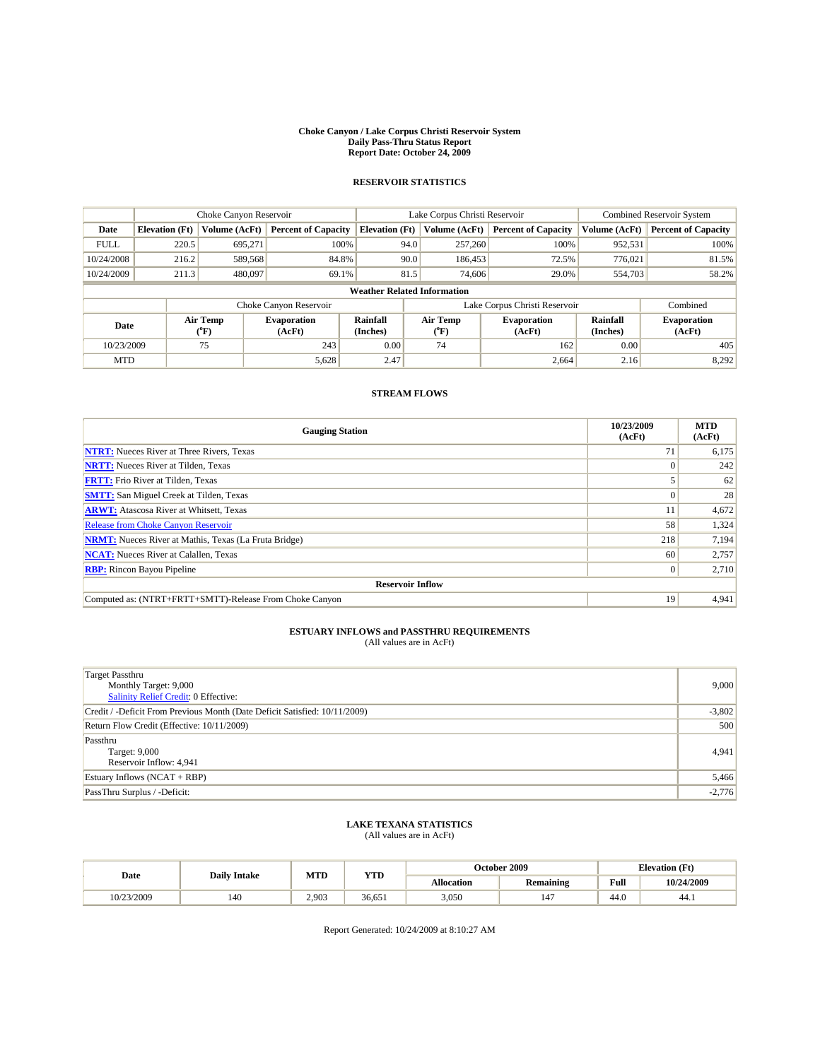#### **Choke Canyon / Lake Corpus Christi Reservoir System Daily Pass-Thru Status Report Report Date: October 24, 2009**

### **RESERVOIR STATISTICS**

|                                    | Choke Canyon Reservoir |                  |                              |                       | Lake Corpus Christi Reservoir |                  |                               |                      | Combined Reservoir System    |  |
|------------------------------------|------------------------|------------------|------------------------------|-----------------------|-------------------------------|------------------|-------------------------------|----------------------|------------------------------|--|
| Date                               | <b>Elevation</b> (Ft)  | Volume (AcFt)    | <b>Percent of Capacity</b>   | <b>Elevation</b> (Ft) |                               | Volume (AcFt)    | <b>Percent of Capacity</b>    | Volume (AcFt)        | <b>Percent of Capacity</b>   |  |
| <b>FULL</b>                        | 220.5                  | 695.271          | 100%                         |                       | 94.0                          | 257,260          | 100%                          | 952,531              | 100%                         |  |
| 10/24/2008                         | 216.2                  | 589,568          | 84.8%                        |                       | 90.0                          | 186,453          | 72.5%                         | 776.021              | 81.5%                        |  |
| 10/24/2009                         | 211.3                  | 480,097          | 69.1%                        |                       | 81.5                          | 74,606           | 29.0%                         | 554,703              | 58.2%                        |  |
| <b>Weather Related Information</b> |                        |                  |                              |                       |                               |                  |                               |                      |                              |  |
|                                    |                        |                  | Choke Canyon Reservoir       |                       |                               |                  | Lake Corpus Christi Reservoir |                      | Combined                     |  |
| Date                               |                        | Air Temp<br>("F) | <b>Evaporation</b><br>(AcFt) | Rainfall<br>(Inches)  |                               | Air Temp<br>("F) | <b>Evaporation</b><br>(AcFt)  | Rainfall<br>(Inches) | <b>Evaporation</b><br>(AcFt) |  |
| 10/23/2009                         |                        | 75               | 243                          | 0.00                  |                               | 74               | 162                           | 0.00                 | 405                          |  |
| <b>MTD</b>                         |                        |                  | 5,628                        | 2.47                  |                               |                  | 2,664                         | 2.16                 | 8,292                        |  |

### **STREAM FLOWS**

| <b>Gauging Station</b>                                       | 10/23/2009<br>(AcFt) | <b>MTD</b><br>(AcFt) |  |  |  |  |
|--------------------------------------------------------------|----------------------|----------------------|--|--|--|--|
| <b>NTRT:</b> Nueces River at Three Rivers, Texas             | 71                   | 6,175                |  |  |  |  |
| <b>NRTT:</b> Nueces River at Tilden, Texas                   |                      | 242                  |  |  |  |  |
| <b>FRTT:</b> Frio River at Tilden, Texas                     |                      | 62                   |  |  |  |  |
| <b>SMTT:</b> San Miguel Creek at Tilden, Texas               |                      | 28                   |  |  |  |  |
| <b>ARWT:</b> Atascosa River at Whitsett, Texas               | 11                   | 4,672                |  |  |  |  |
| <b>Release from Choke Canyon Reservoir</b>                   | 58                   | 1,324                |  |  |  |  |
| <b>NRMT:</b> Nueces River at Mathis, Texas (La Fruta Bridge) | 218                  | 7,194                |  |  |  |  |
| <b>NCAT:</b> Nueces River at Calallen, Texas                 | 60                   | 2,757                |  |  |  |  |
| <b>RBP:</b> Rincon Bayou Pipeline                            | 0                    | 2,710                |  |  |  |  |
| <b>Reservoir Inflow</b>                                      |                      |                      |  |  |  |  |
| Computed as: (NTRT+FRTT+SMTT)-Release From Choke Canyon      | 19                   | 4,941                |  |  |  |  |

## **ESTUARY INFLOWS and PASSTHRU REQUIREMENTS**<br>(All values are in AcFt)

| <b>Target Passthru</b><br>Monthly Target: 9,000<br>Salinity Relief Credit: 0 Effective: | 9,000    |
|-----------------------------------------------------------------------------------------|----------|
| Credit / -Deficit From Previous Month (Date Deficit Satisfied: 10/11/2009)              | $-3,802$ |
| Return Flow Credit (Effective: 10/11/2009)                                              | 500      |
| Passthru<br>Target: 9,000<br>Reservoir Inflow: 4,941                                    | 4,941    |
| Estuary Inflows $(NCAT + RBP)$                                                          | 5,466    |
| PassThru Surplus / -Deficit:                                                            | $-2,776$ |

## **LAKE TEXANA STATISTICS** (All values are in AcFt)

| Date       | <b>Daily Intake</b> | MTD   | YTD    |            | October 2009 |      | <b>Elevation</b> (Ft) |
|------------|---------------------|-------|--------|------------|--------------|------|-----------------------|
|            |                     |       |        | Allocation | Remaining    | Full | 10/24/2009            |
| 10/23/2009 | 140                 | 2.903 | 36.651 | 3,050      | 147          | 44.6 | -44.1                 |

Report Generated: 10/24/2009 at 8:10:27 AM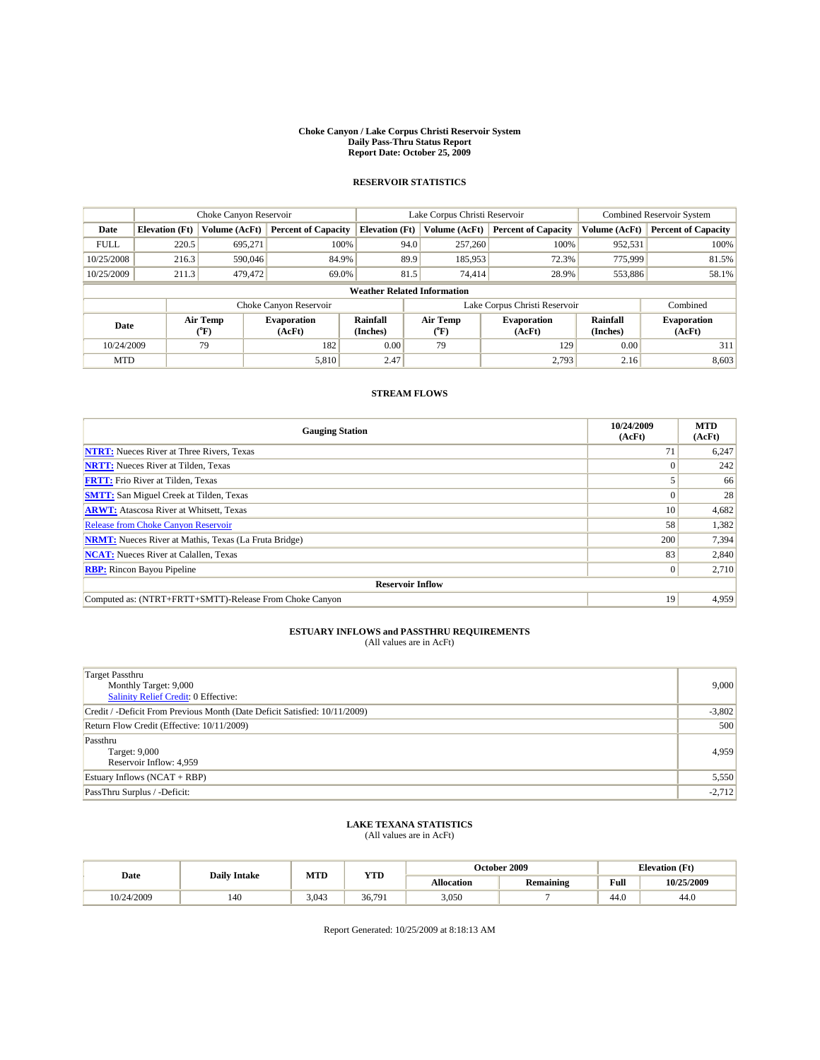#### **Choke Canyon / Lake Corpus Christi Reservoir System Daily Pass-Thru Status Report Report Date: October 25, 2009**

### **RESERVOIR STATISTICS**

|                                    | Choke Canyon Reservoir |                                           | Lake Corpus Christi Reservoir |                       |      |                                         | <b>Combined Reservoir System</b> |                      |                              |
|------------------------------------|------------------------|-------------------------------------------|-------------------------------|-----------------------|------|-----------------------------------------|----------------------------------|----------------------|------------------------------|
| Date                               | <b>Elevation</b> (Ft)  | Volume (AcFt)                             | <b>Percent of Capacity</b>    | <b>Elevation</b> (Ft) |      | Volume (AcFt)                           | <b>Percent of Capacity</b>       | Volume (AcFt)        | <b>Percent of Capacity</b>   |
| <b>FULL</b>                        | 220.5                  | 695,271                                   | 100%                          |                       | 94.0 | 257,260                                 | 100%                             | 952,531              | 100%                         |
| 10/25/2008                         | 216.3                  | 590,046                                   | 84.9%                         |                       | 89.9 | 185.953                                 | 72.3%                            | 775,999              | 81.5%                        |
| 10/25/2009                         | 211.3                  | 479,472                                   | 69.0%                         |                       | 81.5 | 74,414                                  | 28.9%                            | 553,886              | 58.1%                        |
| <b>Weather Related Information</b> |                        |                                           |                               |                       |      |                                         |                                  |                      |                              |
|                                    |                        |                                           | Choke Canyon Reservoir        |                       |      |                                         | Lake Corpus Christi Reservoir    |                      | Combined                     |
| Date                               |                        | Air Temp<br>$({}^{\mathrm{o}}\mathrm{F})$ | <b>Evaporation</b><br>(AcFt)  | Rainfall<br>(Inches)  |      | Air Temp<br>$(^{\mathrm{o}}\mathrm{F})$ | <b>Evaporation</b><br>(AcFt)     | Rainfall<br>(Inches) | <b>Evaporation</b><br>(AcFt) |
| 10/24/2009                         |                        | 79                                        | 182                           | 0.00                  |      | 79                                      | 129                              | 0.00                 | 311                          |
| <b>MTD</b>                         |                        |                                           | 5,810                         | 2.47                  |      |                                         | 2,793                            | 2.16                 | 8,603                        |

### **STREAM FLOWS**

| <b>Gauging Station</b>                                       | 10/24/2009<br>(AcFt) | <b>MTD</b><br>(AcFt) |  |  |  |  |
|--------------------------------------------------------------|----------------------|----------------------|--|--|--|--|
| <b>NTRT:</b> Nueces River at Three Rivers, Texas             | 71                   | 6,247                |  |  |  |  |
| <b>NRTT:</b> Nueces River at Tilden, Texas                   |                      | 242                  |  |  |  |  |
| <b>FRTT:</b> Frio River at Tilden, Texas                     |                      | 66                   |  |  |  |  |
| <b>SMTT:</b> San Miguel Creek at Tilden, Texas               |                      | 28                   |  |  |  |  |
| <b>ARWT:</b> Atascosa River at Whitsett, Texas               | 10                   | 4,682                |  |  |  |  |
| <b>Release from Choke Canyon Reservoir</b>                   | 58                   | 1,382                |  |  |  |  |
| <b>NRMT:</b> Nueces River at Mathis, Texas (La Fruta Bridge) | 200                  | 7,394                |  |  |  |  |
| <b>NCAT:</b> Nueces River at Calallen, Texas                 | 83                   | 2,840                |  |  |  |  |
| <b>RBP:</b> Rincon Bayou Pipeline                            | $\Omega$             | 2,710                |  |  |  |  |
| <b>Reservoir Inflow</b>                                      |                      |                      |  |  |  |  |
| Computed as: (NTRT+FRTT+SMTT)-Release From Choke Canyon      | 19                   | 4,959                |  |  |  |  |

## **ESTUARY INFLOWS and PASSTHRU REQUIREMENTS**<br>(All values are in AcFt)

| Target Passthru<br>Monthly Target: 9,000<br>Salinity Relief Credit: 0 Effective: | 9,000    |
|----------------------------------------------------------------------------------|----------|
| Credit / -Deficit From Previous Month (Date Deficit Satisfied: 10/11/2009)       | $-3,802$ |
| Return Flow Credit (Effective: 10/11/2009)                                       | 500      |
| Passthru<br>Target: 9,000<br>Reservoir Inflow: 4,959                             | 4,959    |
| Estuary Inflows (NCAT + RBP)                                                     | 5,550    |
| PassThru Surplus / -Deficit:                                                     | $-2,712$ |

## **LAKE TEXANA STATISTICS** (All values are in AcFt)

| Date       | <b>Daily Intake</b> | MTD   | ww     |                   | October 2009 | <b>Elevation</b> (Ft) |            |
|------------|---------------------|-------|--------|-------------------|--------------|-----------------------|------------|
|            |                     |       | 1 I.D  | <b>Allocation</b> | Remaining    | Full                  | 10/25/2009 |
| 10/24/2009 | 140                 | 3.043 | 36.791 | 3,050             |              | 140<br>44.U           | 44.0       |

Report Generated: 10/25/2009 at 8:18:13 AM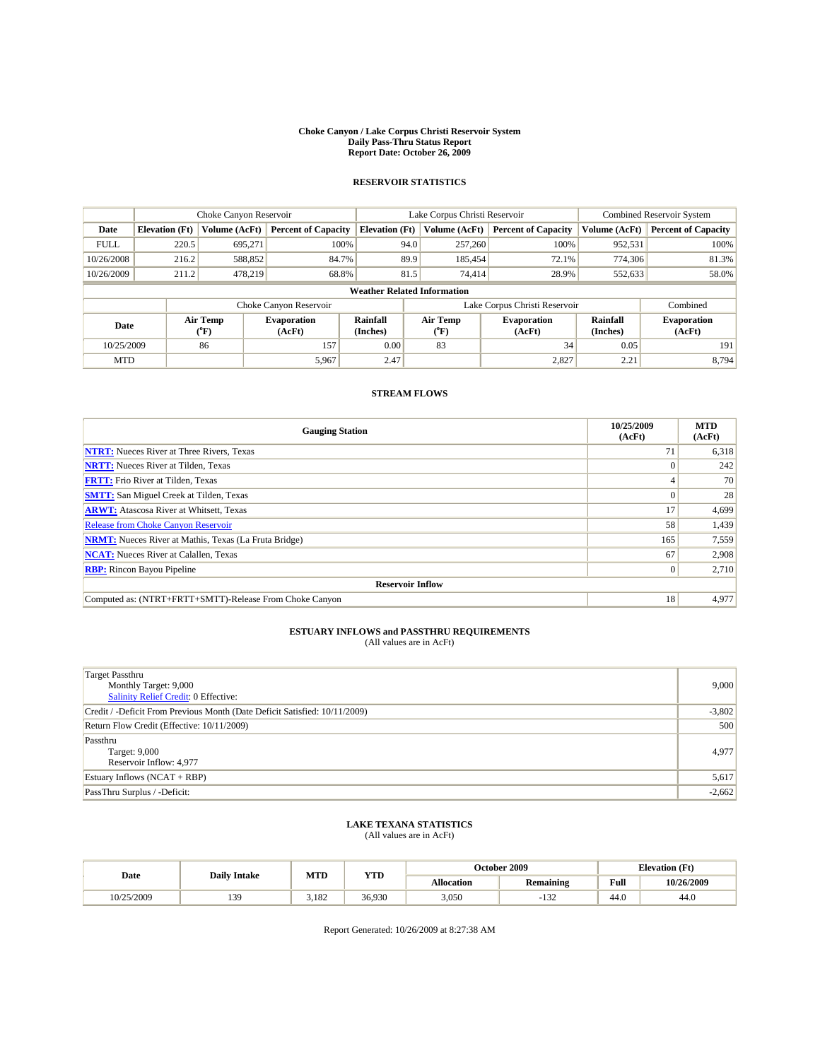#### **Choke Canyon / Lake Corpus Christi Reservoir System Daily Pass-Thru Status Report Report Date: October 26, 2009**

### **RESERVOIR STATISTICS**

|                                    | Choke Canyon Reservoir |                  | Lake Corpus Christi Reservoir |                       |      |                                  | <b>Combined Reservoir System</b> |                      |                              |
|------------------------------------|------------------------|------------------|-------------------------------|-----------------------|------|----------------------------------|----------------------------------|----------------------|------------------------------|
| Date                               | <b>Elevation</b> (Ft)  | Volume (AcFt)    | <b>Percent of Capacity</b>    | <b>Elevation</b> (Ft) |      | Volume (AcFt)                    | <b>Percent of Capacity</b>       | Volume (AcFt)        | <b>Percent of Capacity</b>   |
| <b>FULL</b>                        | 220.5                  | 695.271          | 100%                          |                       | 94.0 | 257,260                          | 100%                             | 952,531              | 100%                         |
| 10/26/2008                         | 216.2                  | 588,852          | 84.7%                         |                       | 89.9 | 185.454                          | 72.1%                            | 774,306              | 81.3%                        |
| 10/26/2009                         | 211.2                  | 478,219          | 68.8%                         |                       | 81.5 | 74,414                           | 28.9%                            | 552,633              | 58.0%                        |
| <b>Weather Related Information</b> |                        |                  |                               |                       |      |                                  |                                  |                      |                              |
|                                    |                        |                  | Choke Canyon Reservoir        |                       |      |                                  | Lake Corpus Christi Reservoir    |                      | Combined                     |
| Date                               |                        | Air Temp<br>(°F) | <b>Evaporation</b><br>(AcFt)  | Rainfall<br>(Inches)  |      | <b>Air Temp</b><br>$(^{\circ}F)$ | <b>Evaporation</b><br>(AcFt)     | Rainfall<br>(Inches) | <b>Evaporation</b><br>(AcFt) |
| 10/25/2009                         |                        | 86               | 157                           | 0.00                  |      | 83                               | 34                               | 0.05                 | 191                          |
| <b>MTD</b>                         |                        |                  | 5,967                         | 2.47                  |      |                                  | 2,827                            | 2.21                 | 8,794                        |

### **STREAM FLOWS**

| <b>Gauging Station</b>                                       | 10/25/2009<br>(AcFt) | <b>MTD</b><br>(AcFt) |  |  |  |  |
|--------------------------------------------------------------|----------------------|----------------------|--|--|--|--|
| <b>NTRT:</b> Nueces River at Three Rivers, Texas             | 71                   | 6,318                |  |  |  |  |
| <b>NRTT:</b> Nueces River at Tilden, Texas                   |                      | 242                  |  |  |  |  |
| <b>FRTT:</b> Frio River at Tilden, Texas                     |                      | 70                   |  |  |  |  |
| <b>SMTT:</b> San Miguel Creek at Tilden, Texas               |                      | 28                   |  |  |  |  |
| <b>ARWT:</b> Atascosa River at Whitsett, Texas               | 17                   | 4,699                |  |  |  |  |
| <b>Release from Choke Canyon Reservoir</b>                   | 58                   | 1,439                |  |  |  |  |
| <b>NRMT:</b> Nueces River at Mathis, Texas (La Fruta Bridge) | 165                  | 7,559                |  |  |  |  |
| <b>NCAT:</b> Nueces River at Calallen, Texas                 | 67                   | 2,908                |  |  |  |  |
| <b>RBP:</b> Rincon Bayou Pipeline                            | $\Omega$             | 2,710                |  |  |  |  |
| <b>Reservoir Inflow</b>                                      |                      |                      |  |  |  |  |
| Computed as: (NTRT+FRTT+SMTT)-Release From Choke Canyon      | 18                   | 4,977                |  |  |  |  |

## **ESTUARY INFLOWS and PASSTHRU REQUIREMENTS**<br>(All values are in AcFt)

| Target Passthru<br>Monthly Target: 9,000<br>Salinity Relief Credit: 0 Effective: | 9,000    |
|----------------------------------------------------------------------------------|----------|
| Credit / -Deficit From Previous Month (Date Deficit Satisfied: 10/11/2009)       | $-3,802$ |
| Return Flow Credit (Effective: 10/11/2009)                                       | 500      |
| Passthru<br>Target: 9,000<br>Reservoir Inflow: 4,977                             | 4.977    |
| Estuary Inflows (NCAT + RBP)                                                     | 5,617    |
| PassThru Surplus / -Deficit:                                                     | $-2,662$ |

## **LAKE TEXANA STATISTICS** (All values are in AcFt)

| Date       | <b>Daily Intake</b> | MTD   | $\frac{1}{2}$ | October 2009      |                  |      | <b>Elevation</b> (Ft) |
|------------|---------------------|-------|---------------|-------------------|------------------|------|-----------------------|
|            |                     |       | 1 I.D         | <b>Allocation</b> | <b>Remaining</b> | Full | 10/26/2009            |
| 10/25/2009 | 139                 | 3,182 | 36.930        | 3,050             | $\sim$<br>∠دı∙   | 44.0 | 44.0                  |

Report Generated: 10/26/2009 at 8:27:38 AM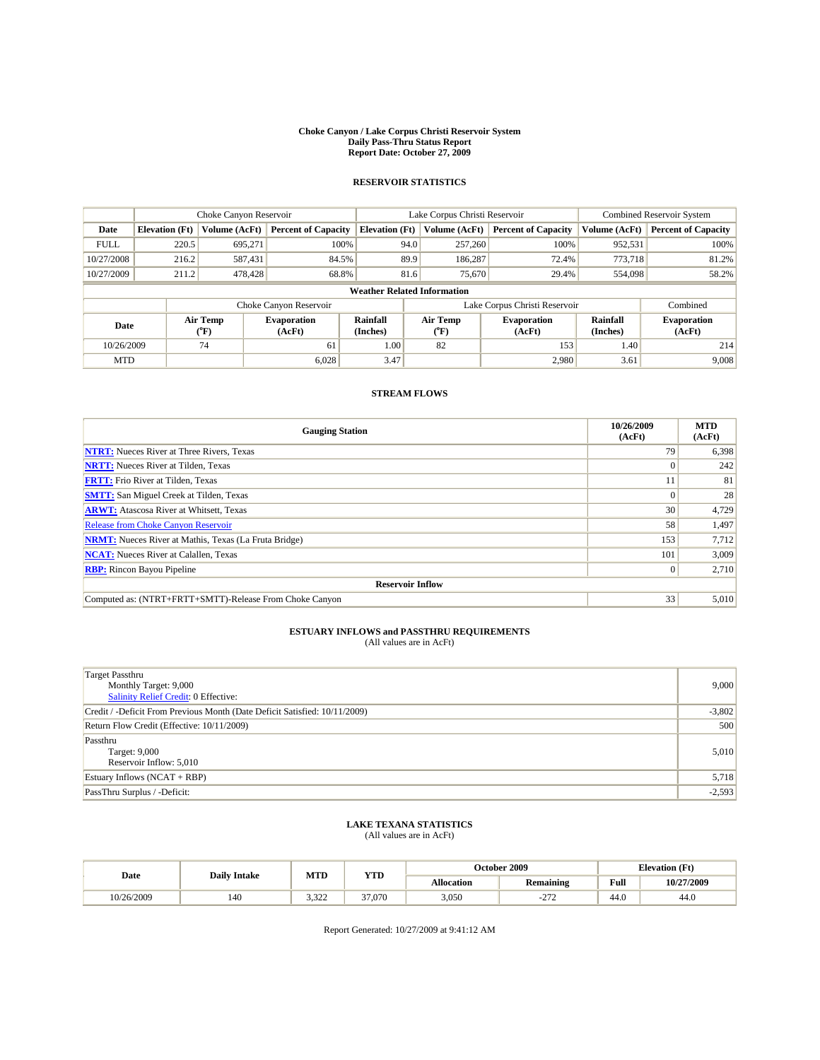#### **Choke Canyon / Lake Corpus Christi Reservoir System Daily Pass-Thru Status Report Report Date: October 27, 2009**

### **RESERVOIR STATISTICS**

|                                    | Choke Canyon Reservoir |                           |                              |                       | Lake Corpus Christi Reservoir |                  |                               |                      | Combined Reservoir System    |  |
|------------------------------------|------------------------|---------------------------|------------------------------|-----------------------|-------------------------------|------------------|-------------------------------|----------------------|------------------------------|--|
| Date                               | <b>Elevation</b> (Ft)  | Volume (AcFt)             | <b>Percent of Capacity</b>   | <b>Elevation</b> (Ft) |                               | Volume (AcFt)    | <b>Percent of Capacity</b>    | Volume (AcFt)        | <b>Percent of Capacity</b>   |  |
| <b>FULL</b>                        | 220.5                  | 695,271                   | 100%                         |                       | 94.0                          | 257,260          | 100%                          | 952,531              | 100%                         |  |
| 10/27/2008                         | 216.2                  | 587,431                   | 84.5%                        |                       | 89.9                          | 186,287          | 72.4%                         | 773,718              | 81.2%                        |  |
| 10/27/2009                         | 211.2                  | 478,428                   | 68.8%                        |                       | 81.6                          | 75,670           | 29.4%                         | 554,098              | 58.2%                        |  |
| <b>Weather Related Information</b> |                        |                           |                              |                       |                               |                  |                               |                      |                              |  |
|                                    |                        |                           | Choke Canyon Reservoir       |                       |                               |                  | Lake Corpus Christi Reservoir |                      | Combined                     |  |
| Date                               |                        | Air Temp<br>$^{\circ}$ F) | <b>Evaporation</b><br>(AcFt) | Rainfall<br>(Inches)  |                               | Air Temp<br>("F) | <b>Evaporation</b><br>(AcFt)  | Rainfall<br>(Inches) | <b>Evaporation</b><br>(AcFt) |  |
| 10/26/2009                         |                        | 74                        | 61                           | 1.00                  |                               | 82               | 153                           | 1.40                 | 214                          |  |
| <b>MTD</b>                         |                        |                           | 6,028                        | 3.47                  |                               |                  | 2,980                         | 3.61                 | 9,008                        |  |

### **STREAM FLOWS**

| <b>Gauging Station</b>                                       | 10/26/2009<br>(AcFt) | <b>MTD</b><br>(AcFt) |
|--------------------------------------------------------------|----------------------|----------------------|
| <b>NTRT:</b> Nueces River at Three Rivers, Texas             | 79                   | 6,398                |
| <b>NRTT:</b> Nueces River at Tilden, Texas                   |                      | 242                  |
| <b>FRTT:</b> Frio River at Tilden, Texas                     |                      | 81                   |
| <b>SMTT:</b> San Miguel Creek at Tilden, Texas               |                      | 28                   |
| <b>ARWT:</b> Atascosa River at Whitsett, Texas               | 30                   | 4,729                |
| <b>Release from Choke Canyon Reservoir</b>                   | 58                   | 1,497                |
| <b>NRMT:</b> Nueces River at Mathis, Texas (La Fruta Bridge) | 153                  | 7,712                |
| <b>NCAT:</b> Nueces River at Calallen, Texas                 | 101                  | 3,009                |
| <b>RBP:</b> Rincon Bayou Pipeline                            | $\Omega$             | 2,710                |
| <b>Reservoir Inflow</b>                                      |                      |                      |
| Computed as: (NTRT+FRTT+SMTT)-Release From Choke Canyon      | 33                   | 5,010                |

## **ESTUARY INFLOWS and PASSTHRU REQUIREMENTS**<br>(All values are in AcFt)

| Target Passthru<br>Monthly Target: 9,000<br>Salinity Relief Credit: 0 Effective: | 9,000    |
|----------------------------------------------------------------------------------|----------|
| Credit / -Deficit From Previous Month (Date Deficit Satisfied: 10/11/2009)       | $-3,802$ |
| Return Flow Credit (Effective: 10/11/2009)                                       | 500      |
| Passthru<br>Target: 9,000<br>Reservoir Inflow: 5,010                             | 5,010    |
| Estuary Inflows (NCAT + RBP)                                                     | 5,718    |
| PassThru Surplus / -Deficit:                                                     | $-2,593$ |

## **LAKE TEXANA STATISTICS** (All values are in AcFt)

| Date       | <b>Daily Intake</b> | MTD   | ww     |                   | October 2009   | <b>Elevation</b> (Ft) |            |
|------------|---------------------|-------|--------|-------------------|----------------|-----------------------|------------|
|            |                     |       | 1 I.D  | <b>Allocation</b> | Remaining      | Full                  | 10/27/2009 |
| 10/26/2009 | 140                 | 3.322 | 37,070 | 3,050             | $\sim$<br>-414 | 44.0                  | 44.0       |

Report Generated: 10/27/2009 at 9:41:12 AM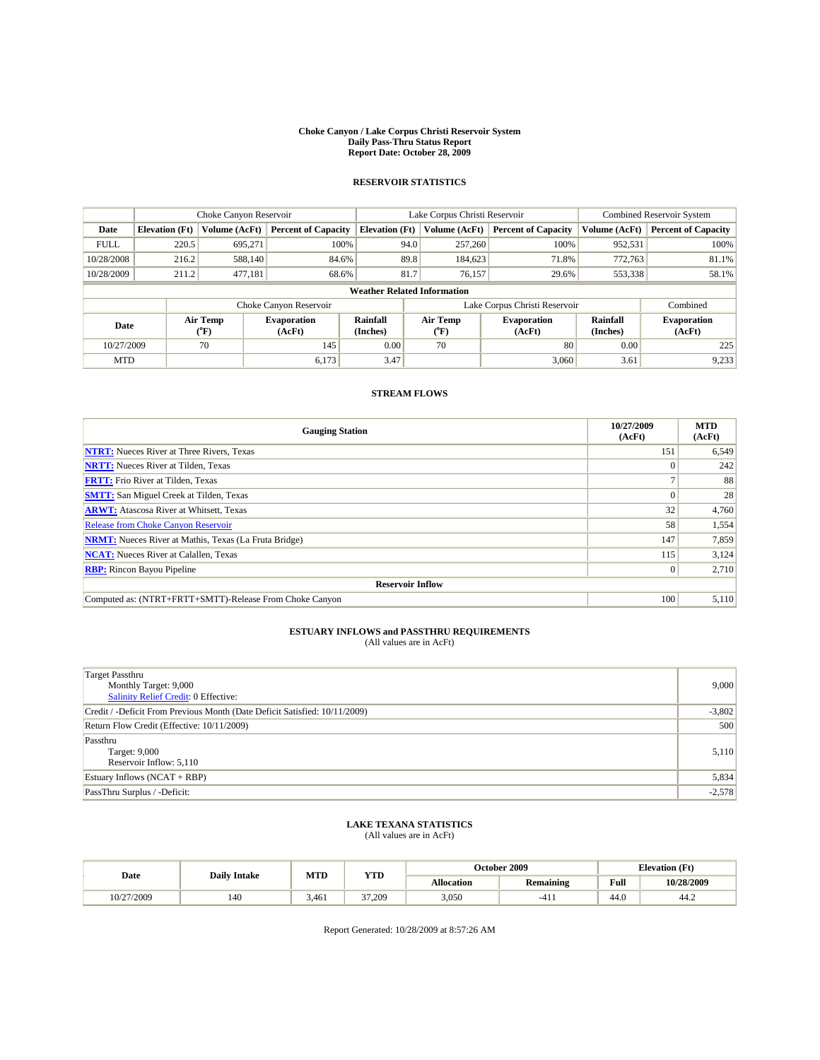#### **Choke Canyon / Lake Corpus Christi Reservoir System Daily Pass-Thru Status Report Report Date: October 28, 2009**

### **RESERVOIR STATISTICS**

|                                    | Choke Canyon Reservoir |                  |                              |                       | Lake Corpus Christi Reservoir |                  |                               |                      | <b>Combined Reservoir System</b> |  |  |
|------------------------------------|------------------------|------------------|------------------------------|-----------------------|-------------------------------|------------------|-------------------------------|----------------------|----------------------------------|--|--|
| Date                               | <b>Elevation</b> (Ft)  | Volume (AcFt)    | <b>Percent of Capacity</b>   | <b>Elevation</b> (Ft) |                               | Volume (AcFt)    | <b>Percent of Capacity</b>    | Volume (AcFt)        | <b>Percent of Capacity</b>       |  |  |
| <b>FULL</b>                        | 220.5                  | 695.271          | 100%                         |                       | 94.0                          | 257,260          | 100%                          | 952,531              | 100%                             |  |  |
| 10/28/2008                         | 216.2                  | 588.140          | 84.6%                        |                       | 89.8                          | 184,623          | 71.8%                         | 772.763              | 81.1%                            |  |  |
| 10/28/2009                         | 211.2                  | 477,181          | 68.6%                        |                       | 81.7                          | 76,157           | 29.6%                         | 553,338              | 58.1%                            |  |  |
| <b>Weather Related Information</b> |                        |                  |                              |                       |                               |                  |                               |                      |                                  |  |  |
|                                    |                        |                  | Choke Canyon Reservoir       |                       |                               |                  | Lake Corpus Christi Reservoir |                      | Combined                         |  |  |
| Date                               |                        | Air Temp<br>("F) | <b>Evaporation</b><br>(AcFt) | Rainfall<br>(Inches)  |                               | Air Temp<br>("F) | <b>Evaporation</b><br>(AcFt)  | Rainfall<br>(Inches) | <b>Evaporation</b><br>(AcFt)     |  |  |
| 10/27/2009                         |                        | 70               | 145                          | 0.00                  |                               | 70               | 80                            | 0.00                 | 225                              |  |  |
| <b>MTD</b>                         |                        |                  | 6,173                        | 3.47                  |                               |                  | 3,060                         | 3.61                 | 9,233                            |  |  |

### **STREAM FLOWS**

| <b>Gauging Station</b>                                       | 10/27/2009<br>(AcFt) | <b>MTD</b><br>(AcFt) |  |  |  |  |
|--------------------------------------------------------------|----------------------|----------------------|--|--|--|--|
| <b>NTRT:</b> Nueces River at Three Rivers, Texas             | 151                  | 6,549                |  |  |  |  |
| <b>NRTT:</b> Nueces River at Tilden, Texas                   |                      | 242                  |  |  |  |  |
| <b>FRTT:</b> Frio River at Tilden, Texas                     |                      | 88                   |  |  |  |  |
| <b>SMTT:</b> San Miguel Creek at Tilden, Texas               |                      | 28                   |  |  |  |  |
| <b>ARWT:</b> Atascosa River at Whitsett, Texas               | 32                   | 4,760                |  |  |  |  |
| <b>Release from Choke Canyon Reservoir</b>                   | 58                   | 1,554                |  |  |  |  |
| <b>NRMT:</b> Nueces River at Mathis, Texas (La Fruta Bridge) | 147                  | 7,859                |  |  |  |  |
| <b>NCAT:</b> Nueces River at Calallen, Texas                 | 115                  | 3,124                |  |  |  |  |
| <b>RBP:</b> Rincon Bayou Pipeline                            |                      | 2,710                |  |  |  |  |
| <b>Reservoir Inflow</b>                                      |                      |                      |  |  |  |  |
| Computed as: (NTRT+FRTT+SMTT)-Release From Choke Canyon      | 100                  | 5,110                |  |  |  |  |

## **ESTUARY INFLOWS and PASSTHRU REQUIREMENTS**<br>(All values are in AcFt)

| Target Passthru<br>Monthly Target: 9,000<br>Salinity Relief Credit: 0 Effective: | 9,000    |
|----------------------------------------------------------------------------------|----------|
| Credit / -Deficit From Previous Month (Date Deficit Satisfied: 10/11/2009)       | $-3,802$ |
| Return Flow Credit (Effective: 10/11/2009)                                       | 500      |
| Passthru<br>Target: 9,000<br>Reservoir Inflow: 5,110                             | 5,110    |
| Estuary Inflows (NCAT + RBP)                                                     | 5,834    |
| PassThru Surplus / -Deficit:                                                     | $-2,578$ |

## **LAKE TEXANA STATISTICS** (All values are in AcFt)

| Date       | <b>Daily Intake</b> | MTD   | ww     |                   | October 2009 | <b>Elevation</b> (Ft) |            |
|------------|---------------------|-------|--------|-------------------|--------------|-----------------------|------------|
|            |                     |       | 1 I.D  | <b>Allocation</b> | Remaining    | Full                  | 10/28/2009 |
| 10/27/2009 | 140                 | 3,461 | 37.209 | 3,050             | -4<br>       | 44.0                  | 44.∠       |

Report Generated: 10/28/2009 at 8:57:26 AM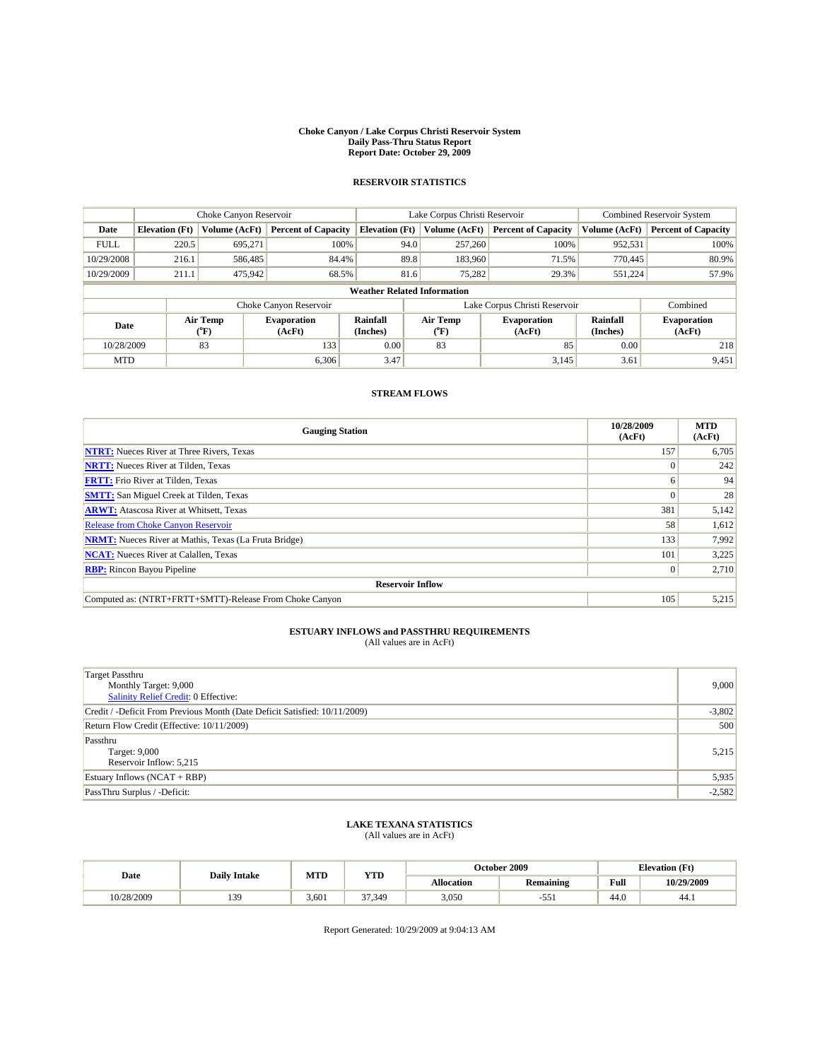#### **Choke Canyon / Lake Corpus Christi Reservoir System Daily Pass-Thru Status Report Report Date: October 29, 2009**

### **RESERVOIR STATISTICS**

|                                    | Choke Canyon Reservoir |                  |                              |                       | Lake Corpus Christi Reservoir |                           |                               |                             | Combined Reservoir System    |  |  |
|------------------------------------|------------------------|------------------|------------------------------|-----------------------|-------------------------------|---------------------------|-------------------------------|-----------------------------|------------------------------|--|--|
| Date                               | <b>Elevation</b> (Ft)  | Volume (AcFt)    | <b>Percent of Capacity</b>   | <b>Elevation</b> (Ft) |                               | Volume (AcFt)             | <b>Percent of Capacity</b>    | Volume (AcFt)               | <b>Percent of Capacity</b>   |  |  |
| <b>FULL</b>                        | 220.5                  | 695.271          | 100%                         |                       | 94.0                          | 257,260                   | 100%                          | 952,531                     | 100%                         |  |  |
| 10/29/2008                         | 216.1                  | 586,485          | 84.4%                        |                       | 89.8                          | 183,960                   | 71.5%                         | 770,445                     | 80.9%                        |  |  |
| 10/29/2009                         | 211.1                  | 475,942          | 68.5%                        |                       | 81.6                          | 75,282                    | 29.3%                         | 551,224                     | 57.9%                        |  |  |
| <b>Weather Related Information</b> |                        |                  |                              |                       |                               |                           |                               |                             |                              |  |  |
|                                    |                        |                  | Choke Canyon Reservoir       |                       |                               |                           | Lake Corpus Christi Reservoir |                             | Combined                     |  |  |
| Date                               |                        | Air Temp<br>(°F) | <b>Evaporation</b><br>(AcFt) | Rainfall<br>(Inches)  |                               | Air Temp<br>$(^{\circ}F)$ | <b>Evaporation</b><br>(AcFt)  | <b>Rainfall</b><br>(Inches) | <b>Evaporation</b><br>(AcFt) |  |  |
| 10/28/2009                         |                        | 83               | 133                          | 0.00                  |                               | 83                        | 85                            | 0.00                        | 218                          |  |  |
| <b>MTD</b>                         |                        |                  | 6,306                        | 3.47                  |                               |                           | 3,145                         | 3.61                        | 9,451                        |  |  |

### **STREAM FLOWS**

| <b>Gauging Station</b>                                       | 10/28/2009<br>(AcFt) | <b>MTD</b><br>(AcFt) |  |  |  |  |
|--------------------------------------------------------------|----------------------|----------------------|--|--|--|--|
| <b>NTRT:</b> Nueces River at Three Rivers, Texas             | 157                  | 6,705                |  |  |  |  |
| <b>NRTT:</b> Nueces River at Tilden, Texas                   |                      | 242                  |  |  |  |  |
| <b>FRTT:</b> Frio River at Tilden, Texas                     |                      | 94                   |  |  |  |  |
| <b>SMTT:</b> San Miguel Creek at Tilden, Texas               |                      | 28                   |  |  |  |  |
| <b>ARWT:</b> Atascosa River at Whitsett, Texas               | 381                  | 5,142                |  |  |  |  |
| <b>Release from Choke Canyon Reservoir</b>                   | 58                   | 1,612                |  |  |  |  |
| <b>NRMT:</b> Nueces River at Mathis, Texas (La Fruta Bridge) | 133                  | 7,992                |  |  |  |  |
| <b>NCAT:</b> Nueces River at Calallen, Texas                 | 101                  | 3,225                |  |  |  |  |
| <b>RBP:</b> Rincon Bayou Pipeline                            | $\theta$             | 2,710                |  |  |  |  |
| <b>Reservoir Inflow</b>                                      |                      |                      |  |  |  |  |
| Computed as: (NTRT+FRTT+SMTT)-Release From Choke Canyon      | 105                  | 5,215                |  |  |  |  |

## **ESTUARY INFLOWS and PASSTHRU REQUIREMENTS**<br>(All values are in AcFt)

| Target Passthru<br>Monthly Target: 9,000<br>Salinity Relief Credit: 0 Effective: | 9,000    |
|----------------------------------------------------------------------------------|----------|
| Credit / -Deficit From Previous Month (Date Deficit Satisfied: 10/11/2009)       | $-3,802$ |
| Return Flow Credit (Effective: 10/11/2009)                                       | 500      |
| Passthru<br>Target: 9,000<br>Reservoir Inflow: 5,215                             | 5,215    |
| Estuary Inflows (NCAT + RBP)                                                     | 5,935    |
| PassThru Surplus / -Deficit:                                                     | $-2,582$ |

## **LAKE TEXANA STATISTICS** (All values are in AcFt)

| Date       | <b>Daily Intake</b> | <b>MTD</b> | VTT    |                   | October 2009 | <b>Elevation</b> (Ft) |            |
|------------|---------------------|------------|--------|-------------------|--------------|-----------------------|------------|
|            |                     |            | 1.LD   | <b>Allocation</b> | Remaining    | Full                  | 10/29/2009 |
| 10/28/2009 | 120<br>192          | 3,601      | 37.349 | 3,050             | --<br>בכ-    | 14 O<br>44.U          | 44.1       |

Report Generated: 10/29/2009 at 9:04:13 AM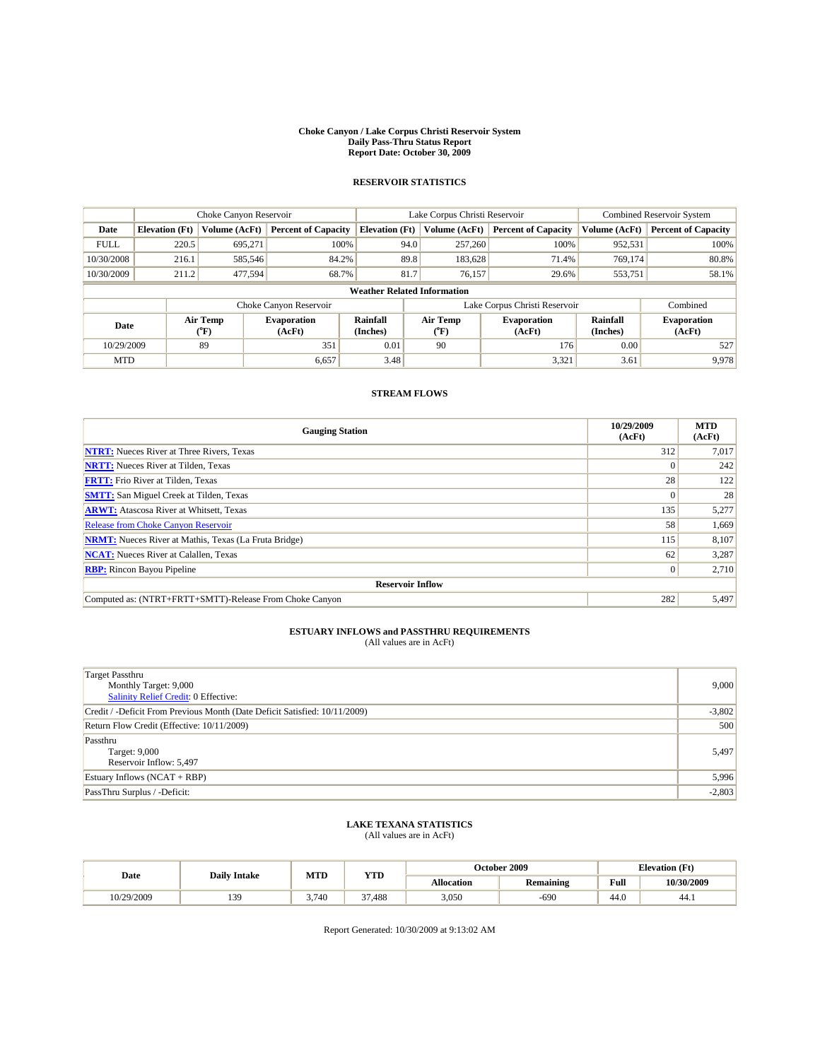#### **Choke Canyon / Lake Corpus Christi Reservoir System Daily Pass-Thru Status Report Report Date: October 30, 2009**

### **RESERVOIR STATISTICS**

|                                    | Choke Canyon Reservoir |                  |                              |                       | Lake Corpus Christi Reservoir |                                  |                               |                      | <b>Combined Reservoir System</b> |  |  |
|------------------------------------|------------------------|------------------|------------------------------|-----------------------|-------------------------------|----------------------------------|-------------------------------|----------------------|----------------------------------|--|--|
| Date                               | <b>Elevation</b> (Ft)  | Volume (AcFt)    | <b>Percent of Capacity</b>   | <b>Elevation</b> (Ft) |                               | Volume (AcFt)                    | <b>Percent of Capacity</b>    | Volume (AcFt)        | <b>Percent of Capacity</b>       |  |  |
| <b>FULL</b>                        | 220.5                  | 695.271          | 100%                         |                       | 94.0                          | 257,260                          | 100%                          | 952,531              | 100%                             |  |  |
| 10/30/2008                         | 216.1                  | 585,546          | 84.2%                        |                       | 89.8                          | 183,628                          | 71.4%                         | 769,174              | 80.8%                            |  |  |
| 10/30/2009                         | 211.2                  | 477,594          | 68.7%                        |                       | 81.7                          | 76,157                           | 29.6%                         | 553,751              | 58.1%                            |  |  |
| <b>Weather Related Information</b> |                        |                  |                              |                       |                               |                                  |                               |                      |                                  |  |  |
|                                    |                        |                  | Choke Canyon Reservoir       |                       |                               |                                  | Lake Corpus Christi Reservoir |                      | Combined                         |  |  |
| Date                               |                        | Air Temp<br>(°F) | <b>Evaporation</b><br>(AcFt) | Rainfall<br>(Inches)  |                               | <b>Air Temp</b><br>$(^{\circ}F)$ | <b>Evaporation</b><br>(AcFt)  | Rainfall<br>(Inches) | <b>Evaporation</b><br>(AcFt)     |  |  |
| 10/29/2009                         |                        | 89               | 351                          | 0.01                  |                               | 90                               | 176                           | 0.00                 | 527                              |  |  |
| <b>MTD</b>                         |                        |                  | 6,657                        | 3.48                  |                               |                                  | 3,321                         | 3.61                 | 9,978                            |  |  |

### **STREAM FLOWS**

| <b>Gauging Station</b>                                       | 10/29/2009<br>(AcFt) | <b>MTD</b><br>(AcFt) |  |  |  |  |  |
|--------------------------------------------------------------|----------------------|----------------------|--|--|--|--|--|
| <b>NTRT:</b> Nueces River at Three Rivers, Texas             | 312                  | 7,017                |  |  |  |  |  |
| <b>NRTT:</b> Nueces River at Tilden, Texas                   |                      | 242                  |  |  |  |  |  |
| <b>FRTT:</b> Frio River at Tilden, Texas                     | 28                   | 122                  |  |  |  |  |  |
| <b>SMTT:</b> San Miguel Creek at Tilden, Texas               |                      | 28                   |  |  |  |  |  |
| <b>ARWT:</b> Atascosa River at Whitsett, Texas               | 135                  | 5,277                |  |  |  |  |  |
| <b>Release from Choke Canyon Reservoir</b>                   | 58                   | 1,669                |  |  |  |  |  |
| <b>NRMT:</b> Nueces River at Mathis, Texas (La Fruta Bridge) | 115                  | 8,107                |  |  |  |  |  |
| <b>NCAT:</b> Nueces River at Calallen, Texas                 | 62                   | 3,287                |  |  |  |  |  |
| <b>RBP:</b> Rincon Bayou Pipeline                            | $\Omega$             | 2,710                |  |  |  |  |  |
| <b>Reservoir Inflow</b>                                      |                      |                      |  |  |  |  |  |
| Computed as: (NTRT+FRTT+SMTT)-Release From Choke Canyon      | 282                  | 5,497                |  |  |  |  |  |

## **ESTUARY INFLOWS and PASSTHRU REQUIREMENTS**<br>(All values are in AcFt)

| <b>Target Passthru</b><br>Monthly Target: 9,000<br>Salinity Relief Credit: 0 Effective: | 9,000    |
|-----------------------------------------------------------------------------------------|----------|
| Credit / -Deficit From Previous Month (Date Deficit Satisfied: 10/11/2009)              | $-3,802$ |
| Return Flow Credit (Effective: 10/11/2009)                                              | 500      |
| Passthru<br>Target: 9,000<br>Reservoir Inflow: 5,497                                    | 5,497    |
| Estuary Inflows $(NCAT + RBP)$                                                          | 5,996    |
| PassThru Surplus / -Deficit:                                                            | $-2,803$ |

## **LAKE TEXANA STATISTICS** (All values are in AcFt)

| Date       | <b>Daily Intake</b> | MTD   | ww              |                   | October 2009 |      | <b>Elevation</b> (Ft) |
|------------|---------------------|-------|-----------------|-------------------|--------------|------|-----------------------|
|            |                     |       | 1 I.D           | <b>Allocation</b> | Remaining    | Full | 10/30/2009            |
| 10/29/2009 | 139                 | 3.740 | $\sim$<br>7,488 | 3,050             | $-690$       | 44.0 | 44.1                  |

Report Generated: 10/30/2009 at 9:13:02 AM